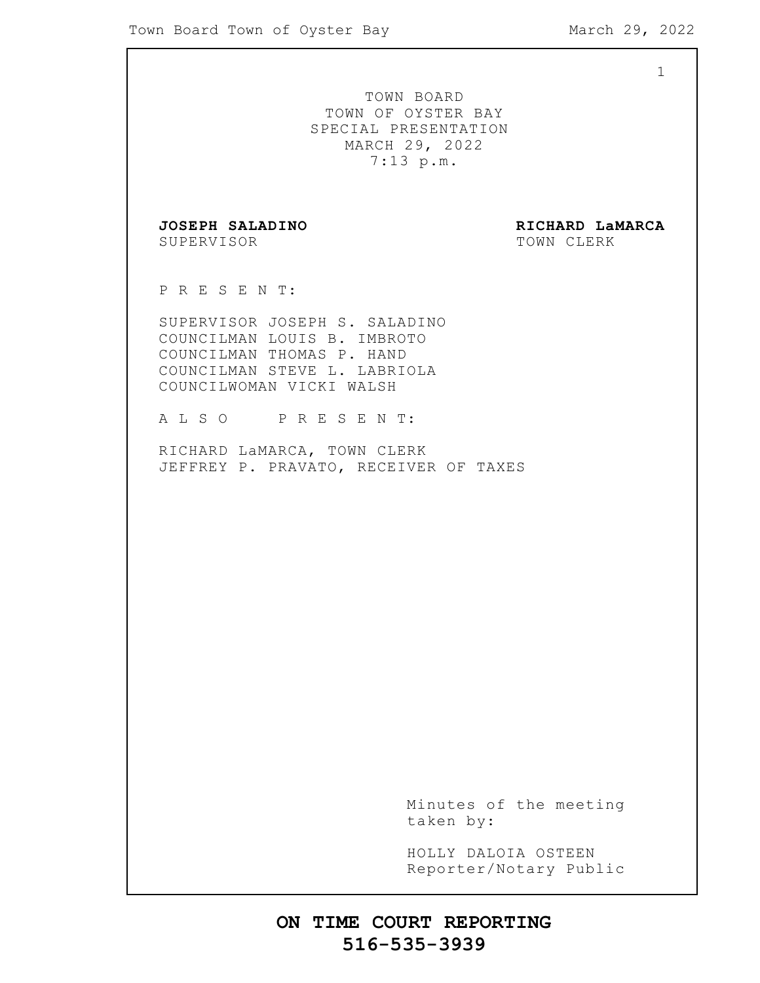1

TOWN BOARD TOWN OF OYSTER BAY SPECIAL PRESENTATION MARCH 29, 2022 7:13 p.m.

SUPERVISOR TOWN CLERK

**JOSEPH SALADINO RICHARD LaMARCA**

P R E S E N T:

SUPERVISOR JOSEPH S. SALADINO COUNCILMAN LOUIS B. IMBROTO COUNCILMAN THOMAS P. HAND COUNCILMAN STEVE L. LABRIOLA COUNCILWOMAN VICKI WALSH

A L S O P R E S E N T:

RICHARD LaMARCA, TOWN CLERK JEFFREY P. PRAVATO, RECEIVER OF TAXES

> Minutes of the meeting taken by:

> HOLLY DALOIA OSTEEN Reporter/Notary Public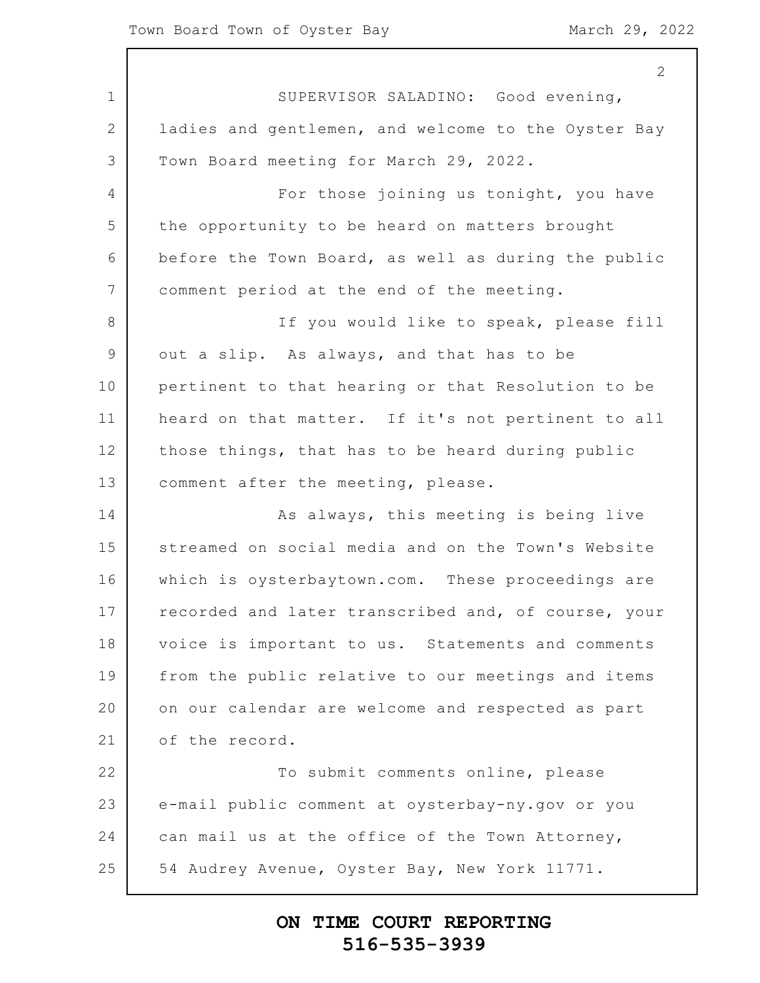1 2 3 4 5 6 7 8 9 10 11 12 13 14 15 16 17 18 19 20 21 22 23 24 25 2 SUPERVISOR SALADINO: Good evening, ladies and gentlemen, and welcome to the Oyster Bay Town Board meeting for March 29, 2022. For those joining us tonight, you have the opportunity to be heard on matters brought before the Town Board, as well as during the public comment period at the end of the meeting. If you would like to speak, please fill out a slip. As always, and that has to be pertinent to that hearing or that Resolution to be heard on that matter. If it's not pertinent to all those things, that has to be heard during public comment after the meeting, please. As always, this meeting is being live streamed on social media and on the Town's Website which is oysterbaytown.com. These proceedings are recorded and later transcribed and, of course, your voice is important to us. Statements and comments from the public relative to our meetings and items on our calendar are welcome and respected as part of the record. To submit comments online, please e-mail public comment at oysterbay-ny.gov or you can mail us at the office of the Town Attorney, 54 Audrey Avenue, Oyster Bay, New York 11771.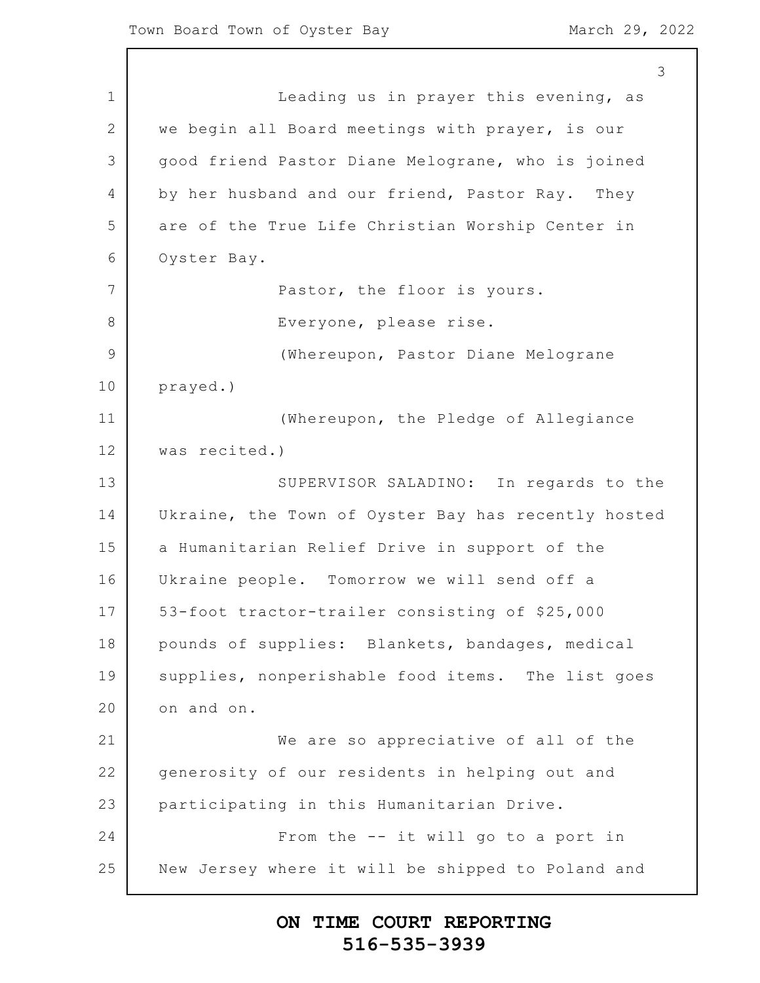1 2 3 4 5 6 7 8 9 10 11 12 13 14 15 16 17 18 19 20 21 22 23 24 25 3 Leading us in prayer this evening, as we begin all Board meetings with prayer, is our good friend Pastor Diane Melograne, who is joined by her husband and our friend, Pastor Ray. They are of the True Life Christian Worship Center in Oyster Bay. Pastor, the floor is yours. Everyone, please rise. (Whereupon, Pastor Diane Melograne prayed.) (Whereupon, the Pledge of Allegiance was recited.) SUPERVISOR SALADINO: In regards to the Ukraine, the Town of Oyster Bay has recently hosted a Humanitarian Relief Drive in support of the Ukraine people. Tomorrow we will send off a 53-foot tractor-trailer consisting of \$25,000 pounds of supplies: Blankets, bandages, medical supplies, nonperishable food items. The list goes on and on. We are so appreciative of all of the generosity of our residents in helping out and participating in this Humanitarian Drive. From the -- it will go to a port in New Jersey where it will be shipped to Poland and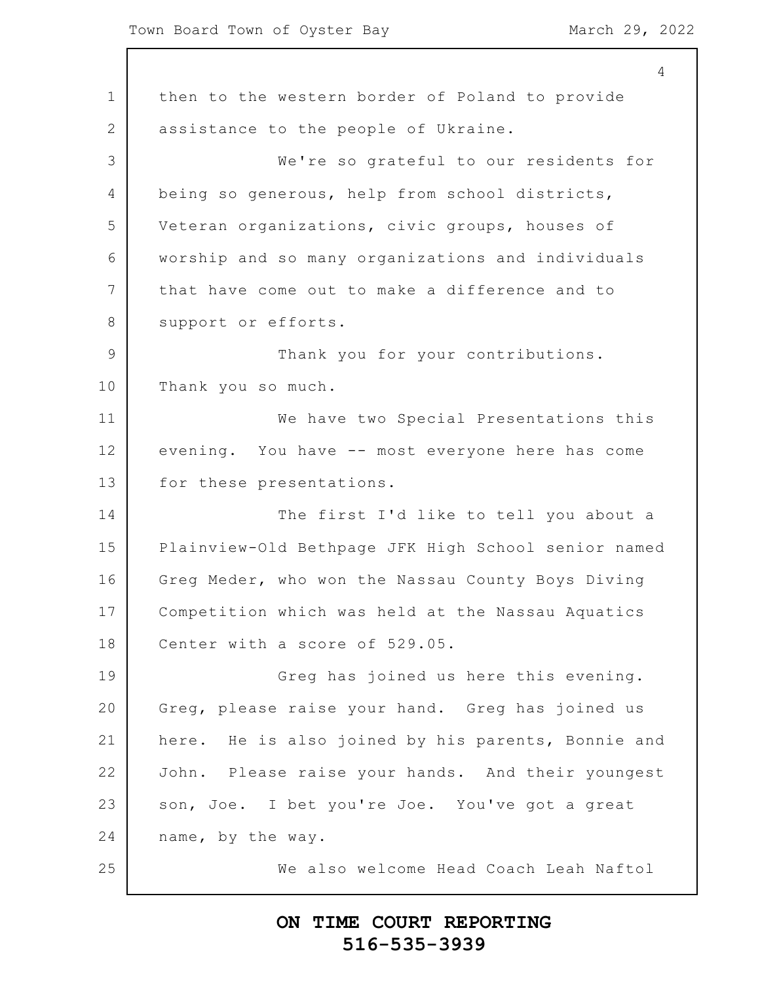1 2 3 4 5 6 7 8 9 10 11 12 13 14 15 16 17 18 19 20 21 22 23 24 25 4 then to the western border of Poland to provide assistance to the people of Ukraine. We're so grateful to our residents for being so generous, help from school districts, Veteran organizations, civic groups, houses of worship and so many organizations and individuals that have come out to make a difference and to support or efforts. Thank you for your contributions. Thank you so much. We have two Special Presentations this evening. You have -- most everyone here has come for these presentations. The first I'd like to tell you about a Plainview-Old Bethpage JFK High School senior named Greg Meder, who won the Nassau County Boys Diving Competition which was held at the Nassau Aquatics Center with a score of 529.05. Greg has joined us here this evening. Greg, please raise your hand. Greg has joined us here. He is also joined by his parents, Bonnie and John. Please raise your hands. And their youngest son, Joe. I bet you're Joe. You've got a great name, by the way. We also welcome Head Coach Leah Naftol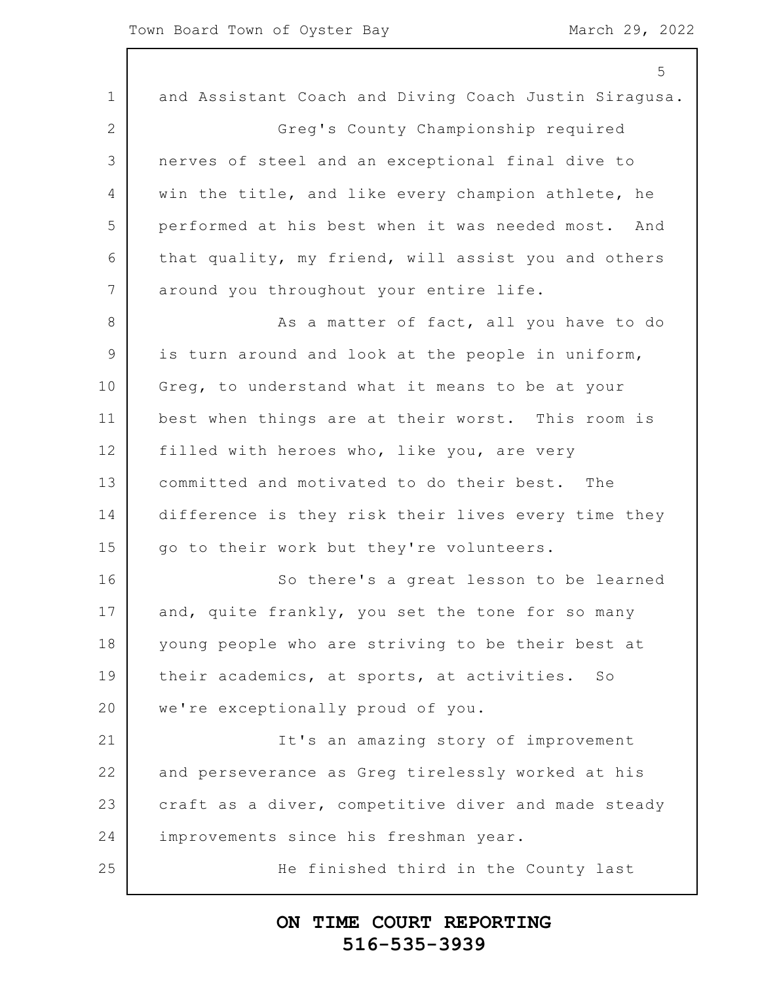|              | 5                                                     |
|--------------|-------------------------------------------------------|
| $\mathbf 1$  | and Assistant Coach and Diving Coach Justin Siragusa. |
| $\mathbf{2}$ | Greg's County Championship required                   |
| 3            | nerves of steel and an exceptional final dive to      |
| 4            | win the title, and like every champion athlete, he    |
| 5            | performed at his best when it was needed most. And    |
| 6            | that quality, my friend, will assist you and others   |
| 7            | around you throughout your entire life.               |
| 8            | As a matter of fact, all you have to do               |
| 9            | is turn around and look at the people in uniform,     |
| 10           | Greg, to understand what it means to be at your       |
| 11           | best when things are at their worst. This room is     |
| 12           | filled with heroes who, like you, are very            |
| 13           | committed and motivated to do their best. The         |
| 14           | difference is they risk their lives every time they   |
| 15           | go to their work but they're volunteers.              |
| 16           | So there's a great lesson to be learned               |
| 17           | and, quite frankly, you set the tone for so many      |
| 18           | young people who are striving to be their best at     |
| 19           | their academics, at sports, at activities. So         |
| 20           | we're exceptionally proud of you.                     |
| 21           | It's an amazing story of improvement                  |
| 22           | and perseverance as Greg tirelessly worked at his     |
| 23           | craft as a diver, competitive diver and made steady   |
| 24           | improvements since his freshman year.                 |
| 25           | He finished third in the County last                  |
|              |                                                       |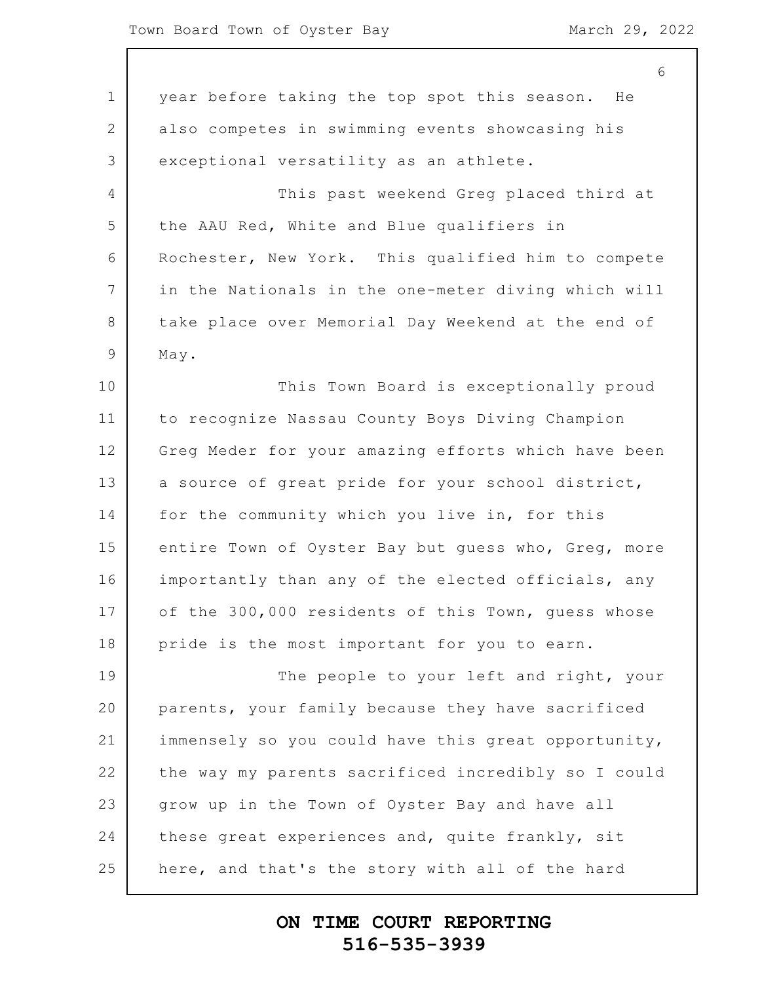1 2 3 4 5 6 7 8 9 10 11 12 13 14 15 16 17 18 19 20 21 22 23 24 25 6 year before taking the top spot this season. He also competes in swimming events showcasing his exceptional versatility as an athlete. This past weekend Greg placed third at the AAU Red, White and Blue qualifiers in Rochester, New York. This qualified him to compete in the Nationals in the one-meter diving which will take place over Memorial Day Weekend at the end of May. This Town Board is exceptionally proud to recognize Nassau County Boys Diving Champion Greg Meder for your amazing efforts which have been a source of great pride for your school district, for the community which you live in, for this entire Town of Oyster Bay but guess who, Greg, more importantly than any of the elected officials, any of the 300,000 residents of this Town, guess whose pride is the most important for you to earn. The people to your left and right, your parents, your family because they have sacrificed immensely so you could have this great opportunity, the way my parents sacrificed incredibly so I could grow up in the Town of Oyster Bay and have all these great experiences and, quite frankly, sit here, and that's the story with all of the hard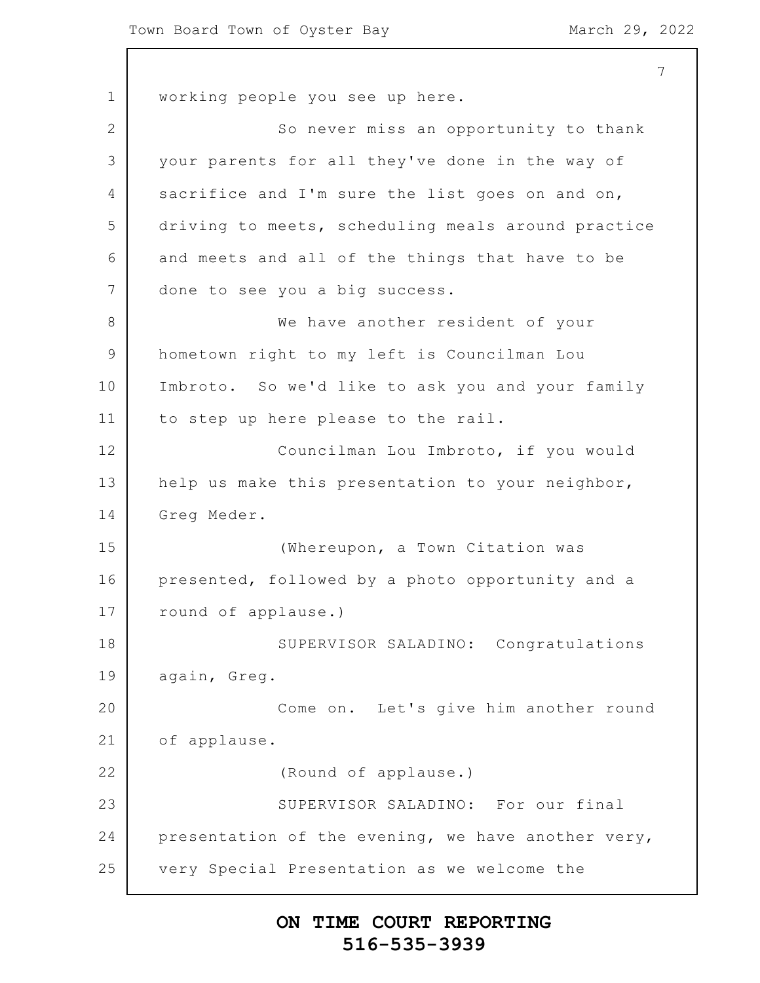1 2 3 4 5 6 7 8 9 10 11 12 13 14 15 16 17 18 19 20 21 22 23 24 25 7 working people you see up here. So never miss an opportunity to thank your parents for all they've done in the way of sacrifice and I'm sure the list goes on and on, driving to meets, scheduling meals around practice and meets and all of the things that have to be done to see you a big success. We have another resident of your hometown right to my left is Councilman Lou Imbroto. So we'd like to ask you and your family to step up here please to the rail. Councilman Lou Imbroto, if you would help us make this presentation to your neighbor, Greg Meder. (Whereupon, a Town Citation was presented, followed by a photo opportunity and a round of applause.) SUPERVISOR SALADINO: Congratulations again, Greg. Come on. Let's give him another round of applause. (Round of applause.) SUPERVISOR SALADINO: For our final presentation of the evening, we have another very, very Special Presentation as we welcome the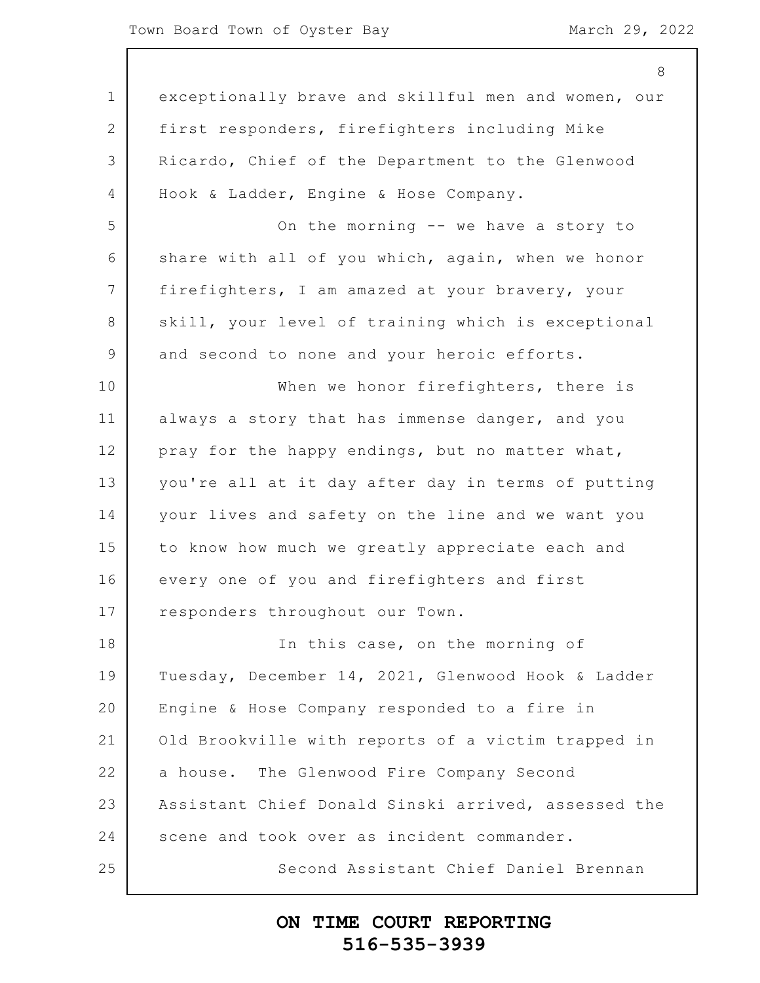|               | 8                                                   |
|---------------|-----------------------------------------------------|
| $\mathbf 1$   | exceptionally brave and skillful men and women, our |
| 2             | first responders, firefighters including Mike       |
| 3             | Ricardo, Chief of the Department to the Glenwood    |
| 4             | Hook & Ladder, Engine & Hose Company.               |
| 5             | On the morning -- we have a story to                |
| 6             | share with all of you which, again, when we honor   |
| 7             | firefighters, I am amazed at your bravery, your     |
| 8             | skill, your level of training which is exceptional  |
| $\mathcal{G}$ | and second to none and your heroic efforts.         |
| 10            | When we honor firefighters, there is                |
| 11            | always a story that has immense danger, and you     |
| 12            | pray for the happy endings, but no matter what,     |
| 13            | you're all at it day after day in terms of putting  |
| 14            | your lives and safety on the line and we want you   |
| 15            | to know how much we greatly appreciate each and     |
| 16            | every one of you and firefighters and first         |
| 17            | responders throughout our Town.                     |
| 18            | In this case, on the morning of                     |
| 19            | Tuesday, December 14, 2021, Glenwood Hook & Ladder  |
| 20            | Engine & Hose Company responded to a fire in        |
| 21            | Old Brookville with reports of a victim trapped in  |
| 22            | a house. The Glenwood Fire Company Second           |
| 23            | Assistant Chief Donald Sinski arrived, assessed the |
| 24            | scene and took over as incident commander.          |
| 25            | Second Assistant Chief Daniel Brennan               |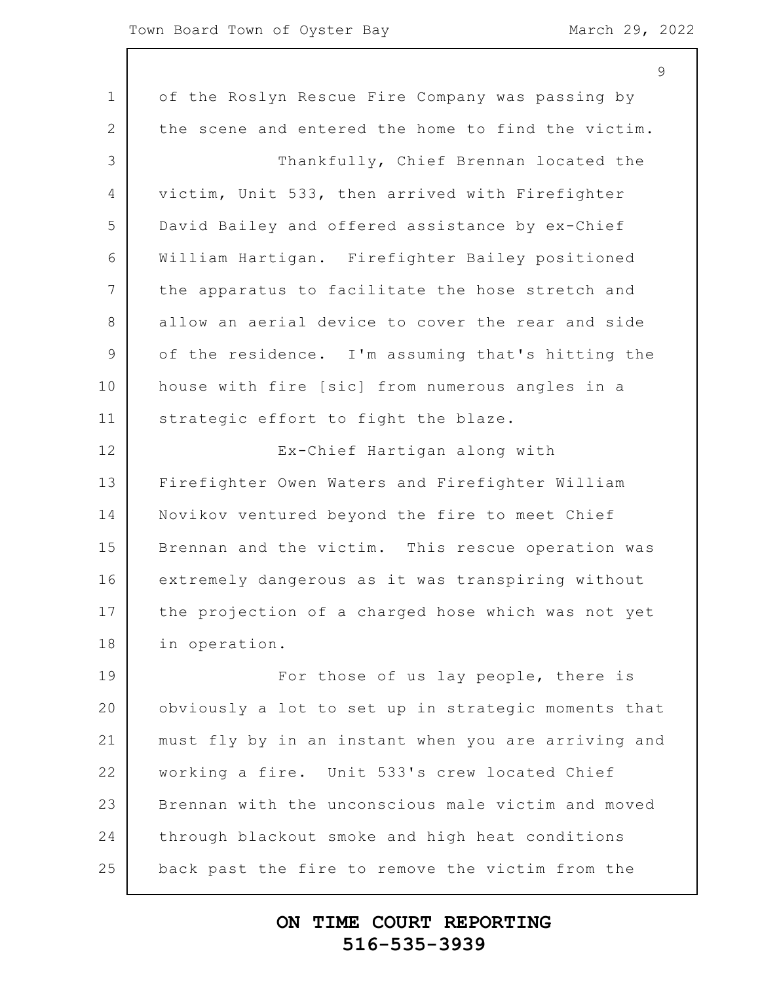#### Town Board Town of Oyster Bay March 29, 2022

|                 | ン                                                   |
|-----------------|-----------------------------------------------------|
| $\mathbf{1}$    | of the Roslyn Rescue Fire Company was passing by    |
| 2               | the scene and entered the home to find the victim.  |
| 3               | Thankfully, Chief Brennan located the               |
| $\overline{4}$  | victim, Unit 533, then arrived with Firefighter     |
| 5               | David Bailey and offered assistance by ex-Chief     |
| 6               | William Hartigan. Firefighter Bailey positioned     |
| $7\overline{ }$ | the apparatus to facilitate the hose stretch and    |
| 8               | allow an aerial device to cover the rear and side   |
| $\mathsf 9$     | of the residence. I'm assuming that's hitting the   |
| 10              | house with fire [sic] from numerous angles in a     |
| 11              | strategic effort to fight the blaze.                |
| 12              | Ex-Chief Hartigan along with                        |
| 13              | Firefighter Owen Waters and Firefighter William     |
| 14              | Novikov ventured beyond the fire to meet Chief      |
| 15              | Brennan and the victim. This rescue operation was   |
| 16              | extremely dangerous as it was transpiring without   |
| 17              | the projection of a charged hose which was not yet  |
| 18              | in operation.                                       |
| 19              | For those of us lay people, there is                |
| 20              | obviously a lot to set up in strategic moments that |
| 21              | must fly by in an instant when you are arriving and |
| 22              | working a fire. Unit 533's crew located Chief       |
| 23              | Brennan with the unconscious male victim and moved  |
| 24              | through blackout smoke and high heat conditions     |
| 25              | back past the fire to remove the victim from the    |
|                 |                                                     |

# **ON TIME COURT REPORTING 516-535-3939**

 $\overline{Q}$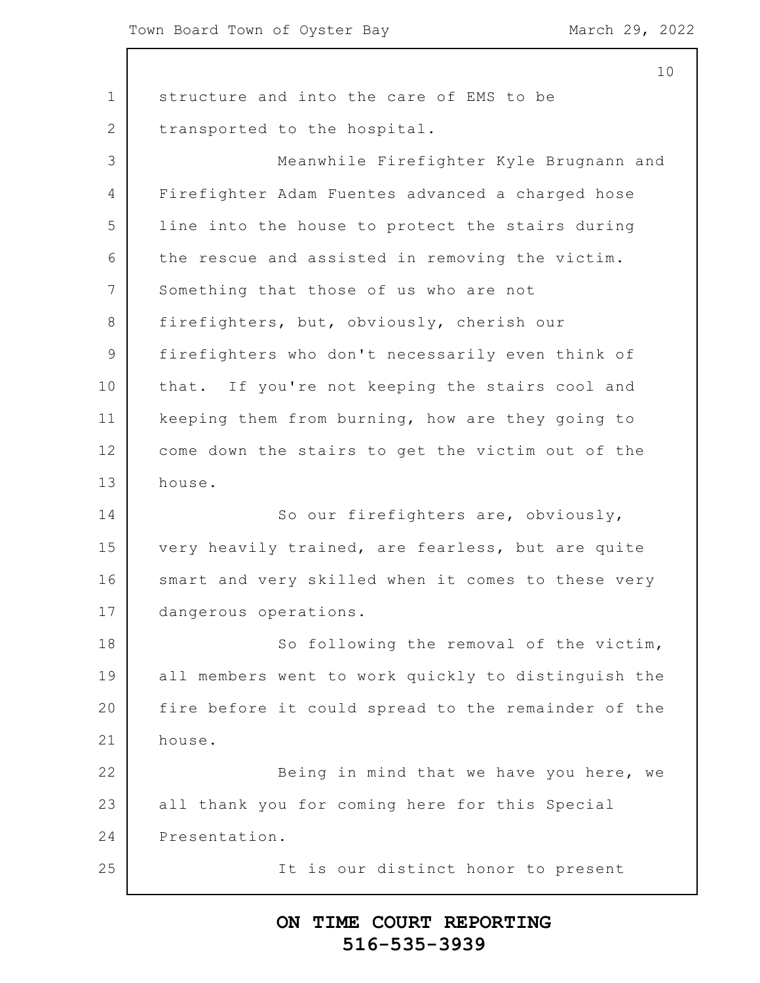1 2 3 4 5 6 7 8 9 10 11 12 13 14 15 16 17 18 19 20 21 22 23 24 25 10 structure and into the care of EMS to be transported to the hospital. Meanwhile Firefighter Kyle Brugnann and Firefighter Adam Fuentes advanced a charged hose line into the house to protect the stairs during the rescue and assisted in removing the victim. Something that those of us who are not firefighters, but, obviously, cherish our firefighters who don't necessarily even think of that. If you're not keeping the stairs cool and keeping them from burning, how are they going to come down the stairs to get the victim out of the house. So our firefighters are, obviously, very heavily trained, are fearless, but are quite smart and very skilled when it comes to these very dangerous operations. So following the removal of the victim, all members went to work quickly to distinguish the fire before it could spread to the remainder of the house. Being in mind that we have you here, we all thank you for coming here for this Special Presentation. It is our distinct honor to present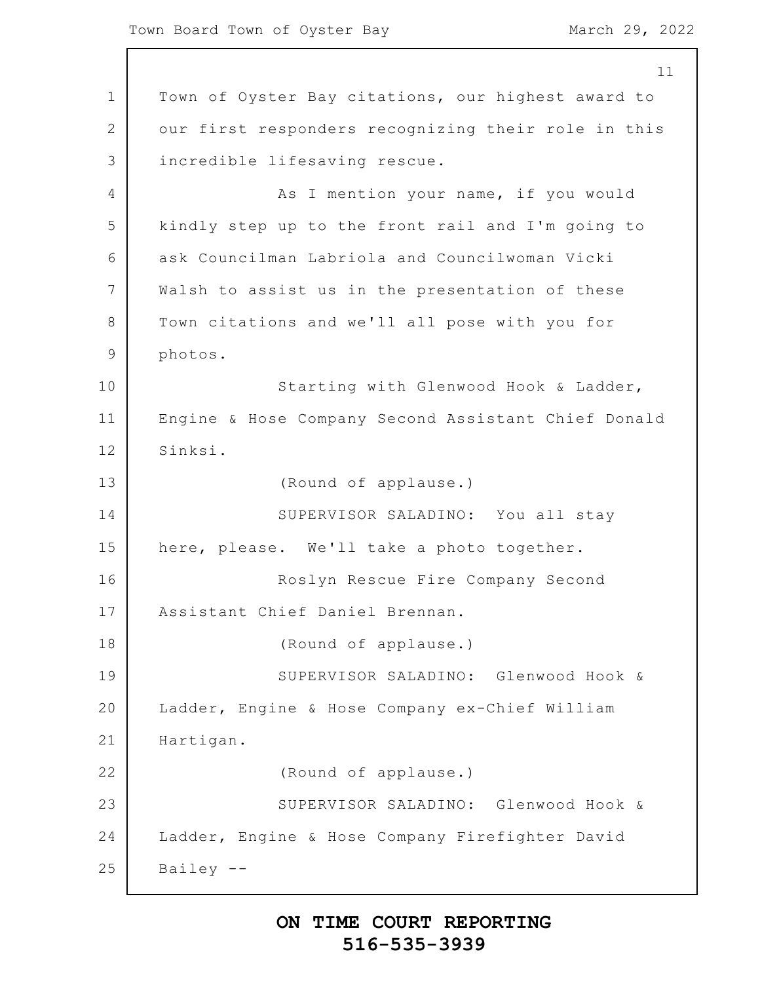1 2 3 4 5 6 7 8 9 10 11 12 13 14 15 16 17 18 19 20 21 22 23 24 25 11 Town of Oyster Bay citations, our highest award to our first responders recognizing their role in this incredible lifesaving rescue. As I mention your name, if you would kindly step up to the front rail and I'm going to ask Councilman Labriola and Councilwoman Vicki Walsh to assist us in the presentation of these Town citations and we'll all pose with you for photos. Starting with Glenwood Hook & Ladder, Engine & Hose Company Second Assistant Chief Donald Sinksi. (Round of applause.) SUPERVISOR SALADINO: You all stay here, please. We'll take a photo together. Roslyn Rescue Fire Company Second Assistant Chief Daniel Brennan. (Round of applause.) SUPERVISOR SALADINO: Glenwood Hook & Ladder, Engine & Hose Company ex-Chief William Hartigan. (Round of applause.) SUPERVISOR SALADINO: Glenwood Hook & Ladder, Engine & Hose Company Firefighter David Bailey --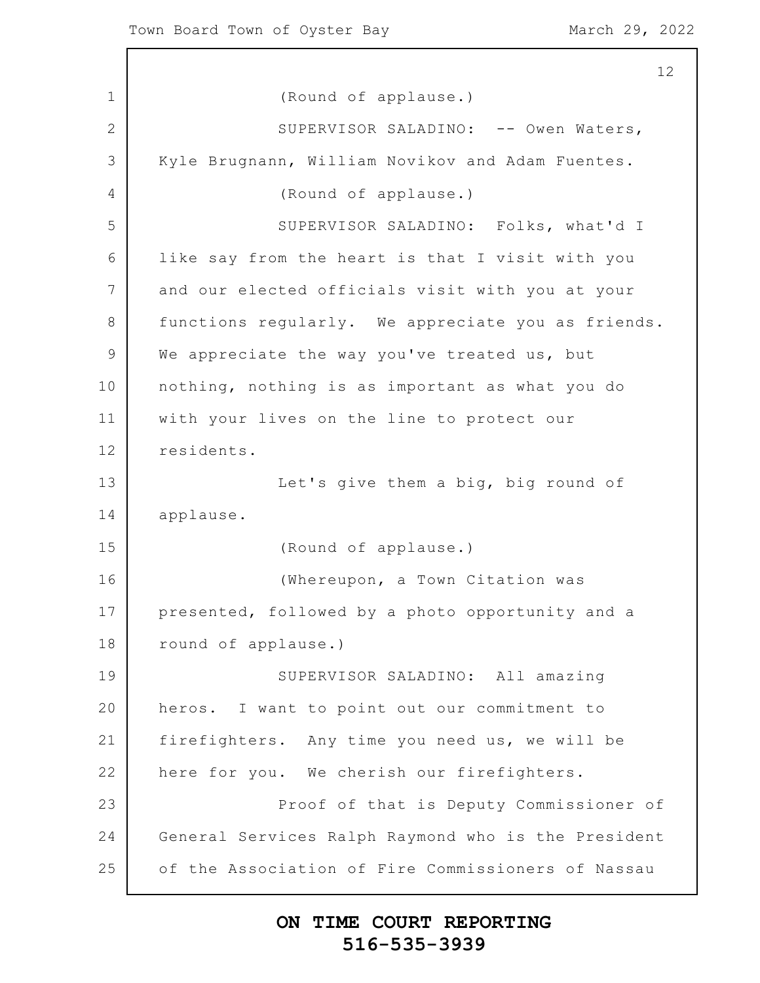1 2 3 4 5 6 7 8 9 10 11 12 13 14 15 16 17 18 19 20 21 22 23 24 25 12 (Round of applause.) SUPERVISOR SALADINO: -- Owen Waters, Kyle Brugnann, William Novikov and Adam Fuentes. (Round of applause.) SUPERVISOR SALADINO: Folks, what'd I like say from the heart is that I visit with you and our elected officials visit with you at your functions regularly. We appreciate you as friends. We appreciate the way you've treated us, but nothing, nothing is as important as what you do with your lives on the line to protect our residents. Let's give them a big, big round of applause. (Round of applause.) (Whereupon, a Town Citation was presented, followed by a photo opportunity and a round of applause.) SUPERVISOR SALADINO: All amazing heros. I want to point out our commitment to firefighters. Any time you need us, we will be here for you. We cherish our firefighters. Proof of that is Deputy Commissioner of General Services Ralph Raymond who is the President of the Association of Fire Commissioners of Nassau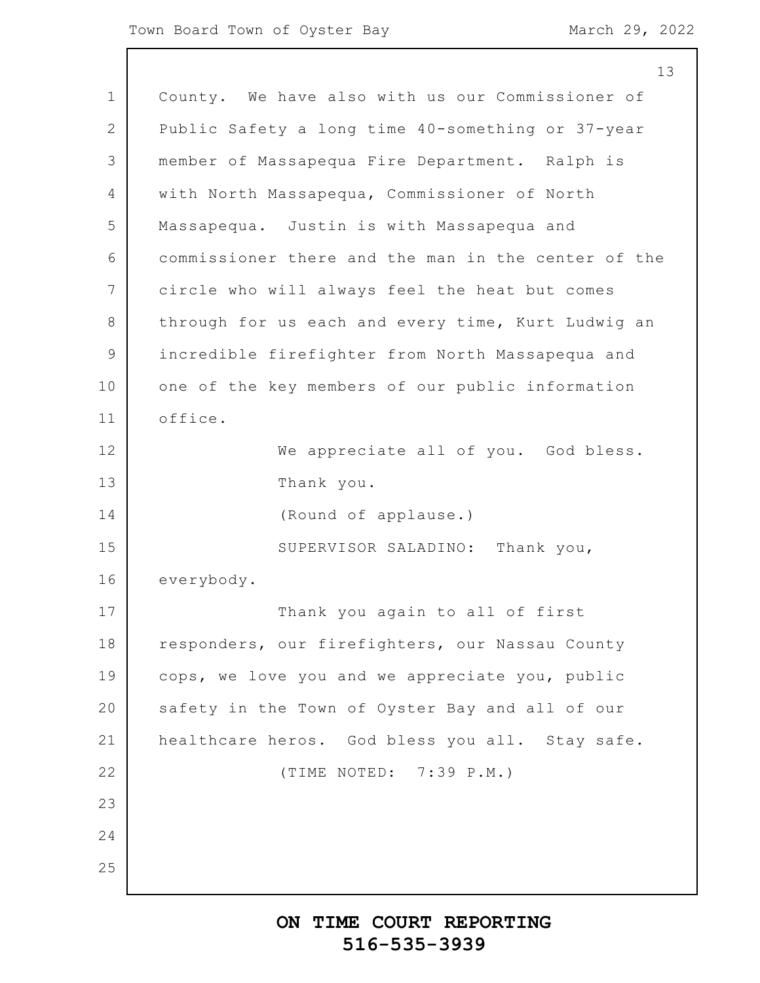|             | 13                                                  |
|-------------|-----------------------------------------------------|
| $\mathbf 1$ | County. We have also with us our Commissioner of    |
| 2           | Public Safety a long time 40-something or 37-year   |
| 3           | member of Massapequa Fire Department. Ralph is      |
| 4           | with North Massapequa, Commissioner of North        |
| 5           | Massapequa. Justin is with Massapequa and           |
| 6           | commissioner there and the man in the center of the |
| 7           | circle who will always feel the heat but comes      |
| 8           | through for us each and every time, Kurt Ludwig an  |
| 9           | incredible firefighter from North Massapequa and    |
| 10          | one of the key members of our public information    |
| 11          | office.                                             |
| 12          | We appreciate all of you. God bless.                |
| 13          | Thank you.                                          |
| 14          | (Round of applause.)                                |
| 15          | SUPERVISOR SALADINO:<br>Thank you,                  |
| 16          | everybody.                                          |
| 17          | Thank you again to all of first                     |
| 18          | responders, our firefighters, our Nassau County     |
| 19          | cops, we love you and we appreciate you, public     |
| 20          | safety in the Town of Oyster Bay and all of our     |
| 21          | healthcare heros. God bless you all. Stay safe.     |
| 22          | (TIME NOTED: 7:39 P.M.)                             |
| 23          |                                                     |
| 24          |                                                     |
| 25          |                                                     |
|             |                                                     |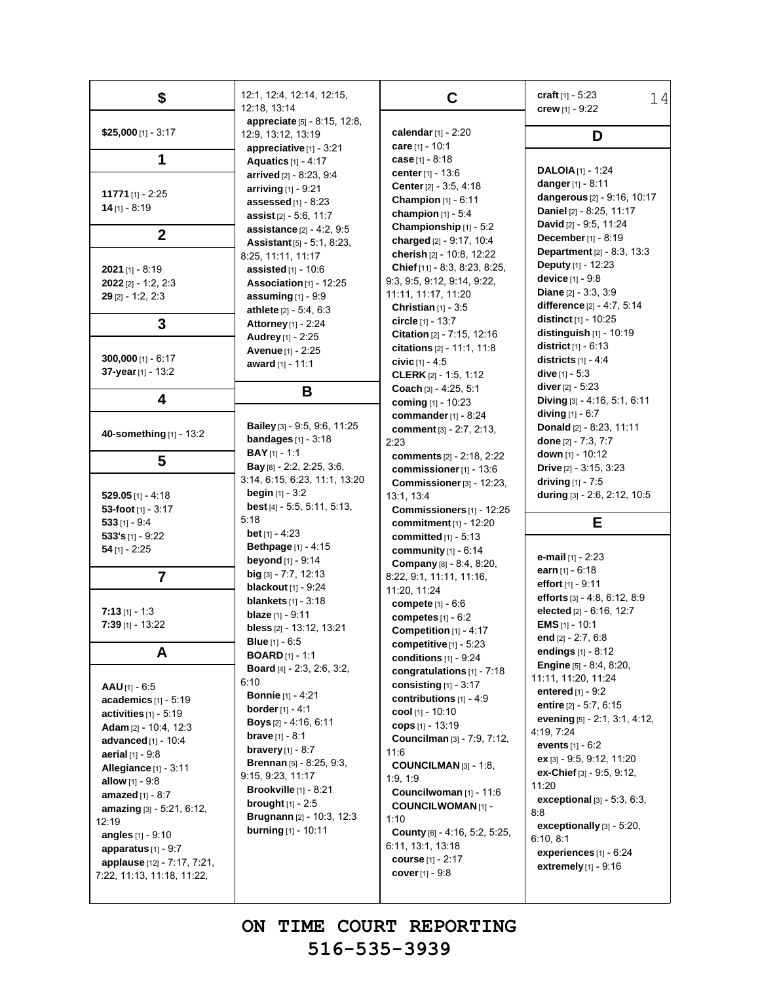| \$                                                                                                                                                                                                                                                                                                               | 12:1, 12:4, 12:14, 12:15,<br>12:18, 13:14                                                                                                                                                                                                                                                                                                                                                            | C                                                                                                                                                                                                                                                                                                                                                         | craft $[1] - 5:23$<br>14<br>crew [1] - 9:22                                                                                                                                                                                                                                                                                                                                                               |
|------------------------------------------------------------------------------------------------------------------------------------------------------------------------------------------------------------------------------------------------------------------------------------------------------------------|------------------------------------------------------------------------------------------------------------------------------------------------------------------------------------------------------------------------------------------------------------------------------------------------------------------------------------------------------------------------------------------------------|-----------------------------------------------------------------------------------------------------------------------------------------------------------------------------------------------------------------------------------------------------------------------------------------------------------------------------------------------------------|-----------------------------------------------------------------------------------------------------------------------------------------------------------------------------------------------------------------------------------------------------------------------------------------------------------------------------------------------------------------------------------------------------------|
| $$25,000$ [1] - 3:17                                                                                                                                                                                                                                                                                             | appreciate [5] - 8:15, 12:8,<br>12:9, 13:12, 13:19                                                                                                                                                                                                                                                                                                                                                   | calendar $[1] - 2:20$                                                                                                                                                                                                                                                                                                                                     | D                                                                                                                                                                                                                                                                                                                                                                                                         |
| 1                                                                                                                                                                                                                                                                                                                | appreciative [1] - 3:21<br>Aquatics [1] - 4:17<br>arrived [2] - 8:23, 9:4                                                                                                                                                                                                                                                                                                                            | care $[1] - 10:1$<br>case $[1] - 8:18$<br><b>center</b> $[1] - 13.6$                                                                                                                                                                                                                                                                                      | <b>DALOIA</b> $[1]$ - 1:24                                                                                                                                                                                                                                                                                                                                                                                |
| <b>11771</b> [1] - 2:25<br>$14$ [1] - 8:19                                                                                                                                                                                                                                                                       | arriving $[1]$ - 9:21<br>assessed $[1]$ - 8:23<br>assist [2] - 5:6, 11:7                                                                                                                                                                                                                                                                                                                             | Center [2] - 3:5, 4:18<br><b>Champion</b> $[1] - 6:11$<br>champion $[1] - 5.4$                                                                                                                                                                                                                                                                            | danger $[1] - 8:11$<br>dangerous [2] - 9:16, 10:17<br>Daniel [2] - 8:25, 11:17                                                                                                                                                                                                                                                                                                                            |
| $\overline{2}$                                                                                                                                                                                                                                                                                                   | assistance [2] - 4:2, 9:5<br><b>Assistant</b> $[5] - 5:1, 8:23,$                                                                                                                                                                                                                                                                                                                                     | Championship [1] - 5:2<br>charged [2] - 9:17, 10:4                                                                                                                                                                                                                                                                                                        | David [2] - 9:5, 11:24<br><b>December</b> $[1] - 8:19$                                                                                                                                                                                                                                                                                                                                                    |
| 2021 [1] - 8:19<br>$2022$ [2] - 1:2, 2:3<br>$29$ [2] - 1:2, 2:3                                                                                                                                                                                                                                                  | 8:25, 11:11, 11:17<br><b>assisted</b> $[1] - 10.6$<br>Association [1] - 12:25<br>assuming $[1]$ - 9:9<br>athlete [2] - 5:4, 6:3                                                                                                                                                                                                                                                                      | cherish [2] - 10:8, 12:22<br>Chief [11] - 8:3, 8:23, 8:25,<br>9:3, 9:5, 9:12, 9:14, 9:22,<br>11:11, 11:17, 11:20<br><b>Christian</b> $[1] - 3.5$                                                                                                                                                                                                          | <b>Department</b> [2] - 8:3, 13:3<br><b>Deputy</b> $[1]$ - 12:23<br><b>device</b> $[1] - 9.8$<br><b>Diane</b> $[2] - 3.3, 3.9$<br><b>difference</b> $[2] - 4.7, 5.14$                                                                                                                                                                                                                                     |
| 3                                                                                                                                                                                                                                                                                                                | <b>Attorney</b> [1] - 2:24<br><b>Audrey</b> [1] - 2:25                                                                                                                                                                                                                                                                                                                                               | circle [1] - 13:7<br>Citation [2] - 7:15, 12:16                                                                                                                                                                                                                                                                                                           | <b>distinct</b> $[1]$ - 10:25<br>distinguish $[1]$ - 10:19                                                                                                                                                                                                                                                                                                                                                |
| $300,000$ [1] - 6:17<br>37-year [1] - 13:2                                                                                                                                                                                                                                                                       | Avenue [1] - 2:25<br>award [1] - 11:1                                                                                                                                                                                                                                                                                                                                                                | citations [2] - 11:1, 11:8<br>civic $[1] - 4.5$<br><b>CLERK</b> $[2] - 1:5, 1:12$                                                                                                                                                                                                                                                                         | <b>district</b> $[1] - 6.13$<br>districts $[1] - 4.4$<br>dive $[1] - 5:3$                                                                                                                                                                                                                                                                                                                                 |
| 4                                                                                                                                                                                                                                                                                                                | В                                                                                                                                                                                                                                                                                                                                                                                                    | Coach [3] - 4:25, 5:1<br>coming [1] - 10:23                                                                                                                                                                                                                                                                                                               | <b>diver</b> $[2] - 5:23$<br>Diving [3] - 4:16, 5:1, 6:11                                                                                                                                                                                                                                                                                                                                                 |
| 40-something [1] - 13:2                                                                                                                                                                                                                                                                                          | Bailey [3] - 9:5, 9:6, 11:25<br>bandages $[1]$ - 3:18                                                                                                                                                                                                                                                                                                                                                | commander $[1] - 8:24$<br>comment [3] - 2:7, 2:13,<br>2:23                                                                                                                                                                                                                                                                                                | <b>diving</b> $[1] - 6:7$<br>Donald [2] - 8:23, 11:11<br>done [2] - 7:3, 7:7                                                                                                                                                                                                                                                                                                                              |
| 5                                                                                                                                                                                                                                                                                                                | <b>BAY</b> $[1]$ - 1:1<br>Bay [8] - 2:2, 2:25, 3:6,                                                                                                                                                                                                                                                                                                                                                  | comments [2] - 2:18, 2:22<br>commissioner [1] - 13:6                                                                                                                                                                                                                                                                                                      | <b>down</b> $[1]$ - 10:12<br><b>Drive</b> $[2] - 3.15, 3.23$                                                                                                                                                                                                                                                                                                                                              |
| $529.05$ [1] - 4:18<br>53-foot $[1] - 3:17$<br>$533$ [1] - 9:4<br>533's $[1]$ - 9:22<br>$54$ [1] - 2:25                                                                                                                                                                                                          | 3.14, 6.15, 6.23, 11.1, 13.20<br><b>begin</b> $[1] - 3:2$<br><b>best</b> [4] $-$ 5:5, 5:11, 5:13,<br>5:18<br><b>bet</b> [1] - 4:23<br><b>Bethpage</b> $[1] - 4.15$                                                                                                                                                                                                                                   | Commissioner [3] - 12:23,<br>13:1, 13:4<br>Commissioners [1] - 12:25<br>commitment [1] - 12:20<br>committed $[1] - 5.13$<br>community $[1] - 6:14$                                                                                                                                                                                                        | driving $[1] - 7.5$<br>during [3] - 2:6, 2:12, 10:5<br>Е                                                                                                                                                                                                                                                                                                                                                  |
| $\overline{7}$                                                                                                                                                                                                                                                                                                   | <b>beyond</b> [1] - 9:14<br>$big$ [3] - 7:7, 12:13<br><b>blackout</b> [1] - 9:24                                                                                                                                                                                                                                                                                                                     | Company [8] - 8:4, 8:20,<br>8:22, 9:1, 11:11, 11:16,                                                                                                                                                                                                                                                                                                      | e-mail [1] - 2:23<br>earn $[1] - 6:18$<br>effort [1] - 9:11                                                                                                                                                                                                                                                                                                                                               |
| $7:13$ [1] - 1:3<br>$7:39$ [1] - 13:22                                                                                                                                                                                                                                                                           | <b>blankets</b> $[1] - 3:18$<br><b>blaze</b> $[1]$ - 9:11<br>bless [2] - 13:12, 13:21<br><b>Blue</b> $[1] - 6:5$                                                                                                                                                                                                                                                                                     | 11:20, 11:24<br>compete [1] - 6:6<br>competes $[1] - 6:2$<br>Competition [1] - 4:17<br>competitive $[1]$ - 5:23                                                                                                                                                                                                                                           | efforts $[3] - 4.8, 6.12, 8.9$<br>elected [2] - 6:16, 12:7<br><b>EMS</b> $[1]$ - 10:1<br>end [2] - 2:7, 6:8                                                                                                                                                                                                                                                                                               |
| A<br>$AAU$ [1] - 6:5<br>academics $[1] - 5:19$<br>activities [1] - 5:19<br>Adam [2] - 10:4, 12:3<br>advanced $[1]$ - 10:4<br>aerial [1] - 9:8<br>Allegiance [1] - 3:11<br>allow $[1] - 9.8$<br><b>amazed</b> $[1] - 8:7$<br>amazing [3] - 5:21, 6:12,<br>12:19<br>angles $[1] - 9:10$<br>apparatus $[1]$ - $9:7$ | <b>BOARD</b> $[1]$ - 1:1<br><b>Board</b> [4] - 2:3, 2:6, 3:2,<br>6:10<br><b>Bonnie</b> [1] - 4:21<br><b>border</b> [1] - 4:1<br><b>Boys</b> [2] - 4:16, 6:11<br><b>brave</b> $[1] - 8:1$<br>bravery $[1] - 8:7$<br><b>Brennan</b> [5] - 8:25, 9:3,<br>9:15, 9:23, 11:17<br><b>Brookville</b> $[1] - 8:21$<br><b>brought</b> $[1] - 2:5$<br>Brugnann [2] - 10:3, 12:3<br><b>burning</b> $[1] - 10:11$ | conditions $[1]$ - $9:24$<br>congratulations [1] - 7:18<br>consisting $[1]$ - 3:17<br>contributions [1] - 4:9<br>cool [1] - 10:10<br>cops $[1] - 13:19$<br>Councilman [3] - 7:9, 7:12,<br>11:6<br>COUNCILMAN [3] - 1:8,<br>1.9, 1.9<br>Councilwoman [1] - 11:6<br><b>COUNCILWOMAN [1] -</b><br>1:10<br>County [6] - 4:16, 5:2, 5:25,<br>6:11, 13:1, 13:18 | endings $[1] - 8:12$<br><b>Engine</b> [5] - 8:4, 8:20,<br>11:11, 11:20, 11:24<br>entered $[1]$ - $9:2$<br>entire [2] - 5:7, 6:15<br>evening [5] - 2:1, 3:1, 4:12,<br>4:19, 7:24<br>events $[1] - 6:2$<br>ex [3] - 9:5, 9:12, 11:20<br>ex-Chief [3] - 9:5, 9:12,<br>11:20<br><b>exceptional</b> $[3] - 5:3, 6:3,$<br>8.8<br><b>exceptionally</b> $[3] - 5:20$ ,<br>6:10, 8:1<br>experiences $[1]$ - $6:24$ |
| applause [12] - 7:17, 7:21,<br>7:22, 11:13, 11:18, 11:22,                                                                                                                                                                                                                                                        |                                                                                                                                                                                                                                                                                                                                                                                                      | course $[1] - 2:17$<br><b>cover</b> $[1] - 9:8$                                                                                                                                                                                                                                                                                                           | extremely $[1]$ - $9:16$                                                                                                                                                                                                                                                                                                                                                                                  |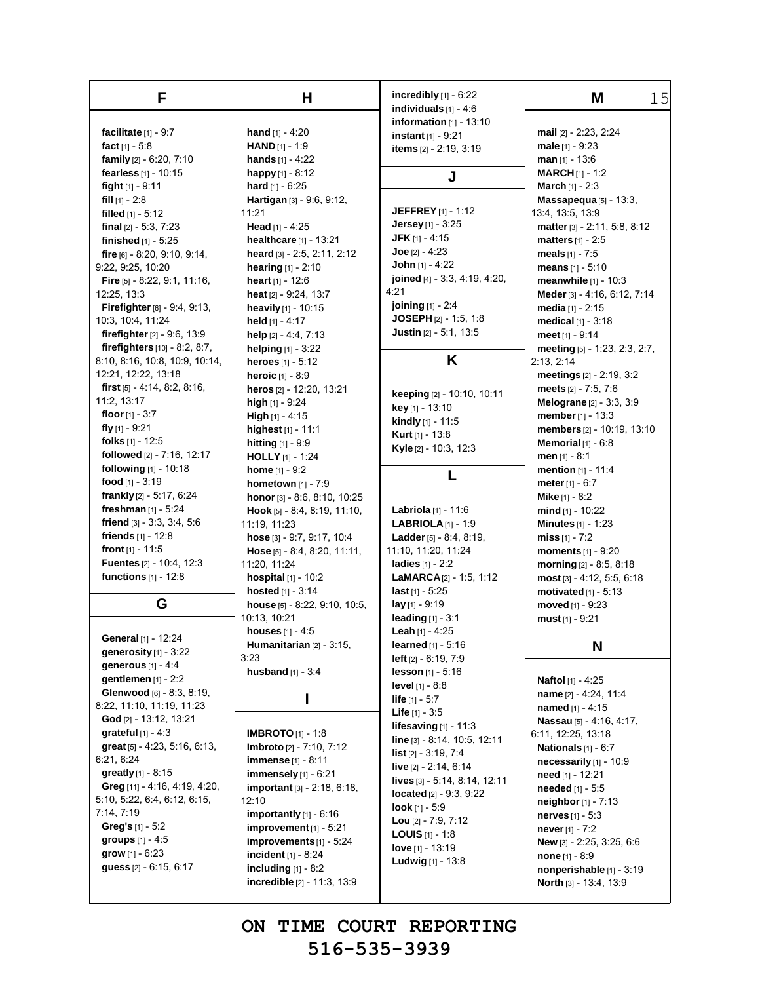| F                                     | н                                                    | incredibly $[1]$ - $6:22$                     | 15<br>Μ                                            |
|---------------------------------------|------------------------------------------------------|-----------------------------------------------|----------------------------------------------------|
|                                       |                                                      | individuals $[1] - 4:6$                       |                                                    |
| facilitate $[1]$ - 9:7                | <b>hand</b> $[1] - 4:20$                             | information $[1] - 13:10$                     | mail [2] - 2:23, 2:24                              |
| fact $[1] - 5.8$                      | <b>HAND</b> $[1] - 1:9$                              | instant $[1] - 9:21$                          | male $[1] - 9.23$                                  |
| family [2] - 6:20, 7:10               | <b>hands</b> $[1] - 4:22$                            | items [2] - 2:19, 3:19                        | $man$ [1] - 13:6                                   |
| fearless [1] - 10:15                  | happy $[1] - 8:12$                                   |                                               | <b>MARCH</b> $[1]$ - 1:2                           |
| fight $[1]$ - 9:11                    | hard $[1] - 6:25$                                    | J                                             | <b>March</b> $[1] - 2:3$                           |
| fill $[1] - 2.8$                      | Hartigan [3] - 9:6, 9:12,                            |                                               | Massapequa [5] - 13:3,                             |
| filled $[1] - 5:12$                   | 11:21                                                | <b>JEFFREY</b> [1] - 1:12                     | 13:4, 13:5, 13:9                                   |
| final $[2] - 5.3, 7.23$               | Head $[1] - 4:25$                                    | Jersey [1] - 3:25                             | matter [3] - 2:11, 5:8, 8:12                       |
| finished [1] - 5:25                   | healthcare [1] - 13:21                               | <b>JFK</b> $[1] - 4:15$                       | matters $[1] - 2.5$                                |
| fire [6] - 8:20, 9:10, 9:14,          | heard [3] - 2:5, 2:11, 2:12                          | $Joe [2] - 4:23$                              | meals $[1] - 7:5$                                  |
| 9:22, 9:25, 10:20                     | hearing $[1] - 2:10$                                 | John $[1] - 4:22$                             | means $[1] - 5:10$                                 |
| <b>Fire</b> $[5]$ - 8.22, 9.1, 11:16, | heart $[1] - 12.6$                                   | joined [4] - 3:3, 4:19, 4:20,                 | meanwhile $[1] - 10:3$                             |
| 12:25, 13:3                           | heat [2] - 9:24, 13:7                                | 4:21                                          | Meder [3] - 4:16, 6:12, 7:14                       |
| Firefighter [6] - 9:4, 9:13,          | heavily [1] - 10:15                                  | <b>joining</b> $[1] - 2.4$                    | media $[1] - 2:15$                                 |
| 10:3, 10:4, 11:24                     | held $[1] - 4:17$                                    | JOSEPH $[2] - 1:5, 1:8$                       | medical $[1] - 3:18$                               |
| firefighter $[2] - 9.6, 13.9$         | help [2] - 4:4, 7:13                                 | Justin [2] - 5:1, 13:5                        | meet $[1] - 9:14$                                  |
| firefighters [10] - 8:2, 8:7,         | helping $[1] - 3:22$                                 |                                               | meeting [5] - 1:23, 2:3, 2:7,                      |
| 8:10, 8:16, 10:8, 10:9, 10:14,        | heroes $[1] - 5:12$                                  | Κ                                             | 2:13, 2:14                                         |
| 12:21, 12:22, 13:18                   | heroic [1] - 8:9                                     |                                               | meetings $[2] - 2:19, 3:2$                         |
| first $[5] - 4.14$ , 8.2, 8.16,       | heros [2] - 12.20, 13:21                             |                                               | meets [2] - 7:5, 7:6                               |
| 11:2, 13:17                           | high $[1]$ - $9:24$                                  | keeping [2] - 10:10, 10:11                    | Melograne [2] - 3:3, 3:9                           |
| floor $[1] - 3:7$                     | High $[1] - 4.15$                                    | key [1] - 13:10                               | member [1] - 13:3                                  |
| fly $[1]$ - 9:21                      | highest [1] - 11:1                                   | <b>kindly</b> $[1]$ - 11:5                    | members [2] - 10:19, 13:10                         |
| folks $[1]$ - 12:5                    | hitting [1] - 9:9                                    | <b>Kurt</b> [1] - 13:8                        | Memorial $[1] - 6.8$                               |
| followed [2] - 7:16, 12:17            | <b>HOLLY</b> [1] - 1:24                              | Kyle [2] - 10:3, 12:3                         | men $[1] - 8:1$                                    |
| following [1] - 10:18                 | home $[1] - 9:2$                                     |                                               | mention [1] - 11:4                                 |
| food $[1] - 3:19$                     | hometown [1] - 7:9                                   |                                               | meter $[1] - 6:7$                                  |
| frankly $[2] - 5.17, 6.24$            | honor [3] - 8:6, 8:10, 10:25                         |                                               | <b>Mike</b> $[1] - 8:2$                            |
| freshman $[1]$ - 5:24                 | Hook [5] - 8:4, 8:19, 11:10,                         | Labriola [1] - 11:6                           | mind $[1]$ - 10:22                                 |
| friend $[3] - 3.3, 3.4, 5.6$          | 11:19, 11:23                                         | <b>LABRIOLA</b> $[1]$ - 1:9                   | <b>Minutes</b> $[1] - 1:23$                        |
| friends $[1] - 12.8$                  | hose [3] - 9:7, 9:17, 10:4                           | <b>Ladder</b> $[5] - 8.4, 8.19,$              | miss $[1] - 7:2$                                   |
| front $[1] - 11:5$                    | Hose [5] - 8:4, 8:20, 11:11,                         | 11:10, 11:20, 11:24                           | <b>moments</b> $[1] - 9:20$                        |
| Fuentes [2] - 10:4, 12:3              | 11:20, 11:24                                         | ladies [1] - 2:2                              | morning [2] - 8:5, 8:18                            |
| functions [1] - 12:8                  | hospital [1] - 10:2                                  | <b>LaMARCA</b> $[2] - 1:5, 1:12$              | $most$ [3] - 4:12, 5:5, 6:18                       |
|                                       | hosted [1] - 3:14                                    | <b>last</b> $[1] - 5:25$                      | motivated $[1]$ - 5:13                             |
| G                                     | house [5] - 8:22, 9:10, 10:5,                        | $lay_{[1]} - 9:19$                            | moved $[1] - 9:23$                                 |
|                                       | 10:13, 10:21                                         | <b>leading</b> $[1] - 3:1$                    | must $[1] - 9:21$                                  |
| General [1] - 12:24                   | <b>houses</b> $[1] - 4:5$                            | <b>Leah</b> $[1] - 4:25$                      |                                                    |
| generosity $[1]$ - $3:22$             | Humanitarian $[2] - 3:15$ ,                          | <b>learned</b> $[1] - 5:16$                   | N                                                  |
| generous $[1] - 4.4$                  | 3:23                                                 | <b>left</b> $[2] - 6:19, 7:9$                 |                                                    |
| gentlemen $[1]$ - 2:2                 | husband $[1] - 3.4$                                  | <b>lesson</b> $[1] - 5.16$<br>level [1] - 8:8 | Naftol [1] - 4:25                                  |
| Glenwood [6] - 8:3, 8:19,             |                                                      | <b>life</b> $[1] - 5.7$                       | name [2] - 4.24, 11:4                              |
| 8:22, 11:10, 11:19, 11:23             |                                                      | <b>Life</b> $[1] - 3:5$                       | named $[1] - 4:15$                                 |
| God [2] - 13:12, 13:21                |                                                      | lifesaving $[1]$ - 11:3                       | Nassau [5] - 4:16, 4:17,                           |
| grateful $[1] - 4:3$                  | <b>IMBROTO</b> $[1]$ - 1:8                           | line [3] - 8:14, 10:5, 12:11                  | 6:11, 12:25, 13:18                                 |
| great [5] - 4:23, 5:16, 6:13,         | <b>Imbroto</b> [2] - 7:10, 7:12                      | <b>list</b> $[2] - 3:19, 7:4$                 | <b>Nationals</b> $[1] - 6:7$                       |
| 6.21, 6.24                            | <b>immense</b> [1] - 8:11                            | live [2] - 2:14, 6:14                         | necessarily [1] - 10:9                             |
| greatly [1] - 8:15                    | immensely $[1]$ - $6.21$                             | lives [3] - 5:14, 8:14, 12:11                 | need [1] - 12:21                                   |
| Greg [11] - 4:16, 4:19, 4:20,         | <b>important</b> [3] - 2:18, 6:18,                   | located $[2] - 9.3, 9.22$                     | needed [1] - 5:5                                   |
| 5:10, 5:22, 6:4, 6:12, 6:15,          | 12:10                                                | <b>look</b> $[1] - 5.9$                       | neighbor $[1] - 7:13$                              |
| 7:14, 7:19                            | importantly $[1] - 6:16$                             | Lou $[2] - 7:9, 7:12$                         | <b>nerves</b> $[1] - 5:3$                          |
| Greg's $[1] - 5:2$                    | $improvement$ [1] - 5:21                             | <b>LOUIS</b> $[1]$ - 1:8                      | never $[1] - 7:2$                                  |
| $groups [1] - 4:5$                    | improvements $[1] - 5.24$                            | love $[1] - 13:19$                            | New [3] - 2:25, 3:25, 6:6                          |
| <b>grow</b> $[1] - 6:23$              |                                                      |                                               |                                                    |
|                                       | incident $[1] - 8:24$                                | <b>Ludwig</b> $[1] - 13.8$                    | <b>none</b> $[1] - 8:9$                            |
| guess [2] - 6:15, 6:17                | including $[1] - 8:2$<br>incredible [2] - 11:3, 13:9 |                                               | nonperishable [1] - 3:19<br>North [3] - 13:4, 13:9 |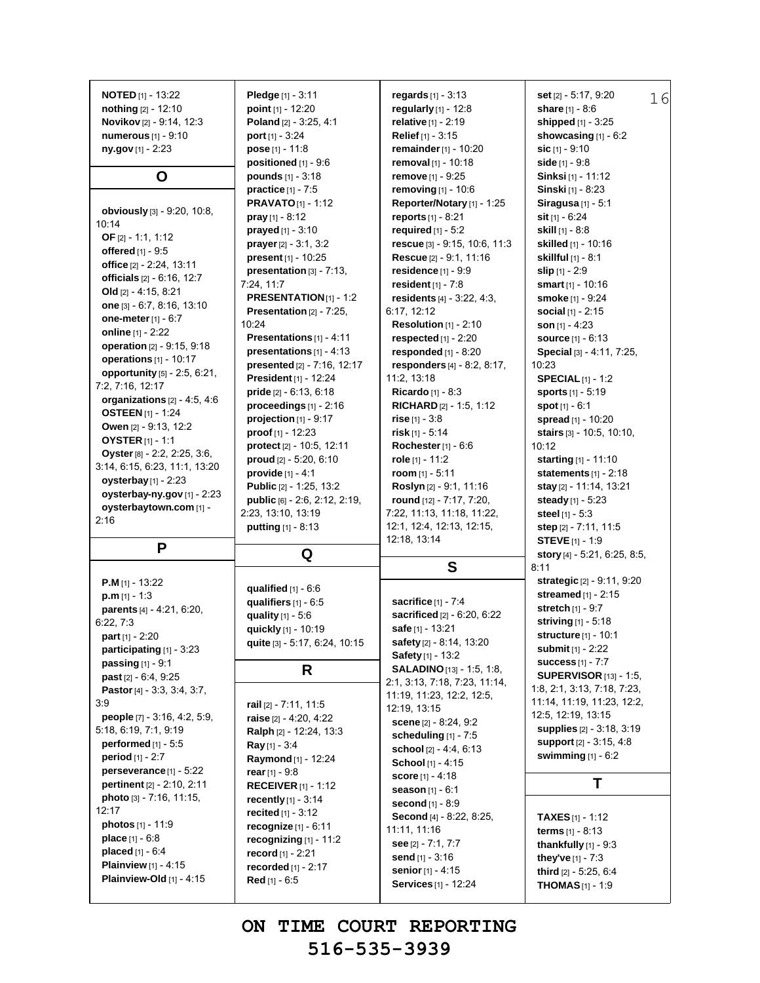| nothing [2] - 12:10<br>Novikov [2] - 9:14, 12:3<br>numerous [1] - 9:10<br>ny.gov $[1]$ - 2:23 | Pledge $[1] - 3:11$<br>point $[1] - 12:20$<br>Poland [2] - 3:25, 4:1<br><b>port</b> $[1]$ - 3:24<br>pose $[1] - 11.8$<br>positioned $[1]$ - 9:6<br>pounds $[1] - 3:18$ | regards $[1] - 3:13$<br>regularly [1] - 12:8<br><b>relative</b> $[1] - 2:19$<br><b>Relief</b> $[1] - 3:15$<br>remainder [1] - 10:20<br>removal [1] - 10:18 | set [2] - 5:17, 9:20<br>16<br>share $[1] - 8:6$<br>shipped [1] - 3:25<br>showcasing $[1]$ - $6:2$<br>$sic$ [1] - 9:10<br>side $[1] - 9.8$<br>Sinksi [1] - 11:12 |
|-----------------------------------------------------------------------------------------------|------------------------------------------------------------------------------------------------------------------------------------------------------------------------|------------------------------------------------------------------------------------------------------------------------------------------------------------|-----------------------------------------------------------------------------------------------------------------------------------------------------------------|
| O                                                                                             | practice $[1] - 7.5$                                                                                                                                                   | <b>remove</b> $[1] - 9:25$                                                                                                                                 | <b>Sinski</b> [1] - 8:23                                                                                                                                        |
| obviously [3] - 9:20, 10:8,<br>10:14                                                          | <b>PRAVATO</b> $[1]$ - 1:12<br><b>pray</b> $[1] - 8.12$                                                                                                                | removing [1] - 10:6<br>Reporter/Notary [1] - 1:25<br>reports [1] - 8:21                                                                                    | Siragusa $[1] - 5:1$<br>sit $[1] - 6.24$                                                                                                                        |
| OF $[2] - 1:1, 1:12$                                                                          | <b>prayed</b> $[1] - 3:10$                                                                                                                                             | required $[1] - 5:2$                                                                                                                                       | <b>skill</b> $[1] - 8.8$                                                                                                                                        |
| offered [1] - 9:5                                                                             | <b>prayer</b> $[2] - 3:1, 3:2$                                                                                                                                         | rescue [3] - 9:15, 10:6, 11:3                                                                                                                              | <b>skilled</b> [1] - 10:16                                                                                                                                      |
| office [2] - 2.24, 13:11                                                                      | <b>present</b> $[1] - 10:25$                                                                                                                                           | Rescue [2] - 9:1, 11:16                                                                                                                                    | <b>skillful</b> [1] - 8:1                                                                                                                                       |
| officials [2] - 6:16, 12:7                                                                    | presentation [3] - 7:13,                                                                                                                                               | residence [1] - 9:9                                                                                                                                        | slip $[1] - 2:9$                                                                                                                                                |
| Old $[2] - 4:15, 8:21$                                                                        | 7:24, 11:7                                                                                                                                                             | resident $[1] - 7.8$                                                                                                                                       | smart $[1] - 10:16$                                                                                                                                             |
| one $[3] - 6.7, 8.16, 13.10$                                                                  | PRESENTATION[1] - 1:2<br><b>Presentation</b> $[2] - 7:25$ ,                                                                                                            | residents [4] - 3:22, 4:3,                                                                                                                                 | smoke [1] - 9:24                                                                                                                                                |
| one-meter [1] - 6:7                                                                           | 10:24                                                                                                                                                                  | 6:17, 12:12<br>Resolution $[1]$ - 2:10                                                                                                                     | social $[1] - 2:15$<br>son $[1] - 4:23$                                                                                                                         |
| online [1] - 2:22                                                                             | Presentations [1] - 4:11                                                                                                                                               | respected $[1]$ - 2:20                                                                                                                                     | <b>source</b> $[1] - 6:13$                                                                                                                                      |
| operation [2] - 9:15, 9:18                                                                    | presentations [1] - 4:13                                                                                                                                               | responded $[1]$ - 8:20                                                                                                                                     | Special [3] - 4:11, 7:25,                                                                                                                                       |
| operations $[1]$ - 10:17                                                                      | presented [2] - 7:16, 12:17                                                                                                                                            | responders $[4] - 8:2, 8:17,$                                                                                                                              | 10:23                                                                                                                                                           |
| opportunity [5] - 2:5, 6:21,                                                                  | President [1] - 12:24                                                                                                                                                  | 11:2, 13:18                                                                                                                                                | <b>SPECIAL</b> $[1]$ - 1:2                                                                                                                                      |
| 7:2, 7:16, 12:17                                                                              | <b>pride</b> $[2] - 6.13, 6.18$                                                                                                                                        | Ricardo [1] - 8:3                                                                                                                                          | <b>sports</b> $[1] - 5.19$                                                                                                                                      |
| organizations $[2] - 4:5, 4:6$                                                                | proceedings $[1]$ - 2:16                                                                                                                                               | RICHARD [2] - 1:5, 1:12                                                                                                                                    | <b>spot</b> $[1] - 6:1$                                                                                                                                         |
| <b>OSTEEN</b> [1] - 1:24                                                                      | projection $[1]$ - $9:17$                                                                                                                                              | rise $[1] - 3.8$                                                                                                                                           | spread [1] - 10:20                                                                                                                                              |
| Owen [2] - 9:13, 12:2                                                                         | proof [1] - 12:23                                                                                                                                                      | risk $[1] - 5.14$                                                                                                                                          | stairs [3] - 10:5, 10:10,                                                                                                                                       |
| <b>OYSTER</b> [1] - 1:1                                                                       | protect [2] - 10:5, 12:11                                                                                                                                              | Rochester [1] - 6:6                                                                                                                                        | 10:12                                                                                                                                                           |
| Oyster [8] - 2:2, 2:25, 3:6,<br>3:14, 6:15, 6:23, 11:1, 13:20                                 | proud $[2] - 5:20, 6:10$                                                                                                                                               | role $[1]$ - 11:2                                                                                                                                          | <b>starting</b> $[1] - 11:10$                                                                                                                                   |
| oysterbay $[1]$ - 2:23                                                                        | provide $[1] - 4:1$                                                                                                                                                    | room $[1] - 5:11$                                                                                                                                          | statements $[1] - 2:18$                                                                                                                                         |
| oysterbay-ny.gov [1] - 2:23                                                                   | Public [2] - 1:25, 13:2                                                                                                                                                | Roslyn [2] - 9:1, 11:16                                                                                                                                    | stay [2] - 11:14, 13:21                                                                                                                                         |
| oysterbaytown.com [1] -                                                                       | public [6] - 2:6, 2:12, 2:19,                                                                                                                                          | round [12] - 7:17, 7:20,                                                                                                                                   | steady [1] - 5:23                                                                                                                                               |
| 2:16                                                                                          | 2:23, 13:10, 13:19                                                                                                                                                     | 7:22, 11:13, 11:18, 11:22,                                                                                                                                 | steel $[1] - 5:3$                                                                                                                                               |
|                                                                                               | <b>putting</b> $[1] - 8.13$                                                                                                                                            | 12:1, 12:4, 12:13, 12:15,                                                                                                                                  | step [2] - 7:11, 11:5                                                                                                                                           |
| P                                                                                             | Q                                                                                                                                                                      | 12:18, 13:14                                                                                                                                               | <b>STEVE</b> $[1]$ - 1:9                                                                                                                                        |
|                                                                                               |                                                                                                                                                                        |                                                                                                                                                            |                                                                                                                                                                 |
|                                                                                               |                                                                                                                                                                        |                                                                                                                                                            | story $[4]$ - 5:21, 6:25, 8:5,                                                                                                                                  |
|                                                                                               |                                                                                                                                                                        | S                                                                                                                                                          | 8:11                                                                                                                                                            |
| <b>P.M</b> [1] - 13:22                                                                        | qualified $[1] - 6.6$                                                                                                                                                  |                                                                                                                                                            | strategic [2] - 9:11, 9:20                                                                                                                                      |
| $p.m$ <sub>[1]</sub> - 1:3                                                                    | qualifiers $[1] - 6.5$                                                                                                                                                 | sacrifice $[1] - 7.4$                                                                                                                                      | <b>streamed</b> $[1] - 2:15$                                                                                                                                    |
| parents [4] - 4:21, 6:20,                                                                     | quality $[1] - 5.6$                                                                                                                                                    | sacrificed [2] - 6:20, 6:22                                                                                                                                | <b>stretch</b> $[1] - 9.7$                                                                                                                                      |
| 6:22, 7:3                                                                                     | quickly [1] - 10:19                                                                                                                                                    | safe [1] - 13:21                                                                                                                                           | striving $[1]$ - 5:18<br>structure [1] - 10:1                                                                                                                   |
| part [1] - 2:20<br>participating [1] - 3:23                                                   | quite [3] - 5:17, 6:24, 10:15                                                                                                                                          | safety [2] - 8:14, 13:20                                                                                                                                   | <b>submit</b> [1] - 2:22                                                                                                                                        |
| passing [1] - 9:1                                                                             |                                                                                                                                                                        | <b>Safety</b> [1] - 13:2                                                                                                                                   | success $[1] - 7:7$                                                                                                                                             |
| <b>past</b> $[2] - 6.4, 9.25$                                                                 | R                                                                                                                                                                      | SALADINO [13] - 1:5, 1:8,                                                                                                                                  | <b>SUPERVISOR</b> [13] - 1:5,                                                                                                                                   |
| Pastor [4] - 3:3, 3:4, 3:7,                                                                   |                                                                                                                                                                        | 2:1, 3:13, 7:18, 7:23, 11:14,                                                                                                                              | 1.8, 2.1, 3.13, 7.18, 7.23,                                                                                                                                     |
| 3:9                                                                                           | rail [2] - 7:11, 11:5                                                                                                                                                  | 11:19, 11:23, 12:2, 12:5,                                                                                                                                  | 11:14, 11:19, 11:23, 12:2,                                                                                                                                      |
| people [7] - 3:16, 4:2, 5:9,                                                                  | raise [2] - 4:20, 4:22                                                                                                                                                 | 12:19, 13:15                                                                                                                                               | 12:5, 12:19, 13:15                                                                                                                                              |
| 5:18, 6:19, 7:1, 9:19                                                                         | Ralph [2] - 12:24, 13:3                                                                                                                                                | scene [2] - 8:24, 9:2<br>scheduling [1] - 7:5                                                                                                              | <b>supplies</b> [2] - 3:18, 3:19                                                                                                                                |
| performed $[1]$ - 5:5                                                                         | <b>Ray</b> [1] - $3:4$                                                                                                                                                 | school [2] - 4:4, 6:13                                                                                                                                     | support [2] - 3:15, 4:8                                                                                                                                         |
| period $[1] - 2:7$                                                                            | Raymond [1] - 12:24                                                                                                                                                    | School [1] - 4:15                                                                                                                                          | swimming $[1] - 6:2$                                                                                                                                            |
| perseverance $[1]$ - 5:22                                                                     | rear $[1] - 9.8$                                                                                                                                                       | <b>score</b> $[1] - 4:18$                                                                                                                                  |                                                                                                                                                                 |
| pertinent [2] - 2:10, 2:11                                                                    | <b>RECEIVER</b> [1] - 1:12                                                                                                                                             | season $[1] - 6:1$                                                                                                                                         | T                                                                                                                                                               |
| photo [3] - 7:16, 11:15,                                                                      | recently $[1] - 3:14$                                                                                                                                                  | second [1] - 8:9                                                                                                                                           |                                                                                                                                                                 |
| 12:17                                                                                         | recited $[1] - 3:12$                                                                                                                                                   | Second [4] - 8:22, 8:25,                                                                                                                                   | <b>TAXES</b> $[1]$ - 1:12                                                                                                                                       |
| <b>photos</b> $[1] - 11.9$                                                                    | recognize $[1] - 6.11$                                                                                                                                                 | 11:11, 11:16                                                                                                                                               | terms $[1] - 8:13$                                                                                                                                              |
| <b>place</b> $[1] - 6.8$<br><b>placed</b> $[1] - 6.4$                                         | recognizing $[1]$ - 11:2                                                                                                                                               | see [2] - 7:1, 7:7                                                                                                                                         | thankfully $[1]$ - $9:3$                                                                                                                                        |
| <b>Plainview</b> $[1] - 4:15$                                                                 | record $[1] - 2:21$                                                                                                                                                    | send [1] - 3:16                                                                                                                                            | they've $[1] - 7:3$                                                                                                                                             |
| Plainview-Old $[1] - 4.15$                                                                    | recorded [1] - 2:17<br>Red $[1] - 6:5$                                                                                                                                 | senior [1] - 4:15<br>Services [1] - 12:24                                                                                                                  | third [2] - 5:25, 6:4<br><b>THOMAS</b> $[1]$ - 1:9                                                                                                              |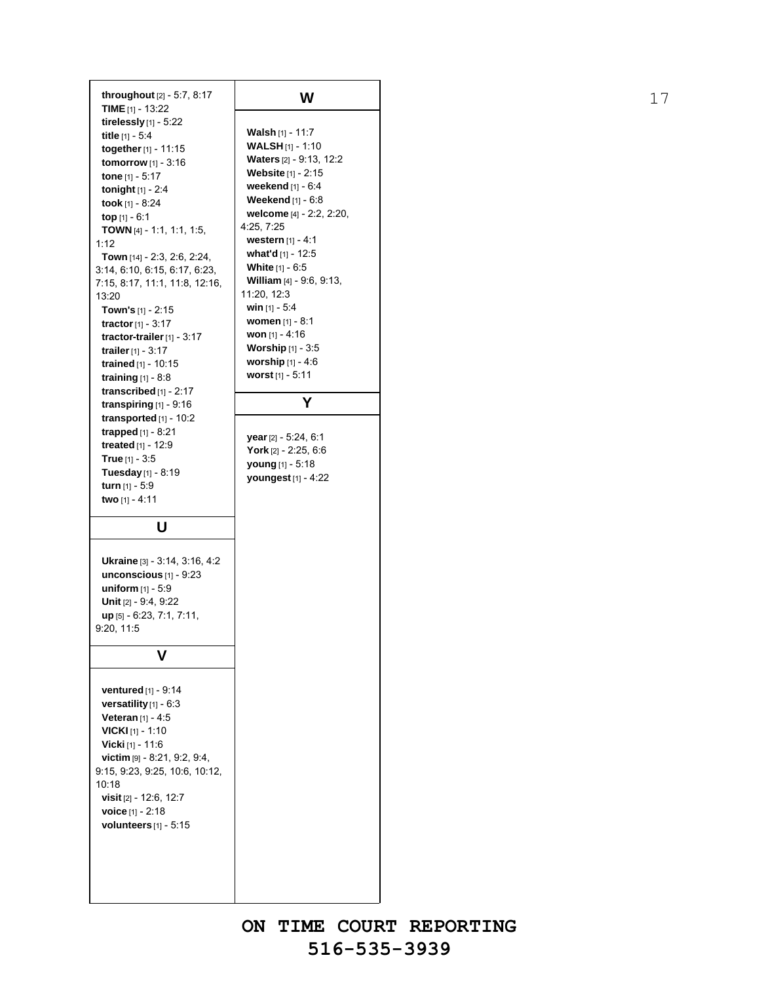**throughout** [2] - 5:7, 8:17 **TIME** [1] - 13:22 **tirelessly** [1] - 5:22 **title** [1] - 5:4 **together**[1] - 11:15 **tomorrow** [1] - 3:16 **tone** [1] - 5:17 **tonight** [1] - 2:4 **took** [1] - 8:24 **top** [1] - 6:1 **TOWN** [4] - 1:1, 1:1, 1:5, 1:12 **Town** [14] - 2:3, 2:6, 2:24, 3:14, 6:10, 6:15, 6:17, 6:23, 7:15, 8:17, 11:1, 11:8, 12:16, 13:20 **Town's** [1] - 2:15 **tractor**[1] - 3:17 **tractor-trailer**[1] - 3:17 **trailer**[1] - 3:17 **trained** [1] - 10:15 **training** [1] - 8:8 **transcribed** [1] - 2:17 **transpiring** [1] - 9:16 **transported** [1] - 10:2 **trapped** [1] - 8:21 **treated** [1] - 12:9 **True** [1] - 3:5 **Tuesday** [1] - 8:19 **turn** [1] - 5:9 **two** [1] - 4:11 **U Ukraine** [3] - 3:14, 3:16, 4:2 **unconscious** [1] - 9:23 **uniform** [1] - 5:9 **Unit** [2] - 9:4, 9:22 **up** [5] - 6:23, 7:1, 7:11, 9:20, 11:5 **V ventured** [1] - 9:14 **versatility** [1] - 6:3 **Veteran** [1] - 4:5 **VICKI** [1] - 1:10 **Vicki** [1] - 11:6 **victim** [9] - 8:21, 9:2, 9:4, 9:15, 9:23, 9:25, 10:6, 10:12, 10:18 **visit** [2] - 12:6, 12:7 **voice** [1] - 2:18 **volunteers** [1] - 5:15

**Walsh** [1] - 11:7 **WALSH** [1] - 1:10 **Waters** [2] - 9:13, 12:2 **Website** [1] - 2:15 **weekend** [1] - 6:4 **Weekend** [1] - 6:8 **welcome** [4] - 2:2, 2:20, 4:25, 7:25 **western** [1] - 4:1 **what'd** [1] - 12:5 **White** [1] - 6:5 **William** [4] - 9:6, 9:13, 11:20, 12:3 **win** [1] - 5:4 **women** [1] - 8:1 **won** [1] - 4:16 **Worship** [1] - 3:5 **worship** [1] - 4:6 **worst** [1] - 5:11 **Y year**[2] - 5:24, 6:1 **York** [2] - 2:25, 6:6 **young** [1] - 5:18 **youngest** [1] - 4:22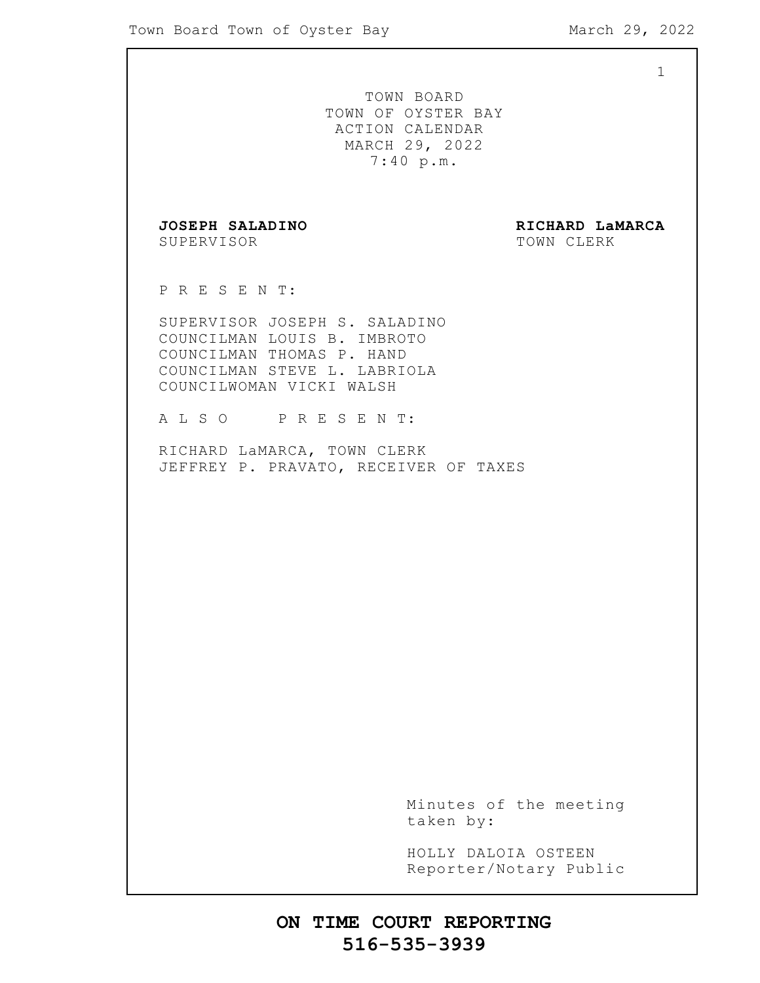1 TOWN BOARD TOWN OF OYSTER BAY ACTION CALENDAR MARCH 29, 2022 7:40 p.m. **JOSEPH SALADINO RICHARD LaMARCA** SUPERVISOR TOWN CLERK P R E S E N T: SUPERVISOR JOSEPH S. SALADINO COUNCILMAN LOUIS B. IMBROTO COUNCILMAN THOMAS P. HAND COUNCILMAN STEVE L. LABRIOLA COUNCILWOMAN VICKI WALSH A L S O P R E S E N T: RICHARD LaMARCA, TOWN CLERK JEFFREY P. PRAVATO, RECEIVER OF TAXES Minutes of the meeting taken by: HOLLY DALOIA OSTEEN Reporter/Notary Public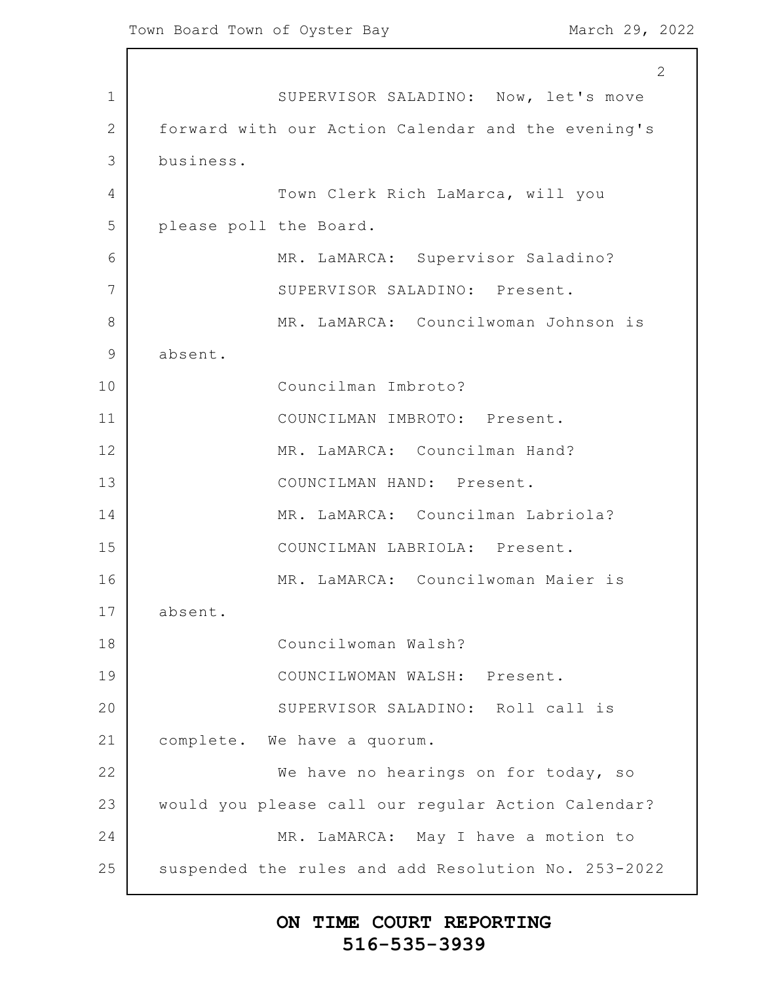1 2 3 4 5 6 7 8 9 10 11 12 13 14 15 16 17 18 19 20 21 22 23 24 25 2 SUPERVISOR SALADINO: Now, let's move forward with our Action Calendar and the evening's business. Town Clerk Rich LaMarca, will you please poll the Board. MR. LaMARCA: Supervisor Saladino? SUPERVISOR SALADINO: Present. MR. LaMARCA: Councilwoman Johnson is absent. Councilman Imbroto? COUNCILMAN IMBROTO: Present. MR. LaMARCA: Councilman Hand? COUNCILMAN HAND: Present. MR. LaMARCA: Councilman Labriola? COUNCILMAN LABRIOLA: Present. MR. LaMARCA: Councilwoman Maier is absent. Councilwoman Walsh? COUNCILWOMAN WALSH: Present. SUPERVISOR SALADINO: Roll call is complete. We have a quorum. We have no hearings on for today, so would you please call our regular Action Calendar? MR. LaMARCA: May I have a motion to suspended the rules and add Resolution No. 253-2022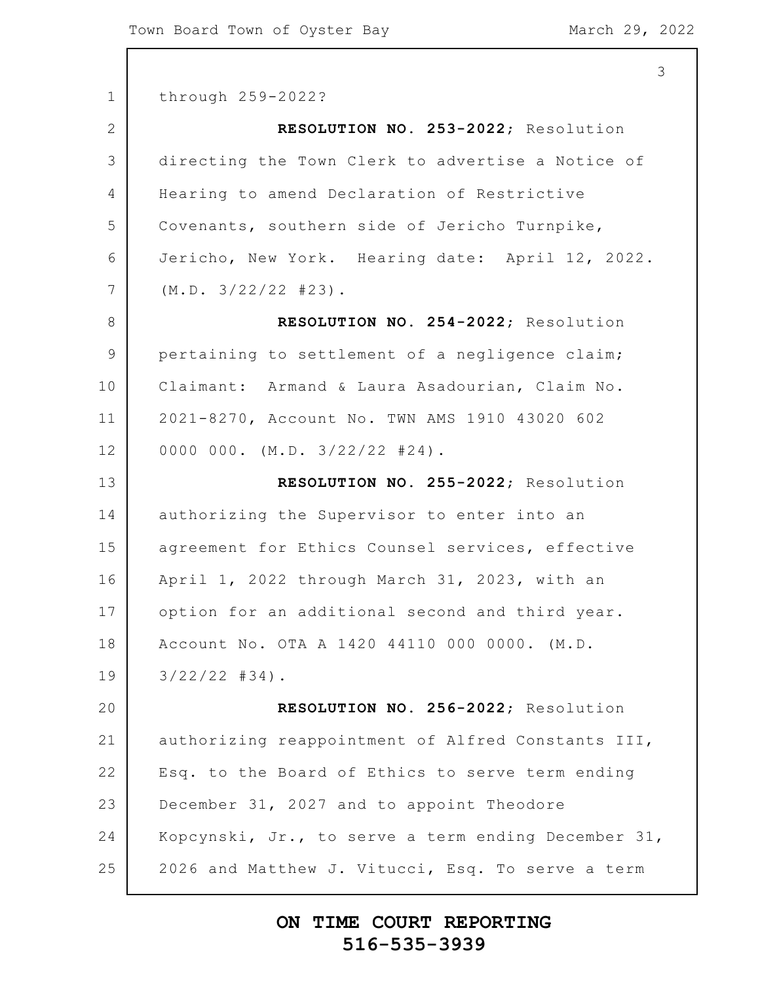|                 | 3                                                   |
|-----------------|-----------------------------------------------------|
| $\mathbf 1$     | through 259-2022?                                   |
| $\overline{2}$  | RESOLUTION NO. 253-2022; Resolution                 |
| 3               | directing the Town Clerk to advertise a Notice of   |
| 4               | Hearing to amend Declaration of Restrictive         |
| 5               | Covenants, southern side of Jericho Turnpike,       |
| 6               | Jericho, New York. Hearing date: April 12, 2022.    |
| $7\phantom{.0}$ | (M.D. 3/22/22  #23).                                |
| 8               | RESOLUTION NO. 254-2022; Resolution                 |
| $\mathcal{G}$   | pertaining to settlement of a negligence claim;     |
| 10              | Claimant: Armand & Laura Asadourian, Claim No.      |
| 11              | 2021-8270, Account No. TWN AMS 1910 43020 602       |
| 12              | 0000 000. $(M.D. 3/22/22 #24)$ .                    |
| 13              | RESOLUTION NO. 255-2022; Resolution                 |
| 14              | authorizing the Supervisor to enter into an         |
| 15              | agreement for Ethics Counsel services, effective    |
| 16              | April 1, 2022 through March 31, 2023, with an       |
| 17              | option for an additional second and third year.     |
| 18              | Account No. OTA A 1420 44110 000 0000. (M.D.        |
| 19              | $3/22/22$ #34).                                     |
| 20              | RESOLUTION NO. 256-2022; Resolution                 |
| 21              | authorizing reappointment of Alfred Constants III,  |
| 22              | Esq. to the Board of Ethics to serve term ending    |
| 23              | December 31, 2027 and to appoint Theodore           |
| 24              | Kopcynski, Jr., to serve a term ending December 31, |
| 25              | 2026 and Matthew J. Vitucci, Esq. To serve a term   |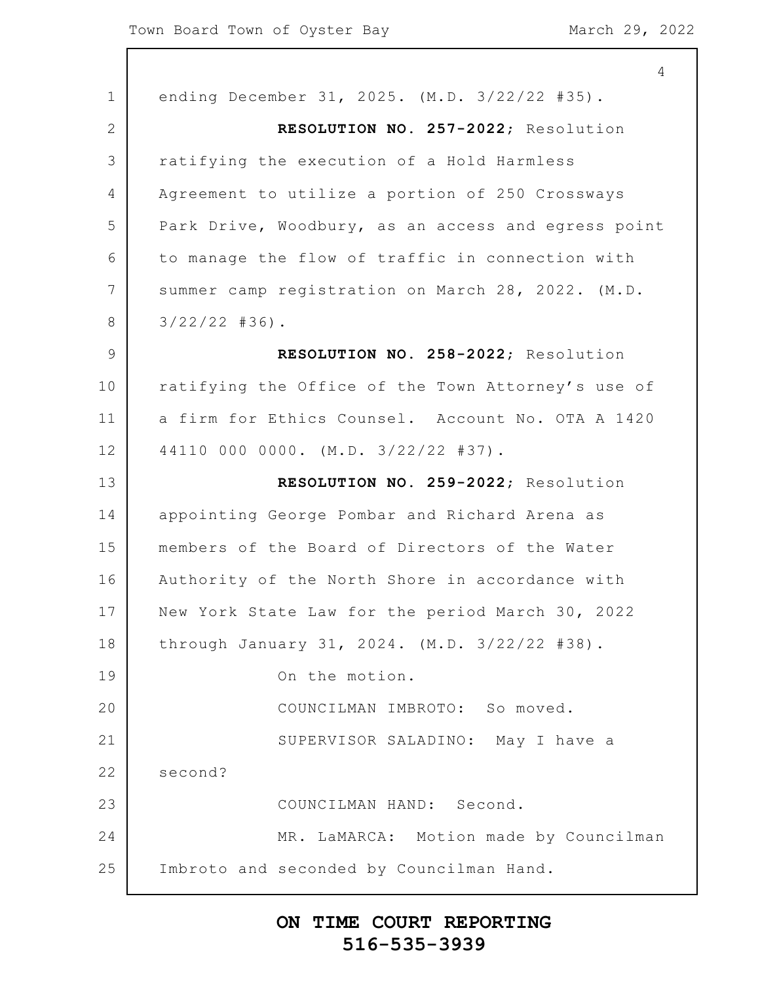|                | $\overline{4}$                                      |
|----------------|-----------------------------------------------------|
| $\mathbf 1$    | ending December 31, 2025. (M.D. 3/22/22 #35).       |
| 2              | RESOLUTION NO. 257-2022; Resolution                 |
| 3              | ratifying the execution of a Hold Harmless          |
| $\overline{4}$ | Agreement to utilize a portion of 250 Crossways     |
| 5              | Park Drive, Woodbury, as an access and egress point |
| 6              | to manage the flow of traffic in connection with    |
| 7              | summer camp registration on March 28, 2022. (M.D.   |
| 8              | $3/22/22$ #36).                                     |
| $\mathcal{G}$  | RESOLUTION NO. 258-2022; Resolution                 |
| 10             | ratifying the Office of the Town Attorney's use of  |
| 11             | a firm for Ethics Counsel. Account No. OTA A 1420   |
| 12             | 44110 000 0000. (M.D. 3/22/22 #37).                 |
| 13             | RESOLUTION NO. 259-2022; Resolution                 |
| 14             | appointing George Pombar and Richard Arena as       |
| 15             | members of the Board of Directors of the Water      |
| 16             | Authority of the North Shore in accordance with     |
| 17             | New York State Law for the period March 30, 2022    |
| 18             | through January 31, 2024. (M.D. 3/22/22 #38).       |
| 19             | On the motion.                                      |
| 20             | COUNCILMAN IMBROTO: So moved.                       |
| 21             | SUPERVISOR SALADINO: May I have a                   |
| 22             | second?                                             |
| 23             | COUNCILMAN HAND: Second.                            |
| 24             | MR. LaMARCA: Motion made by Councilman              |
| 25             | Imbroto and seconded by Councilman Hand.            |
|                |                                                     |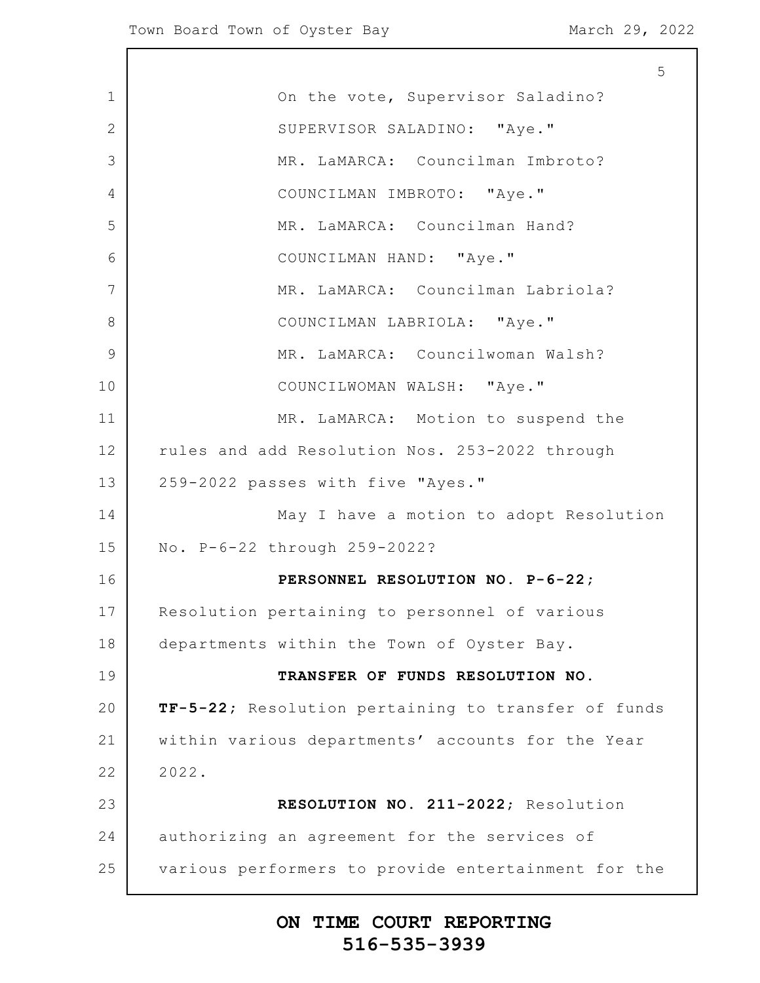|               | 5                                                   |
|---------------|-----------------------------------------------------|
| $\mathbf 1$   | On the vote, Supervisor Saladino?                   |
| $\mathbf{2}$  | SUPERVISOR SALADINO: "Aye."                         |
| 3             | MR. LaMARCA: Councilman Imbroto?                    |
| 4             | COUNCILMAN IMBROTO: "Aye."                          |
| 5             | MR. LaMARCA: Councilman Hand?                       |
| 6             | COUNCILMAN HAND: "Aye."                             |
| 7             | MR. LaMARCA: Councilman Labriola?                   |
| 8             | COUNCILMAN LABRIOLA: "Aye."                         |
| $\mathcal{G}$ | MR. LaMARCA: Councilwoman Walsh?                    |
| 10            | COUNCILWOMAN WALSH: "Aye."                          |
| 11            | MR. LaMARCA: Motion to suspend the                  |
| 12            | rules and add Resolution Nos. 253-2022 through      |
| 13            | 259-2022 passes with five "Ayes."                   |
| 14            | May I have a motion to adopt Resolution             |
| 15            | No. P-6-22 through 259-2022?                        |
| 16            | PERSONNEL RESOLUTION NO. P-6-22;                    |
| 17            | Resolution pertaining to personnel of various       |
| 18            | departments within the Town of Oyster Bay.          |
| 19            | TRANSFER OF FUNDS RESOLUTION NO.                    |
| 20            | TF-5-22; Resolution pertaining to transfer of funds |
| 21            | within various departments' accounts for the Year   |
| 22            | 2022.                                               |
| 23            | RESOLUTION NO. 211-2022; Resolution                 |
| 24            | authorizing an agreement for the services of        |
| 25            | various performers to provide entertainment for the |
|               |                                                     |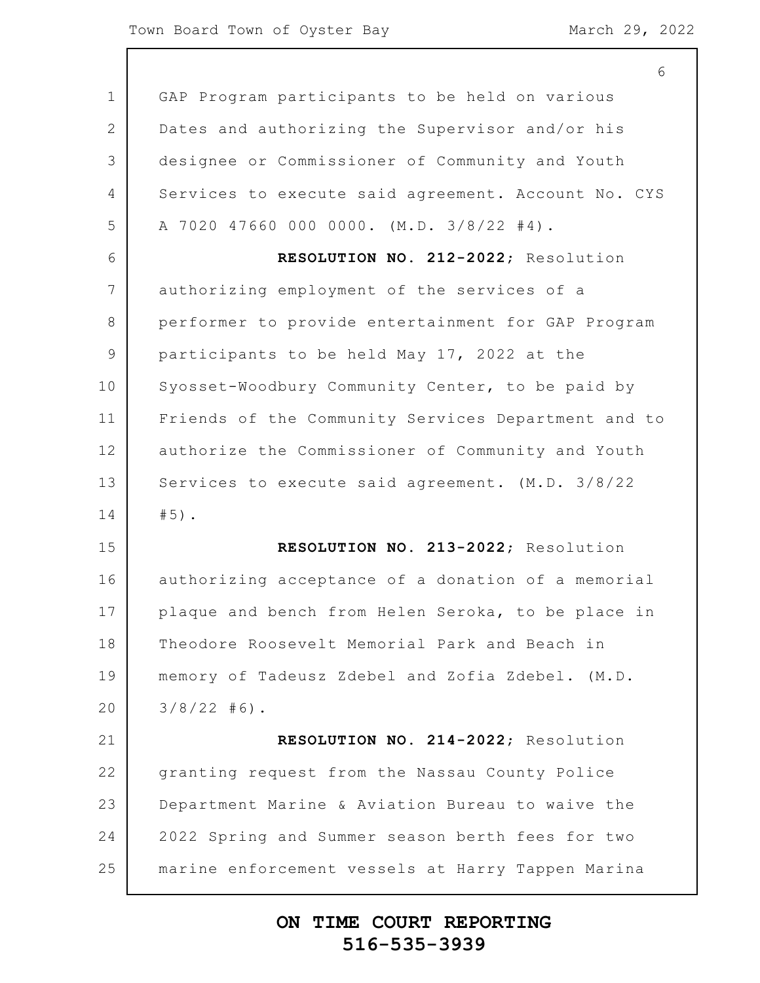6

1 2 3 4 5 6 7 8 9 10 11 12 13 14 15 16 17 18 19 20 21 22 23 24 25 GAP Program participants to be held on various Dates and authorizing the Supervisor and/or his designee or Commissioner of Community and Youth Services to execute said agreement. Account No. CYS A 7020 47660 000 0000. (M.D. 3/8/22 #4). **RESOLUTION NO. 212-2022**; Resolution authorizing employment of the services of a performer to provide entertainment for GAP Program participants to be held May 17, 2022 at the Syosset-Woodbury Community Center, to be paid by Friends of the Community Services Department and to authorize the Commissioner of Community and Youth Services to execute said agreement. (M.D. 3/8/22 #5). **RESOLUTION NO. 213-2022**; Resolution authorizing acceptance of a donation of a memorial plaque and bench from Helen Seroka, to be place in Theodore Roosevelt Memorial Park and Beach in memory of Tadeusz Zdebel and Zofia Zdebel. (M.D.  $3/8/22$  #6). **RESOLUTION NO. 214-2022**; Resolution granting request from the Nassau County Police Department Marine & Aviation Bureau to waive the 2022 Spring and Summer season berth fees for two marine enforcement vessels at Harry Tappen Marina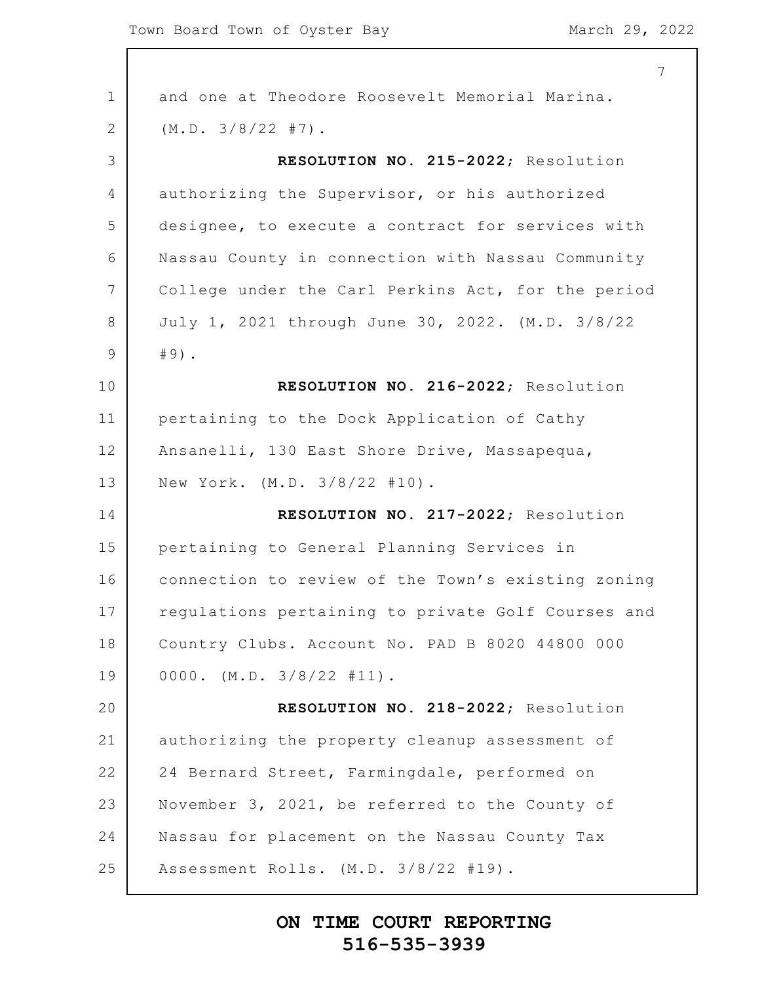|               | 7                                                  |
|---------------|----------------------------------------------------|
| $\mathbf 1$   | and one at Theodore Roosevelt Memorial Marina.     |
| 2             | (M.D. 3/8/22 #7).                                  |
| 3             | RESOLUTION NO. 215-2022; Resolution                |
| 4             | authorizing the Supervisor, or his authorized      |
| 5             | designee, to execute a contract for services with  |
| 6             | Nassau County in connection with Nassau Community  |
| 7             | College under the Carl Perkins Act, for the period |
| 8             | July 1, 2021 through June 30, 2022. (M.D. 3/8/22   |
| $\mathcal{G}$ | $#9)$ .                                            |
| 10            | RESOLUTION NO. 216-2022; Resolution                |
| 11            | pertaining to the Dock Application of Cathy        |
| 12            | Ansanelli, 130 East Shore Drive, Massapequa,       |
| 13            | New York. (M.D. 3/8/22 #10).                       |
| 14            | RESOLUTION NO. 217-2022; Resolution                |
| 15            | pertaining to General Planning Services in         |
| 16            | connection to review of the Town's existing zoning |
| 17            | regulations pertaining to private Golf Courses and |
| 18            | Country Clubs. Account No. PAD B 8020 44800 000    |
| 19            | $0000.$ (M.D. $3/8/22$ #11).                       |
| 20            | RESOLUTION NO. 218-2022; Resolution                |
| 21            | authorizing the property cleanup assessment of     |
| 22            | 24 Bernard Street, Farmingdale, performed on       |
| 23            | November 3, 2021, be referred to the County of     |
| 24            | Nassau for placement on the Nassau County Tax      |
| 25            | Assessment Rolls. (M.D. 3/8/22 #19).               |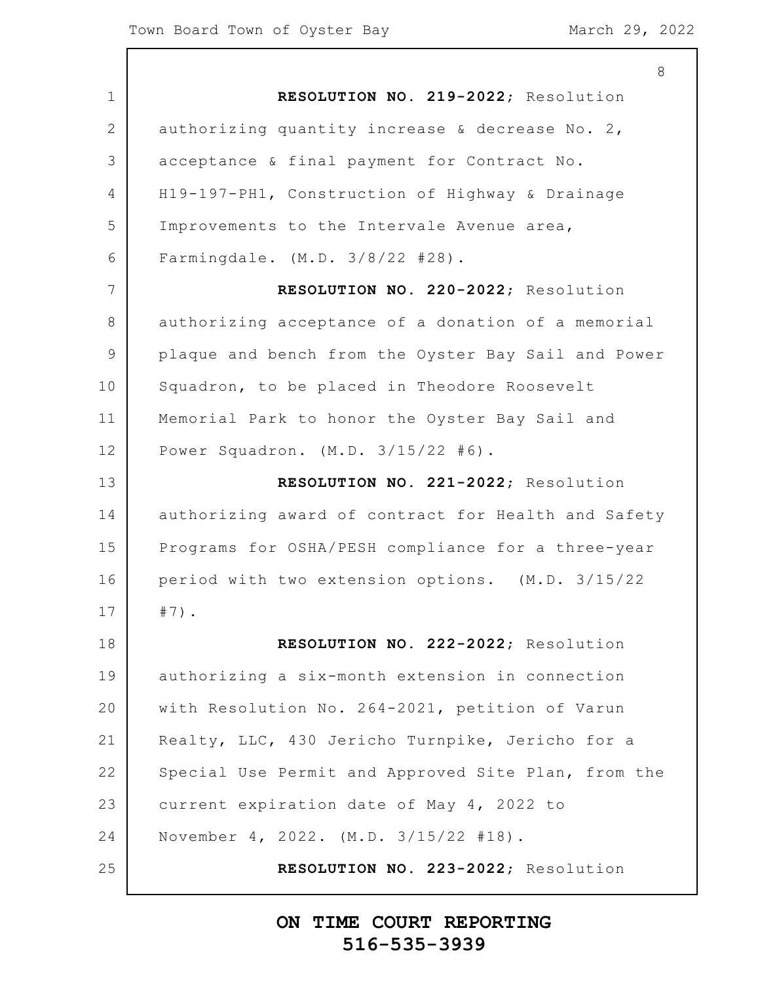|                | 8                                                   |
|----------------|-----------------------------------------------------|
| $\mathbf 1$    | RESOLUTION NO. 219-2022; Resolution                 |
| $\overline{2}$ | authorizing quantity increase & decrease No. 2,     |
| 3              | acceptance & final payment for Contract No.         |
| 4              | H19-197-PH1, Construction of Highway & Drainage     |
| 5              | Improvements to the Intervale Avenue area,          |
| 6              | Farmingdale. (M.D. 3/8/22 #28).                     |
| 7              | RESOLUTION NO. 220-2022; Resolution                 |
| 8              | authorizing acceptance of a donation of a memorial  |
| 9              | plaque and bench from the Oyster Bay Sail and Power |
| 10             | Squadron, to be placed in Theodore Roosevelt        |
| 11             | Memorial Park to honor the Oyster Bay Sail and      |
| 12             | Power Squadron. $(M.D. 3/15/22 #6)$ .               |
| 13             | RESOLUTION NO. 221-2022; Resolution                 |
| 14             | authorizing award of contract for Health and Safety |
| 15             | Programs for OSHA/PESH compliance for a three-year  |
| 16             | period with two extension options. (M.D. 3/15/22    |
| 17             | $#7)$ .                                             |
| 18             | RESOLUTION NO. 222-2022; Resolution                 |
| 19             | authorizing a six-month extension in connection     |
| 20             | with Resolution No. 264-2021, petition of Varun     |
| 21             | Realty, LLC, 430 Jericho Turnpike, Jericho for a    |
| 22             | Special Use Permit and Approved Site Plan, from the |
| 23             | current expiration date of May 4, 2022 to           |
| 24             | November 4, 2022. (M.D. 3/15/22 #18).               |
| 25             | RESOLUTION NO. 223-2022; Resolution                 |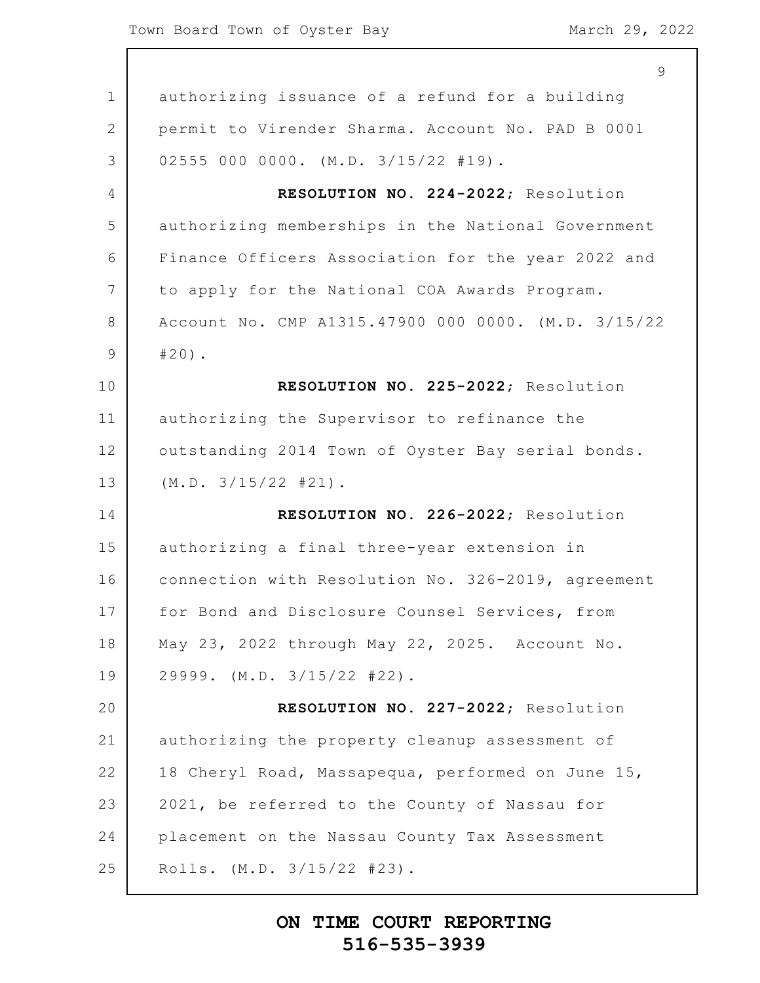|                | $\overline{9}$                                      |
|----------------|-----------------------------------------------------|
| $\mathbf 1$    | authorizing issuance of a refund for a building     |
| $\overline{2}$ | permit to Virender Sharma. Account No. PAD B 0001   |
| 3              | 02555 000 0000. (M.D. 3/15/22 #19).                 |
| 4              | RESOLUTION NO. 224-2022; Resolution                 |
| 5              | authorizing memberships in the National Government  |
| 6              | Finance Officers Association for the year 2022 and  |
| $7\phantom{.}$ | to apply for the National COA Awards Program.       |
| 8              | Account No. CMP A1315.47900 000 0000. (M.D. 3/15/22 |
| $\mathsf 9$    | $#20$ ).                                            |
| 10             | RESOLUTION NO. 225-2022; Resolution                 |
| 11             | authorizing the Supervisor to refinance the         |
| 12             | outstanding 2014 Town of Oyster Bay serial bonds.   |
| 13             | (M.D. 3/15/22 #21).                                 |
| 14             | RESOLUTION NO. 226-2022; Resolution                 |
| 15             | authorizing a final three-year extension in         |
| 16             | connection with Resolution No. 326-2019, agreement  |
| 17             | for Bond and Disclosure Counsel Services, from      |
| 18             | May 23, 2022 through May 22, 2025. Account No.      |
| 19             | $29999.$ (M.D. $3/15/22$ #22).                      |
| 20             | RESOLUTION NO. 227-2022; Resolution                 |
| 21             | authorizing the property cleanup assessment of      |
| 22             | 18 Cheryl Road, Massapequa, performed on June 15,   |
| 23             | 2021, be referred to the County of Nassau for       |
| 24             | placement on the Nassau County Tax Assessment       |
| 25             | Rolls. (M.D. 3/15/22 #23).                          |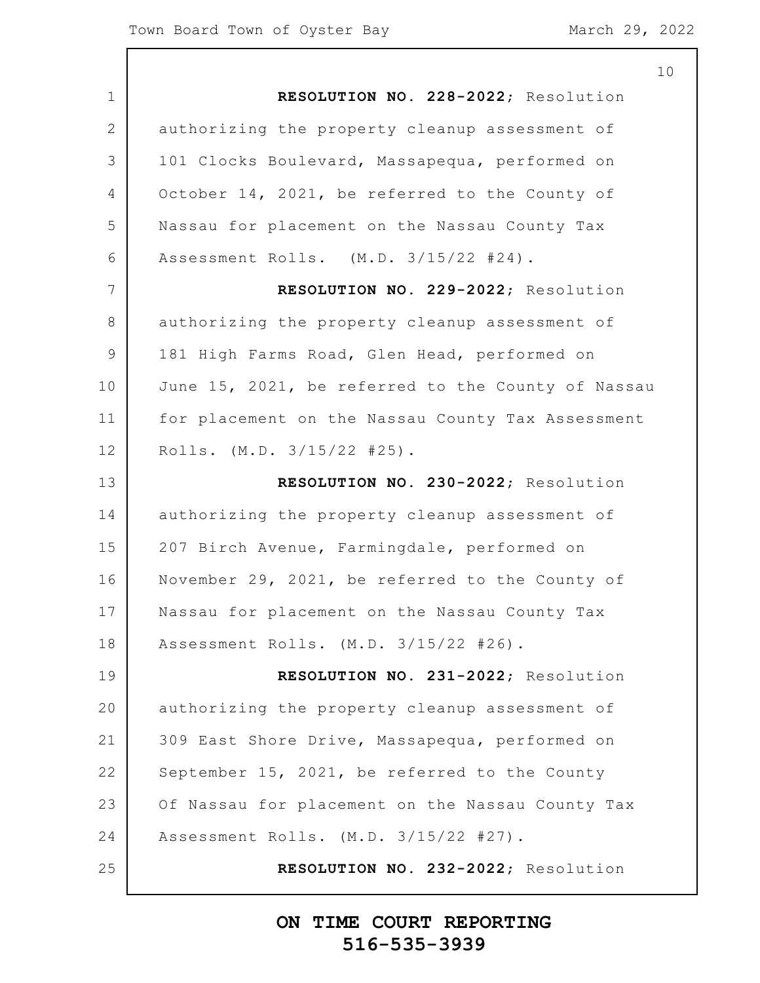|                | 10                                                 |
|----------------|----------------------------------------------------|
| $\mathbf 1$    | RESOLUTION NO. 228-2022; Resolution                |
| $\mathbf{2}$   | authorizing the property cleanup assessment of     |
| 3              | 101 Clocks Boulevard, Massapequa, performed on     |
| $\overline{4}$ | October 14, 2021, be referred to the County of     |
| 5              | Nassau for placement on the Nassau County Tax      |
| 6              | Assessment Rolls. (M.D. 3/15/22 #24).              |
| 7              | RESOLUTION NO. 229-2022; Resolution                |
| 8              | authorizing the property cleanup assessment of     |
| $\mathcal{G}$  | 181 High Farms Road, Glen Head, performed on       |
| 10             | June 15, 2021, be referred to the County of Nassau |
| 11             | for placement on the Nassau County Tax Assessment  |
| 12             | Rolls. $(M.D. 3/15/22 #25)$ .                      |
| 13             | RESOLUTION NO. 230-2022; Resolution                |
| 14             | authorizing the property cleanup assessment of     |
| 15             | 207 Birch Avenue, Farmingdale, performed on        |
| 16             | November 29, 2021, be referred to the County of    |
| 17             | Nassau for placement on the Nassau County Tax      |
| 18             | Assessment Rolls. (M.D. 3/15/22 #26).              |
| 19             | RESOLUTION NO. 231-2022; Resolution                |
| 20             | authorizing the property cleanup assessment of     |
| 21             | 309 East Shore Drive, Massapequa, performed on     |
| 22             | September 15, 2021, be referred to the County      |
| 23             | Of Nassau for placement on the Nassau County Tax   |
| 24             | Assessment Rolls. (M.D. 3/15/22 #27).              |
| 25             | RESOLUTION NO. 232-2022; Resolution                |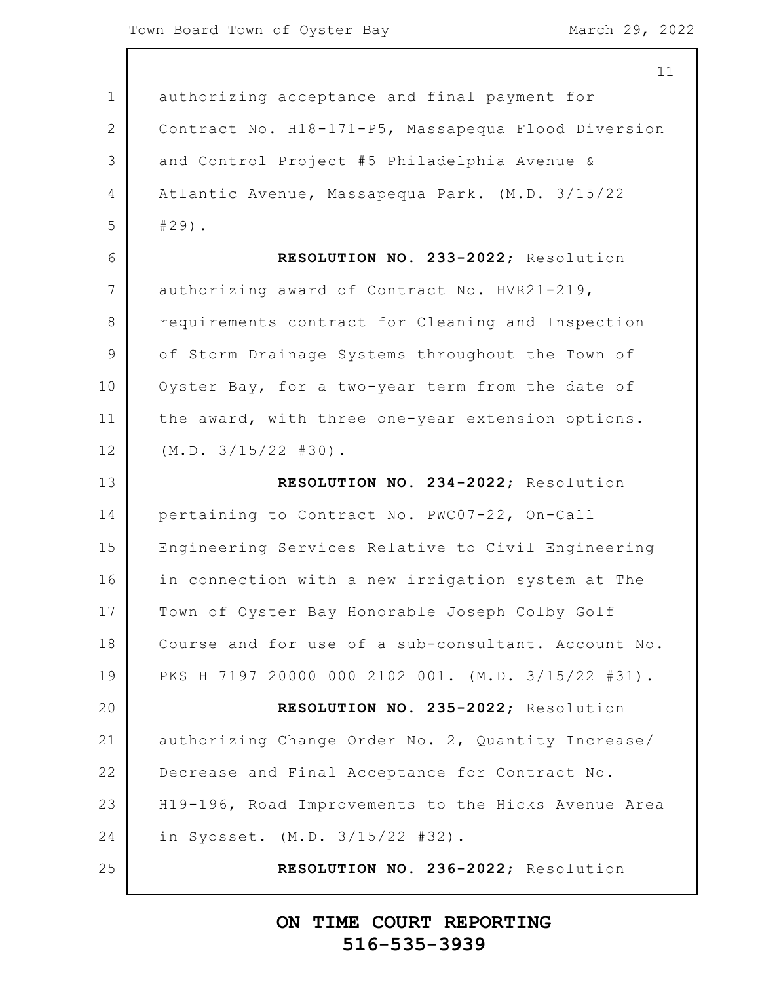|                | 11                                                  |
|----------------|-----------------------------------------------------|
| $\mathbf 1$    | authorizing acceptance and final payment for        |
| $\mathbf{2}$   | Contract No. H18-171-P5, Massapequa Flood Diversion |
| 3              | and Control Project #5 Philadelphia Avenue &        |
| $\overline{4}$ | Atlantic Avenue, Massapequa Park. (M.D. 3/15/22     |
| 5              | $#29)$ .                                            |
| 6              | RESOLUTION NO. 233-2022; Resolution                 |
| 7              | authorizing award of Contract No. HVR21-219,        |
| 8              | requirements contract for Cleaning and Inspection   |
| $\overline{9}$ | of Storm Drainage Systems throughout the Town of    |
| 10             | Oyster Bay, for a two-year term from the date of    |
| 11             | the award, with three one-year extension options.   |
| 12             | (M.D. 3/15/22 #30).                                 |
| 13             | RESOLUTION NO. 234-2022; Resolution                 |
| 14             | pertaining to Contract No. PWC07-22, On-Call        |
| 15             | Engineering Services Relative to Civil Engineering  |
| 16             | in connection with a new irrigation system at The   |
| 17             | Town of Oyster Bay Honorable Joseph Colby Golf      |
| 18             | Course and for use of a sub-consultant. Account No. |
| 19             | PKS H 7197 20000 000 2102 001. (M.D. 3/15/22 #31).  |
| 20             | RESOLUTION NO. 235-2022; Resolution                 |
| 21             | authorizing Change Order No. 2, Quantity Increase/  |
| 22             | Decrease and Final Acceptance for Contract No.      |
| 23             | H19-196, Road Improvements to the Hicks Avenue Area |
| 24             | in Syosset. (M.D. 3/15/22 #32).                     |
| 25             | RESOLUTION NO. 236-2022; Resolution                 |
|                |                                                     |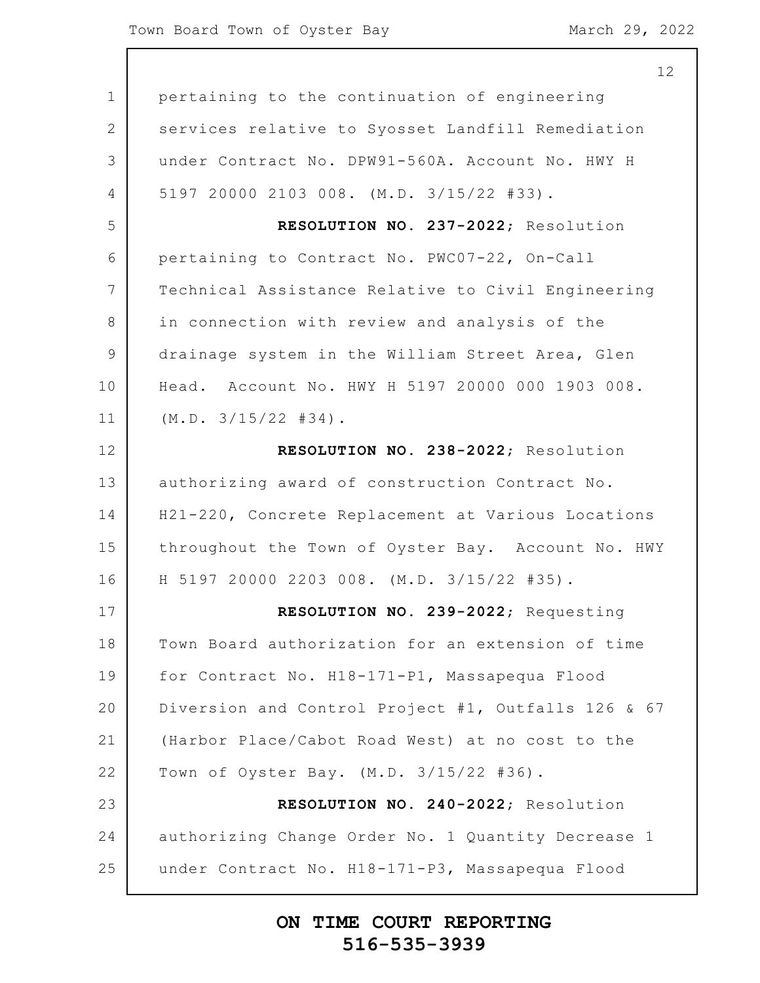| 12                                                  |
|-----------------------------------------------------|
| pertaining to the continuation of engineering       |
| services relative to Syosset Landfill Remediation   |
| under Contract No. DPW91-560A. Account No. HWY H    |
| 5197 20000 2103 008. (M.D. 3/15/22 #33).            |
| RESOLUTION NO. 237-2022; Resolution                 |
| pertaining to Contract No. PWC07-22, On-Call        |
| Technical Assistance Relative to Civil Engineering  |
| in connection with review and analysis of the       |
| drainage system in the William Street Area, Glen    |
| Head. Account No. HWY H 5197 20000 000 1903 008.    |
| (M.D. 3/15/22  #34).                                |
| RESOLUTION NO. 238-2022; Resolution                 |
| authorizing award of construction Contract No.      |
| H21-220, Concrete Replacement at Various Locations  |
| throughout the Town of Oyster Bay. Account No. HWY  |
| H 5197 20000 2203 008. (M.D. 3/15/22 #35).          |
| RESOLUTION NO. 239-2022; Requesting                 |
| Town Board authorization for an extension of time   |
| for Contract No. H18-171-P1, Massapequa Flood       |
| Diversion and Control Project #1, Outfalls 126 & 67 |
| (Harbor Place/Cabot Road West) at no cost to the    |
| Town of Oyster Bay. (M.D. 3/15/22 #36).             |
| RESOLUTION NO. 240-2022; Resolution                 |
| authorizing Change Order No. 1 Quantity Decrease 1  |
|                                                     |
|                                                     |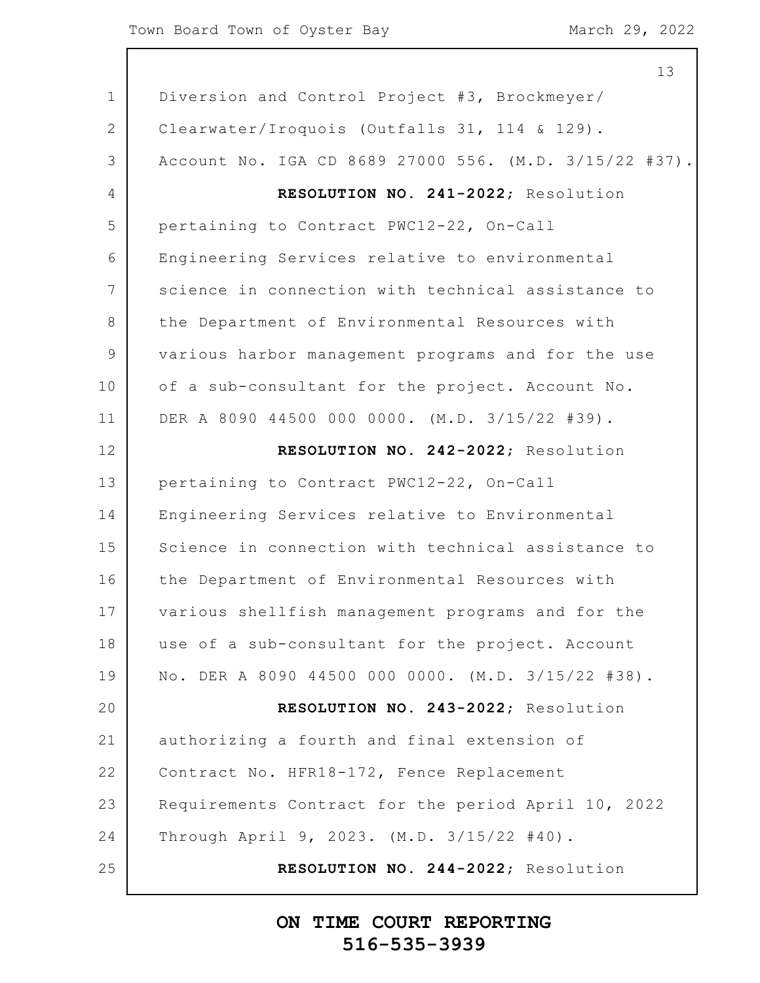|                | 13                                                     |  |  |  |  |
|----------------|--------------------------------------------------------|--|--|--|--|
| $\mathbf 1$    | Diversion and Control Project #3, Brockmeyer/          |  |  |  |  |
| 2              | Clearwater/Iroquois (Outfalls 31, 114 & 129).          |  |  |  |  |
| 3              | Account No. IGA CD 8689 27000 556. (M.D. 3/15/22 #37). |  |  |  |  |
| 4              | RESOLUTION NO. 241-2022; Resolution                    |  |  |  |  |
| 5              | pertaining to Contract PWC12-22, On-Call               |  |  |  |  |
| 6              | Engineering Services relative to environmental         |  |  |  |  |
| 7              | science in connection with technical assistance to     |  |  |  |  |
| 8              | the Department of Environmental Resources with         |  |  |  |  |
| $\overline{9}$ | various harbor management programs and for the use     |  |  |  |  |
| 10             | of a sub-consultant for the project. Account No.       |  |  |  |  |
| 11             | DER A 8090 44500 000 0000. (M.D. 3/15/22 #39).         |  |  |  |  |
| 12             | RESOLUTION NO. 242-2022; Resolution                    |  |  |  |  |
| 13             | pertaining to Contract PWC12-22, On-Call               |  |  |  |  |
| 14             | Engineering Services relative to Environmental         |  |  |  |  |
| 15             | Science in connection with technical assistance to     |  |  |  |  |
| 16             | the Department of Environmental Resources with         |  |  |  |  |
| 17             | various shellfish management programs and for the      |  |  |  |  |
| 18             | use of a sub-consultant for the project. Account       |  |  |  |  |
| 19             | No. DER A 8090 44500 000 0000. (M.D. 3/15/22 #38).     |  |  |  |  |
| 20             | RESOLUTION NO. 243-2022; Resolution                    |  |  |  |  |
| 21             | authorizing a fourth and final extension of            |  |  |  |  |
| 22             | Contract No. HFR18-172, Fence Replacement              |  |  |  |  |
| 23             | Requirements Contract for the period April 10, 2022    |  |  |  |  |
| 24             | Through April 9, 2023. (M.D. 3/15/22 #40).             |  |  |  |  |
| 25             | RESOLUTION NO. 244-2022; Resolution                    |  |  |  |  |
|                |                                                        |  |  |  |  |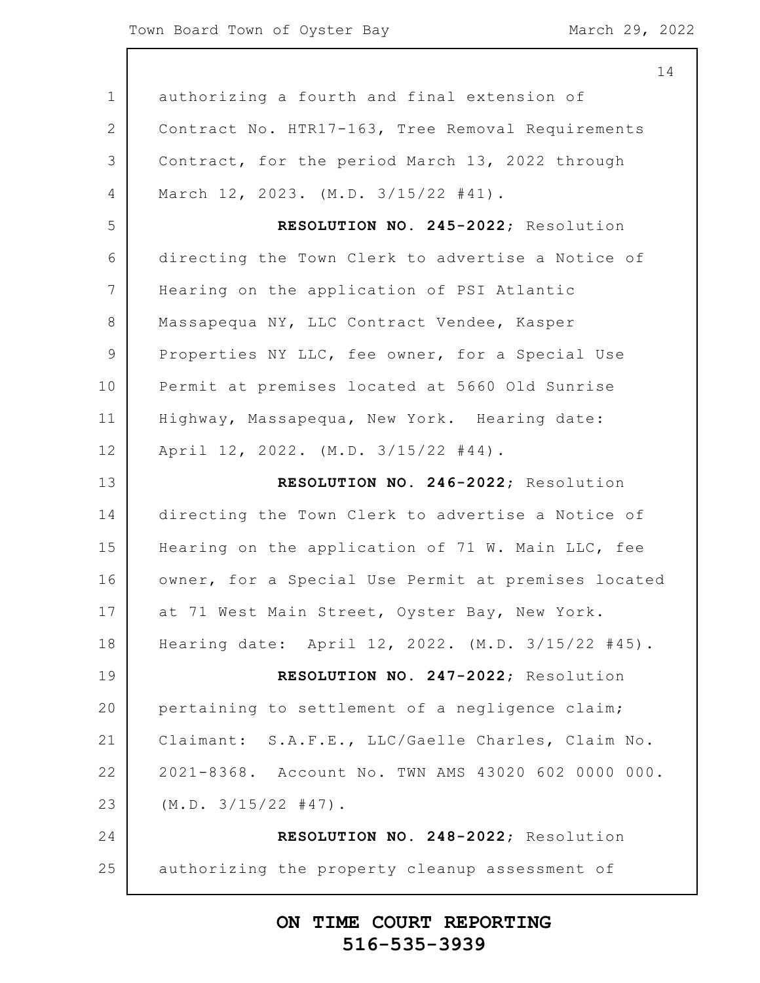|              | 14                                                  |
|--------------|-----------------------------------------------------|
| $\mathbf 1$  | authorizing a fourth and final extension of         |
| $\mathbf{2}$ | Contract No. HTR17-163, Tree Removal Requirements   |
| 3            | Contract, for the period March 13, 2022 through     |
| 4            | March 12, 2023. (M.D. 3/15/22 #41).                 |
| 5            | RESOLUTION NO. 245-2022; Resolution                 |
| 6            | directing the Town Clerk to advertise a Notice of   |
| 7            | Hearing on the application of PSI Atlantic          |
| 8            | Massapequa NY, LLC Contract Vendee, Kasper          |
| 9            | Properties NY LLC, fee owner, for a Special Use     |
| 10           | Permit at premises located at 5660 Old Sunrise      |
| 11           | Highway, Massapequa, New York. Hearing date:        |
| 12           | April 12, 2022. (M.D. 3/15/22 #44).                 |
| 13           | RESOLUTION NO. 246-2022; Resolution                 |
| 14           | directing the Town Clerk to advertise a Notice of   |
| 15           | Hearing on the application of 71 W. Main LLC, fee   |
| 16           | owner, for a Special Use Permit at premises located |
| 17           | at 71 West Main Street, Oyster Bay, New York.       |
| 18           | Hearing date: April 12, 2022. (M.D. 3/15/22 #45).   |
| 19           | RESOLUTION NO. 247-2022; Resolution                 |
| 20           | pertaining to settlement of a negligence claim;     |
| 21           | Claimant: S.A.F.E., LLC/Gaelle Charles, Claim No.   |
| 22           | 2021-8368. Account No. TWN AMS 43020 602 0000 000.  |
| 23           | $(M.D. 3/15/22 #47)$ .                              |
| 24           | RESOLUTION NO. 248-2022; Resolution                 |
| 25           | authorizing the property cleanup assessment of      |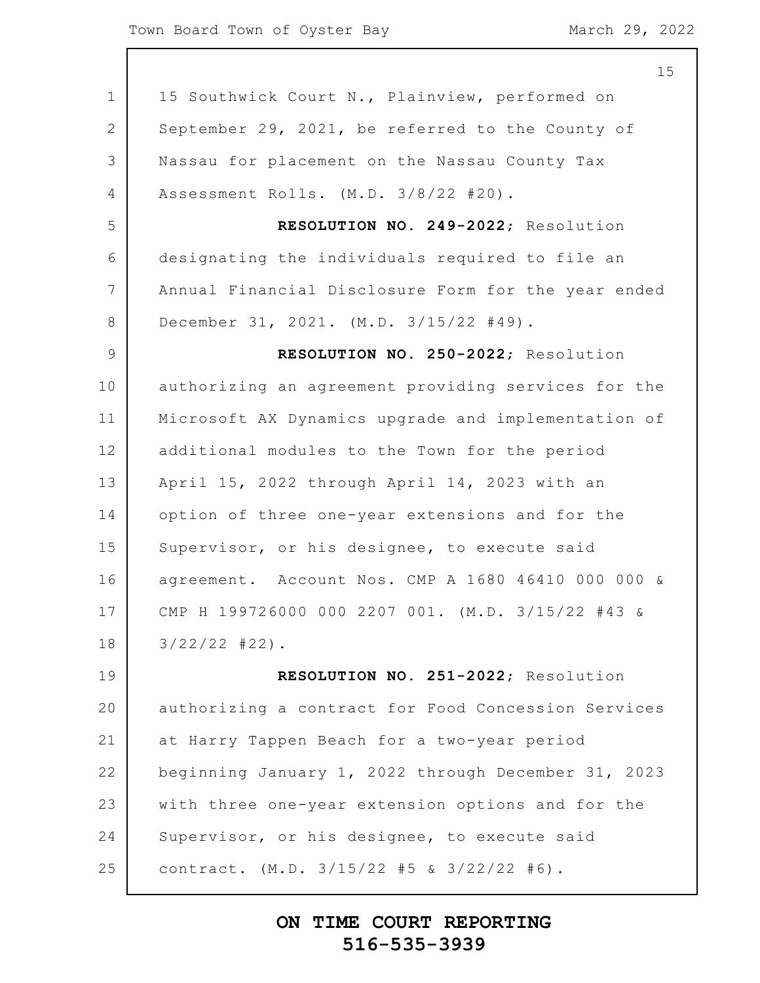|                 | 15                                                  |
|-----------------|-----------------------------------------------------|
| $\mathbf 1$     | 15 Southwick Court N., Plainview, performed on      |
| $\overline{2}$  | September 29, 2021, be referred to the County of    |
| 3               | Nassau for placement on the Nassau County Tax       |
| 4               | Assessment Rolls. (M.D. 3/8/22 #20).                |
| 5               | RESOLUTION NO. 249-2022; Resolution                 |
| 6               | designating the individuals required to file an     |
| $7\overline{ }$ | Annual Financial Disclosure Form for the year ended |
| 8               | December 31, 2021. (M.D. 3/15/22 #49).              |
| 9               | RESOLUTION NO. 250-2022; Resolution                 |
| 10              | authorizing an agreement providing services for the |
| 11              | Microsoft AX Dynamics upgrade and implementation of |
| 12              | additional modules to the Town for the period       |
| 13              | April 15, 2022 through April 14, 2023 with an       |
| 14              | option of three one-year extensions and for the     |
| 15              | Supervisor, or his designee, to execute said        |
| 16              | agreement. Account Nos. CMP A 1680 46410 000 000 &  |
| 17              | CMP H 199726000 000 2207 001. (M.D. 3/15/22 #43 &   |
| 18              | $3/22/22$ #22).                                     |
| 19              | RESOLUTION NO. 251-2022; Resolution                 |
| 20              | authorizing a contract for Food Concession Services |
| 21              | at Harry Tappen Beach for a two-year period         |
| 22              | beginning January 1, 2022 through December 31, 2023 |
| 23              | with three one-year extension options and for the   |
| 24              | Supervisor, or his designee, to execute said        |
| 25              | contract. $(M.D. 3/15/22 #5 & 3/22/22 #6)$ .        |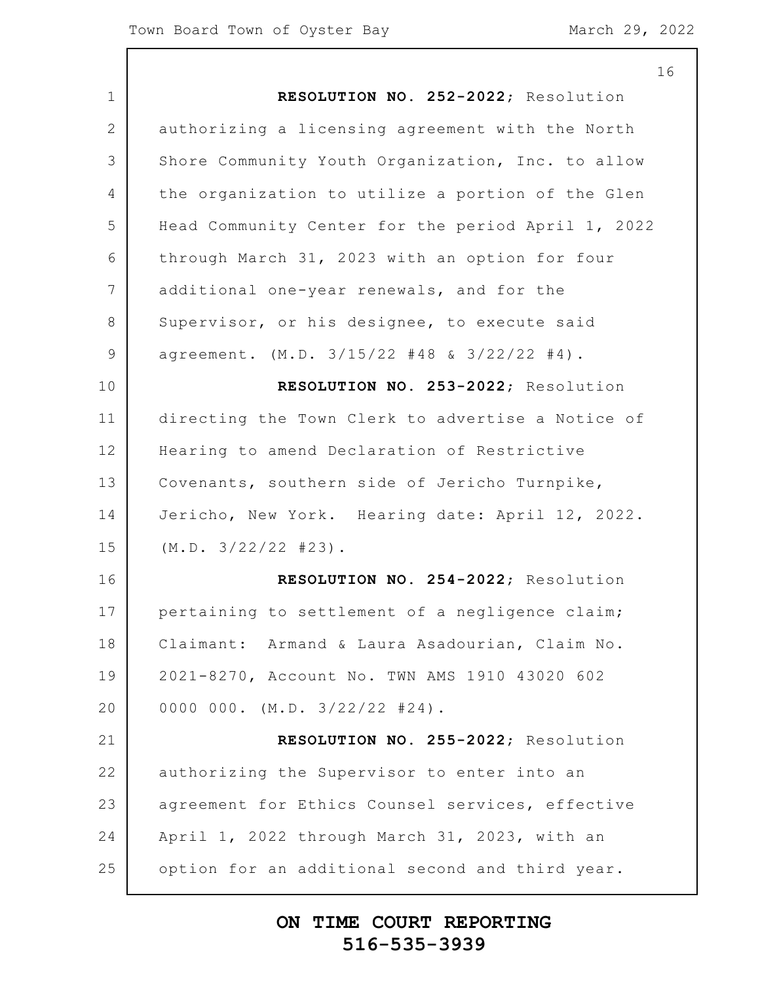|                 | 16                                                 |
|-----------------|----------------------------------------------------|
| $\mathbf 1$     | RESOLUTION NO. 252-2022; Resolution                |
| 2               | authorizing a licensing agreement with the North   |
| 3               | Shore Community Youth Organization, Inc. to allow  |
| 4               | the organization to utilize a portion of the Glen  |
| 5               | Head Community Center for the period April 1, 2022 |
| 6               | through March 31, 2023 with an option for four     |
| $7\overline{ }$ | additional one-year renewals, and for the          |
| 8               | Supervisor, or his designee, to execute said       |
| $\mathcal{G}$   | agreement. (M.D. 3/15/22 #48 & 3/22/22 #4).        |
| 10              | RESOLUTION NO. 253-2022; Resolution                |
| 11              | directing the Town Clerk to advertise a Notice of  |
| 12              | Hearing to amend Declaration of Restrictive        |
| 13              | Covenants, southern side of Jericho Turnpike,      |
| 14              | Jericho, New York. Hearing date: April 12, 2022.   |
| 15              | (M.D. 3/22/22  #23).                               |
| 16              | RESOLUTION NO. 254-2022; Resolution                |
| 17              | pertaining to settlement of a negligence claim;    |
| 18              | Claimant: Armand & Laura Asadourian, Claim No.     |
| 19              | 2021-8270, Account No. TWN AMS 1910 43020 602      |
| 20              | 0000 000. $(M.D. 3/22/22 #24)$ .                   |
| 21              | RESOLUTION NO. 255-2022; Resolution                |
| 22              | authorizing the Supervisor to enter into an        |
| 23              | agreement for Ethics Counsel services, effective   |
| 24              | April 1, 2022 through March 31, 2023, with an      |
| 25              | option for an additional second and third year.    |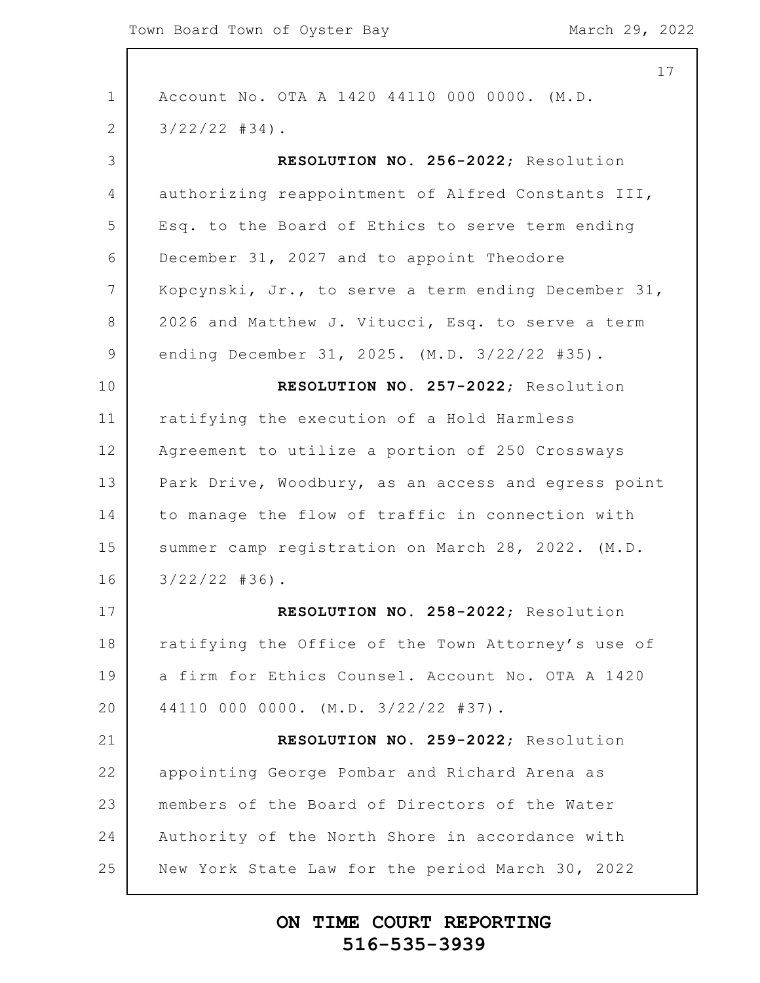|                 | 17                                                  |
|-----------------|-----------------------------------------------------|
| $\mathbf 1$     | Account No. OTA A 1420 44110 000 0000. (M.D.        |
| 2               | $3/22/22$ #34).                                     |
| 3               | RESOLUTION NO. 256-2022; Resolution                 |
| 4               | authorizing reappointment of Alfred Constants III,  |
| 5               | Esq. to the Board of Ethics to serve term ending    |
| 6               | December 31, 2027 and to appoint Theodore           |
| $7\phantom{.0}$ | Kopcynski, Jr., to serve a term ending December 31, |
| 8               | 2026 and Matthew J. Vitucci, Esq. to serve a term   |
| 9               | ending December 31, 2025. (M.D. 3/22/22 #35).       |
| 10              | RESOLUTION NO. 257-2022; Resolution                 |
| 11              | ratifying the execution of a Hold Harmless          |
| 12              | Agreement to utilize a portion of 250 Crossways     |
| 13              | Park Drive, Woodbury, as an access and egress point |
| 14              | to manage the flow of traffic in connection with    |
| 15              | summer camp registration on March 28, 2022. (M.D.   |
| 16              | $3/22/22$ #36).                                     |
| 17              | RESOLUTION NO. 258-2022; Resolution                 |
| 18              | ratifying the Office of the Town Attorney's use of  |
| 19              | a firm for Ethics Counsel. Account No. OTA A 1420   |
| 20              | 44110 000 0000. (M.D. 3/22/22 #37).                 |
| 21              | RESOLUTION NO. 259-2022; Resolution                 |
| 22              | appointing George Pombar and Richard Arena as       |
| 23              | members of the Board of Directors of the Water      |
| 24              | Authority of the North Shore in accordance with     |
| 25              | New York State Law for the period March 30, 2022    |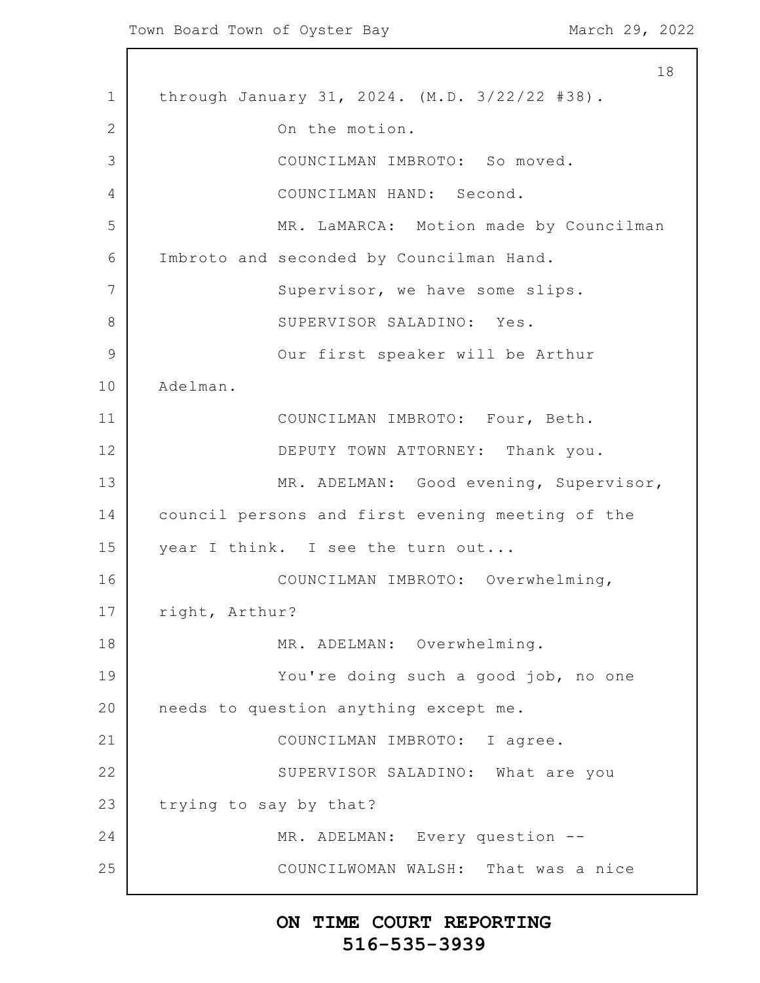1 2 3 4 5 6 7 8 9 10 11 12 13 14 15 16 17 18 19 20 21 22 23 24 25 18 through January 31, 2024. (M.D. 3/22/22 #38). On the motion. COUNCILMAN IMBROTO: So moved. COUNCILMAN HAND: Second. MR. LaMARCA: Motion made by Councilman Imbroto and seconded by Councilman Hand. Supervisor, we have some slips. SUPERVISOR SALADINO: Yes. Our first speaker will be Arthur Adelman. COUNCILMAN IMBROTO: Four, Beth. DEPUTY TOWN ATTORNEY: Thank you. MR. ADELMAN: Good evening, Supervisor, council persons and first evening meeting of the year I think. I see the turn out... COUNCILMAN IMBROTO: Overwhelming, right, Arthur? MR. ADELMAN: Overwhelming. You're doing such a good job, no one needs to question anything except me. COUNCILMAN IMBROTO: I agree. SUPERVISOR SALADINO: What are you trying to say by that? MR. ADELMAN: Every question --COUNCILWOMAN WALSH: That was a nice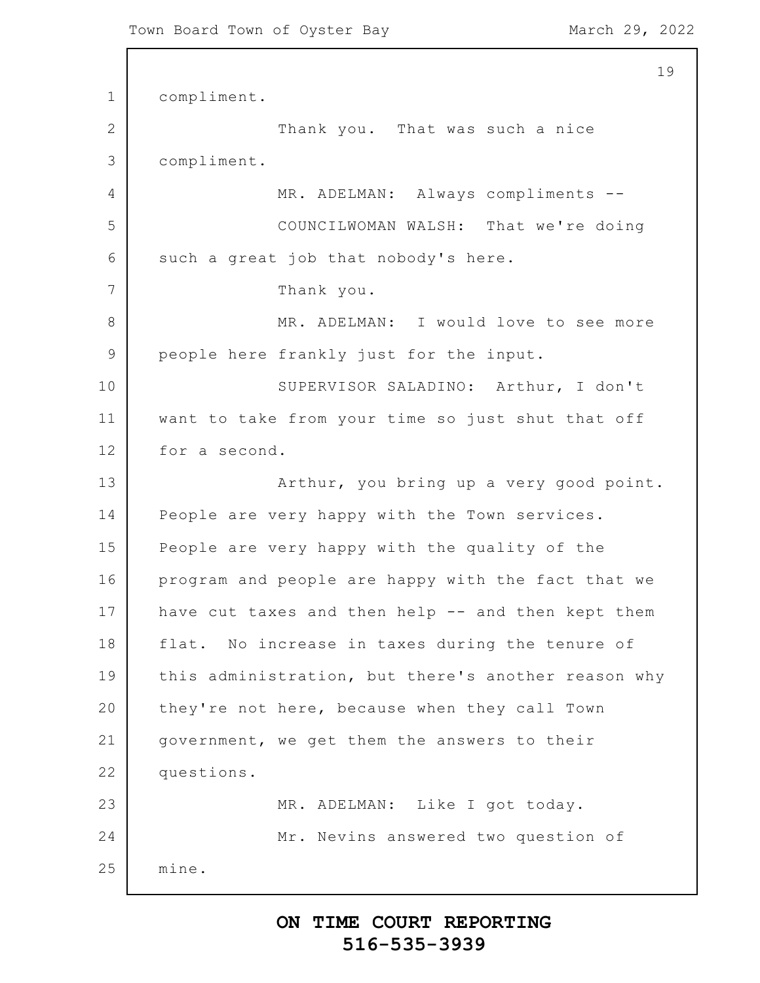```
1
2
3
4
5
6
7
8
9
10
11
12
13
14
15
16
17
18
19
20
21
22
23
24
25
                                                          19
      compliment.
                  Thank you. That was such a nice
      compliment.
                  MR. ADELMAN: Always compliments --
                  COUNCILWOMAN WALSH: That we're doing
      such a great job that nobody's here.
                  Thank you.
                  MR. ADELMAN: I would love to see more
      people here frankly just for the input.
                  SUPERVISOR SALADINO: Arthur, I don't
      want to take from your time so just shut that off
      for a second.
                  Arthur, you bring up a very good point.
      People are very happy with the Town services.
      People are very happy with the quality of the
      program and people are happy with the fact that we
      have cut taxes and then help -- and then kept them
      flat. No increase in taxes during the tenure of
      this administration, but there's another reason why
      they're not here, because when they call Town
      government, we get them the answers to their
      questions.
                  MR. ADELMAN: Like I got today.
                  Mr. Nevins answered two question of
      mine.
```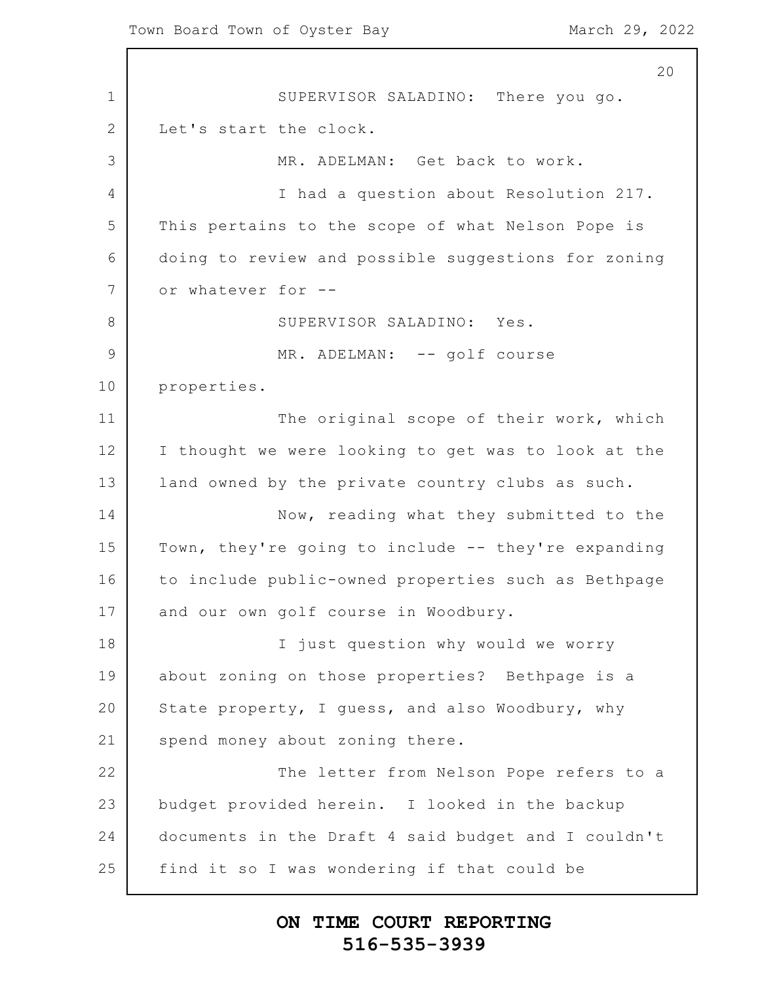1 2 3 4 5 6 7 8 9 10 11 12 13 14 15 16 17 18 19 20 21 22 23 24 25 SUPERVISOR SALADINO: There you go. Let's start the clock. MR. ADELMAN: Get back to work. I had a question about Resolution 217. This pertains to the scope of what Nelson Pope is doing to review and possible suggestions for zoning or whatever for -- SUPERVISOR SALADINO: Yes. MR. ADELMAN: -- golf course properties. The original scope of their work, which I thought we were looking to get was to look at the land owned by the private country clubs as such. Now, reading what they submitted to the Town, they're going to include -- they're expanding to include public-owned properties such as Bethpage and our own golf course in Woodbury. I just question why would we worry about zoning on those properties? Bethpage is a State property, I guess, and also Woodbury, why spend money about zoning there. The letter from Nelson Pope refers to a budget provided herein. I looked in the backup documents in the Draft 4 said budget and I couldn't find it so I was wondering if that could be

#### **ON TIME COURT REPORTING 516-535-3939**

20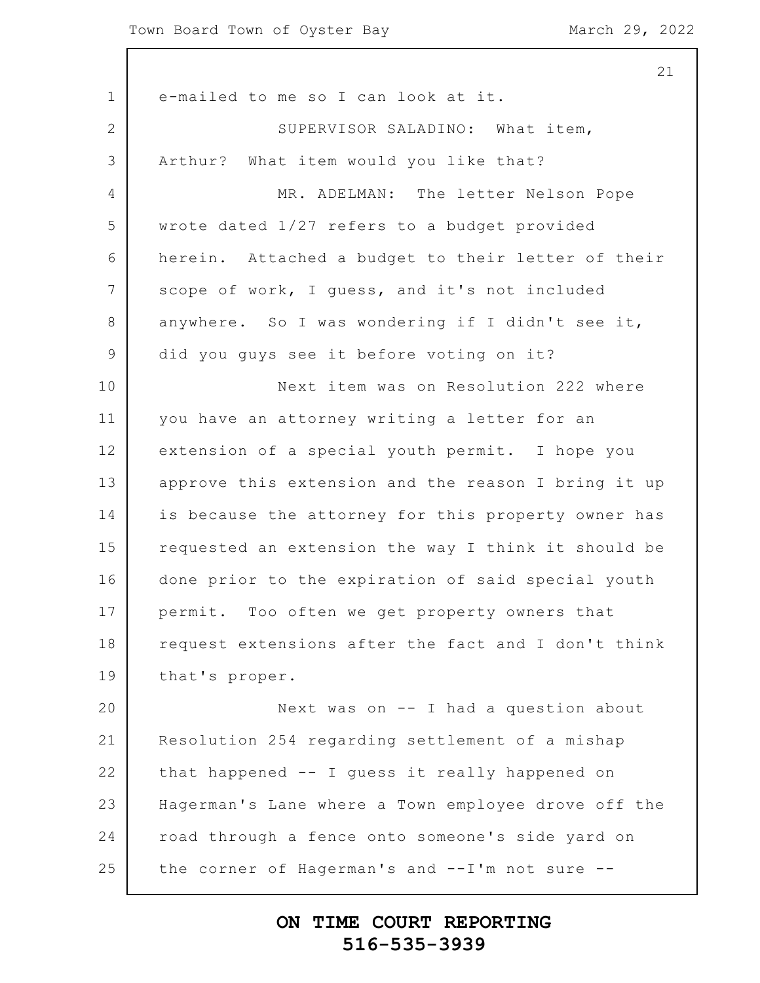|                | 21                                                  |
|----------------|-----------------------------------------------------|
| $\mathbf 1$    | e-mailed to me so I can look at it.                 |
| $\overline{2}$ | SUPERVISOR SALADINO: What item,                     |
| 3              | Arthur? What item would you like that?              |
| $\overline{4}$ | MR. ADELMAN: The letter Nelson Pope                 |
| 5              | wrote dated 1/27 refers to a budget provided        |
| 6              | herein. Attached a budget to their letter of their  |
| 7              | scope of work, I guess, and it's not included       |
| $8\,$          | anywhere. So I was wondering if I didn't see it,    |
| $\overline{9}$ | did you guys see it before voting on it?            |
| 10             | Next item was on Resolution 222 where               |
| 11             | you have an attorney writing a letter for an        |
| 12             | extension of a special youth permit. I hope you     |
| 13             | approve this extension and the reason I bring it up |
| 14             | is because the attorney for this property owner has |
| 15             | requested an extension the way I think it should be |
| 16             | done prior to the expiration of said special youth  |
| 17             | permit. Too often we get property owners that       |
| 18             | request extensions after the fact and I don't think |
| 19             | that's proper.                                      |
| 20             | Next was on -- I had a question about               |
| 21             | Resolution 254 regarding settlement of a mishap     |
| 22             | that happened -- I guess it really happened on      |
| 23             | Hagerman's Lane where a Town employee drove off the |
| 24             | road through a fence onto someone's side yard on    |
| 25             | the corner of Hagerman's and --I'm not sure --      |
|                |                                                     |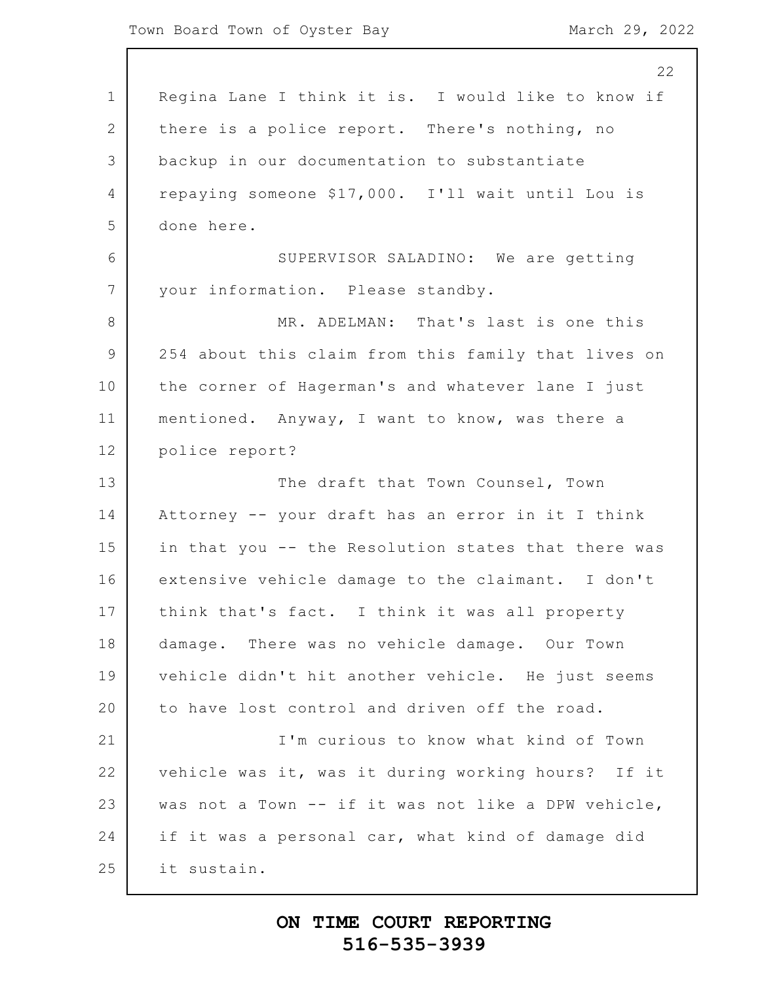|                 | 22                                                  |
|-----------------|-----------------------------------------------------|
| $\mathbf 1$     | Regina Lane I think it is. I would like to know if  |
| 2               | there is a police report. There's nothing, no       |
| 3               | backup in our documentation to substantiate         |
| 4               | repaying someone \$17,000. I'll wait until Lou is   |
| 5               | done here.                                          |
| 6               | SUPERVISOR SALADINO: We are getting                 |
| $7\phantom{.0}$ | your information. Please standby.                   |
| 8               | MR. ADELMAN: That's last is one this                |
| 9               | 254 about this claim from this family that lives on |
| 10              | the corner of Hagerman's and whatever lane I just   |
| 11              | mentioned. Anyway, I want to know, was there a      |
| 12              | police report?                                      |
| 13              | The draft that Town Counsel, Town                   |
| 14              | Attorney -- your draft has an error in it I think   |
| 15              | in that you -- the Resolution states that there was |
| 16              | extensive vehicle damage to the claimant. I don't   |
| 17              | think that's fact. I think it was all property      |
| 18              | damage. There was no vehicle damage. Our Town       |
| 19              | vehicle didn't hit another vehicle. He just seems   |
| 20              | to have lost control and driven off the road.       |
| 21              | I'm curious to know what kind of Town               |
| 22              | vehicle was it, was it during working hours? If it  |
| 23              | was not a Town -- if it was not like a DPW vehicle, |
| 24              | if it was a personal car, what kind of damage did   |
| 25              | it sustain.                                         |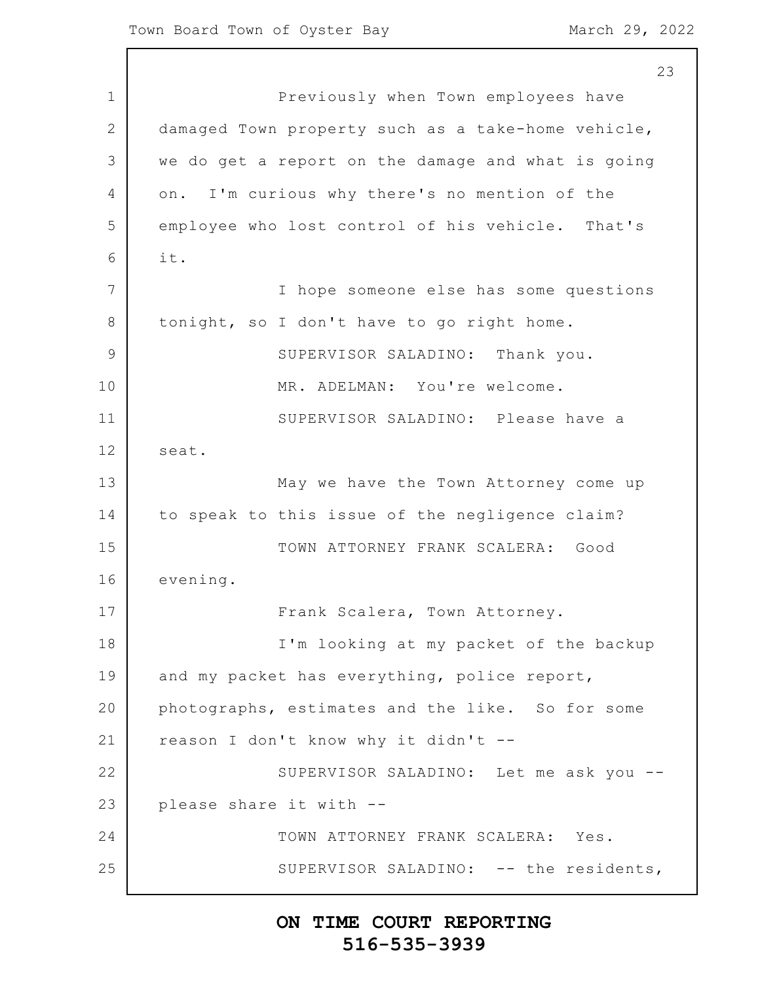1 2 3 4 5 6 7 8 9 10 11 12 13 14 15 16 17 18 19 20 21 22 23 24 25 23 Previously when Town employees have damaged Town property such as a take-home vehicle, we do get a report on the damage and what is going on. I'm curious why there's no mention of the employee who lost control of his vehicle. That's it. I hope someone else has some questions tonight, so I don't have to go right home. SUPERVISOR SALADINO: Thank you. MR. ADELMAN: You're welcome. SUPERVISOR SALADINO: Please have a seat. May we have the Town Attorney come up to speak to this issue of the negligence claim? TOWN ATTORNEY FRANK SCALERA: Good evening. Frank Scalera, Town Attorney. I'm looking at my packet of the backup and my packet has everything, police report, photographs, estimates and the like. So for some reason I don't know why it didn't -- SUPERVISOR SALADINO: Let me ask you - please share it with -- TOWN ATTORNEY FRANK SCALERA: Yes. SUPERVISOR SALADINO: -- the residents,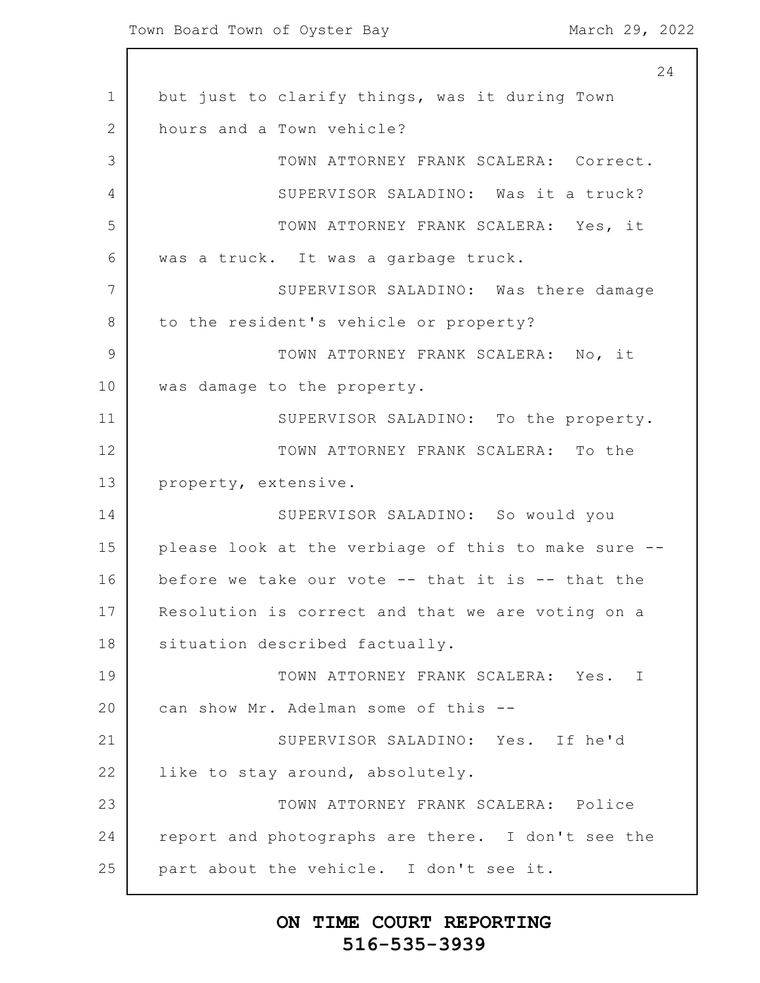1 2 3 4 5 6 7 8 9 10 11 12 13 14 15 16 17 18 19 20 21 22 23 24 25 24 but just to clarify things, was it during Town hours and a Town vehicle? TOWN ATTORNEY FRANK SCALERA: Correct. SUPERVISOR SALADINO: Was it a truck? TOWN ATTORNEY FRANK SCALERA: Yes, it was a truck. It was a garbage truck. SUPERVISOR SALADINO: Was there damage to the resident's vehicle or property? TOWN ATTORNEY FRANK SCALERA: No, it was damage to the property. SUPERVISOR SALADINO: To the property. TOWN ATTORNEY FRANK SCALERA: To the property, extensive. SUPERVISOR SALADINO: So would you please look at the verbiage of this to make sure - before we take our vote -- that it is -- that the Resolution is correct and that we are voting on a situation described factually. TOWN ATTORNEY FRANK SCALERA: Yes. I can show Mr. Adelman some of this -- SUPERVISOR SALADINO: Yes. If he'd like to stay around, absolutely. TOWN ATTORNEY FRANK SCALERA: Police report and photographs are there. I don't see the part about the vehicle. I don't see it.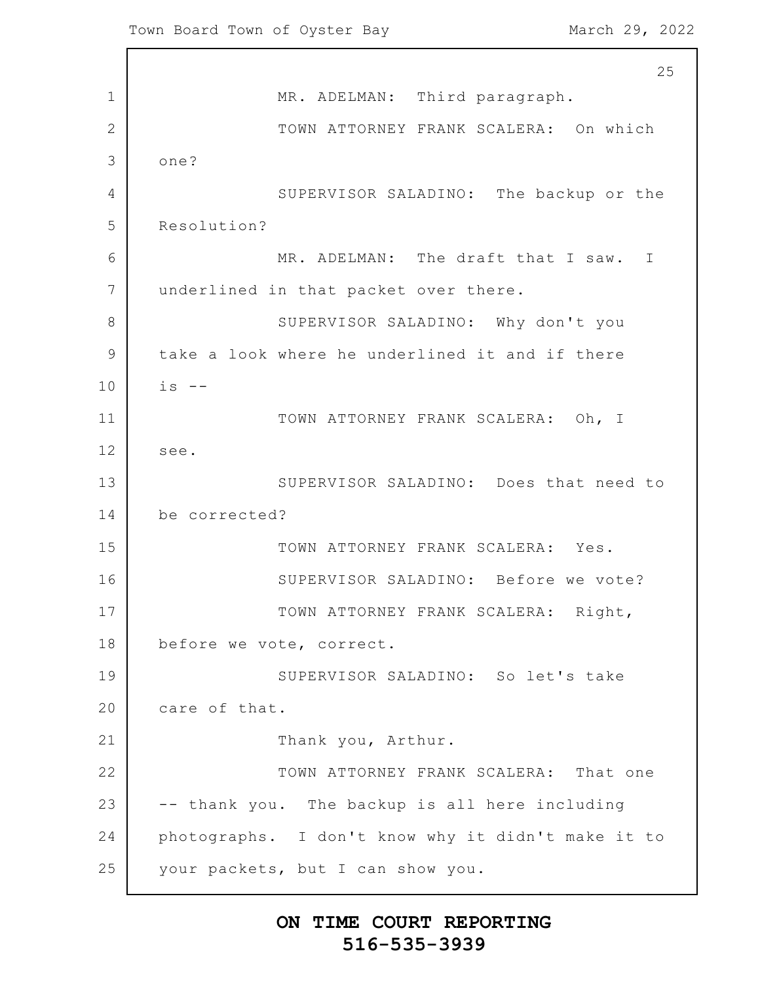1 2 3 4 5 6 7 8 9 10 11 12 13 14 15 16 17 18 19 20 21 22 23 24 25 25 MR. ADELMAN: Third paragraph. TOWN ATTORNEY FRANK SCALERA: On which one? SUPERVISOR SALADINO: The backup or the Resolution? MR. ADELMAN: The draft that I saw. I underlined in that packet over there. SUPERVISOR SALADINO: Why don't you take a look where he underlined it and if there  $is$  --TOWN ATTORNEY FRANK SCALERA: Oh, I see. SUPERVISOR SALADINO: Does that need to be corrected? TOWN ATTORNEY FRANK SCALERA: Yes. SUPERVISOR SALADINO: Before we vote? TOWN ATTORNEY FRANK SCALERA: Right, before we vote, correct. SUPERVISOR SALADINO: So let's take care of that. Thank you, Arthur. TOWN ATTORNEY FRANK SCALERA: That one -- thank you. The backup is all here including photographs. I don't know why it didn't make it to your packets, but I can show you.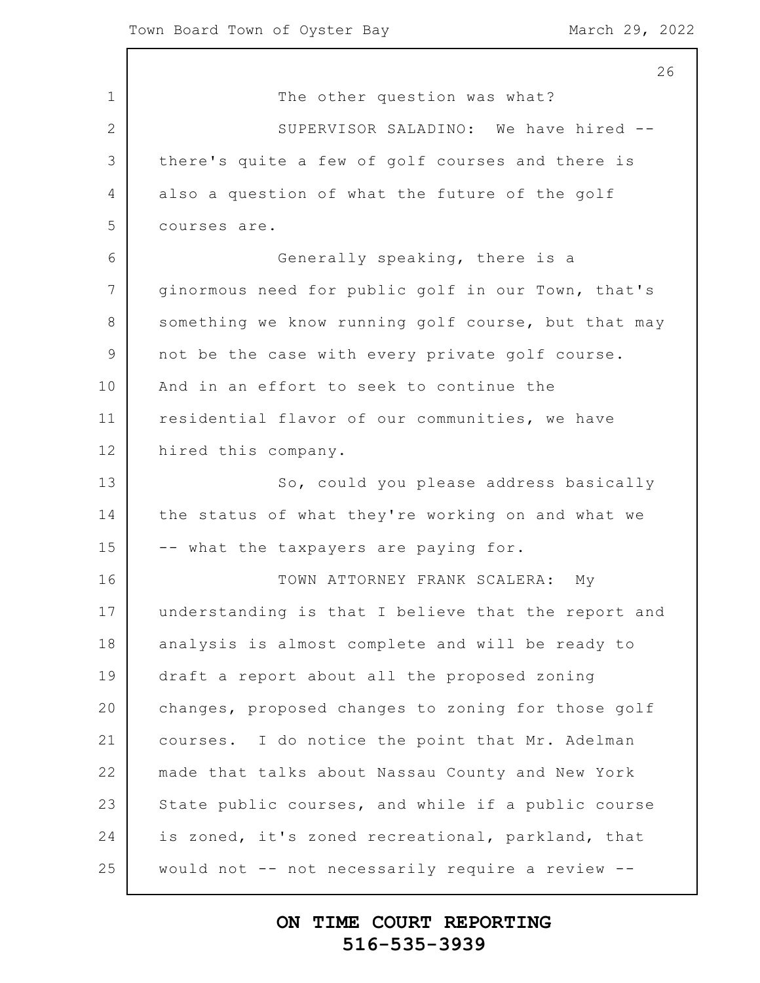1 2 3 4 5 6 7 8 9 10 11 12 13 14 15 16 17 18 19 20 21 22 23 24 25 The other question was what? SUPERVISOR SALADINO: We have hired - there's quite a few of golf courses and there is also a question of what the future of the golf courses are. Generally speaking, there is a ginormous need for public golf in our Town, that's something we know running golf course, but that may not be the case with every private golf course. And in an effort to seek to continue the residential flavor of our communities, we have hired this company. So, could you please address basically the status of what they're working on and what we -- what the taxpayers are paying for. TOWN ATTORNEY FRANK SCALERA: My understanding is that I believe that the report and analysis is almost complete and will be ready to draft a report about all the proposed zoning changes, proposed changes to zoning for those golf courses. I do notice the point that Mr. Adelman made that talks about Nassau County and New York State public courses, and while if a public course is zoned, it's zoned recreational, parkland, that would not -- not necessarily require a review --

#### **ON TIME COURT REPORTING 516-535-3939**

26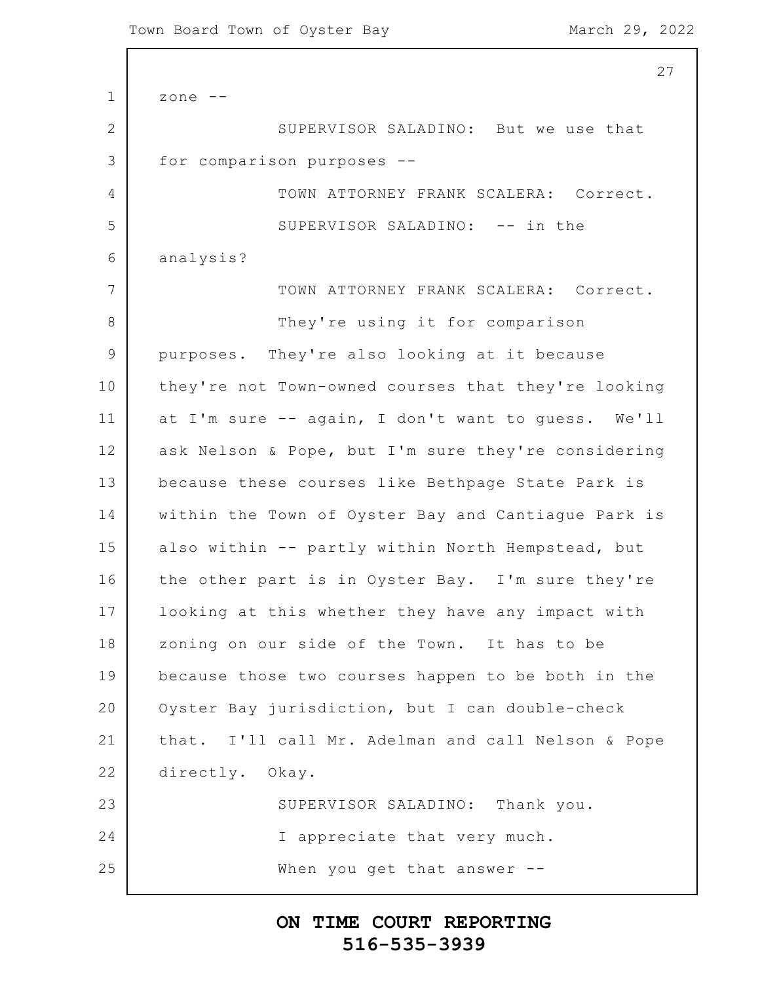1 2 3 4 5 6 7 8 9 10 11 12 13 14 15 16 17 18 19 20 21 22 23 24 25 27 zone -- SUPERVISOR SALADINO: But we use that for comparison purposes -- TOWN ATTORNEY FRANK SCALERA: Correct. SUPERVISOR SALADINO: -- in the analysis? TOWN ATTORNEY FRANK SCALERA: Correct. They're using it for comparison purposes. They're also looking at it because they're not Town-owned courses that they're looking at I'm sure -- again, I don't want to guess. We'll ask Nelson & Pope, but I'm sure they're considering because these courses like Bethpage State Park is within the Town of Oyster Bay and Cantiague Park is also within -- partly within North Hempstead, but the other part is in Oyster Bay. I'm sure they're looking at this whether they have any impact with zoning on our side of the Town. It has to be because those two courses happen to be both in the Oyster Bay jurisdiction, but I can double-check that. I'll call Mr. Adelman and call Nelson & Pope directly. Okay. SUPERVISOR SALADINO: Thank you. I appreciate that very much. When you get that answer --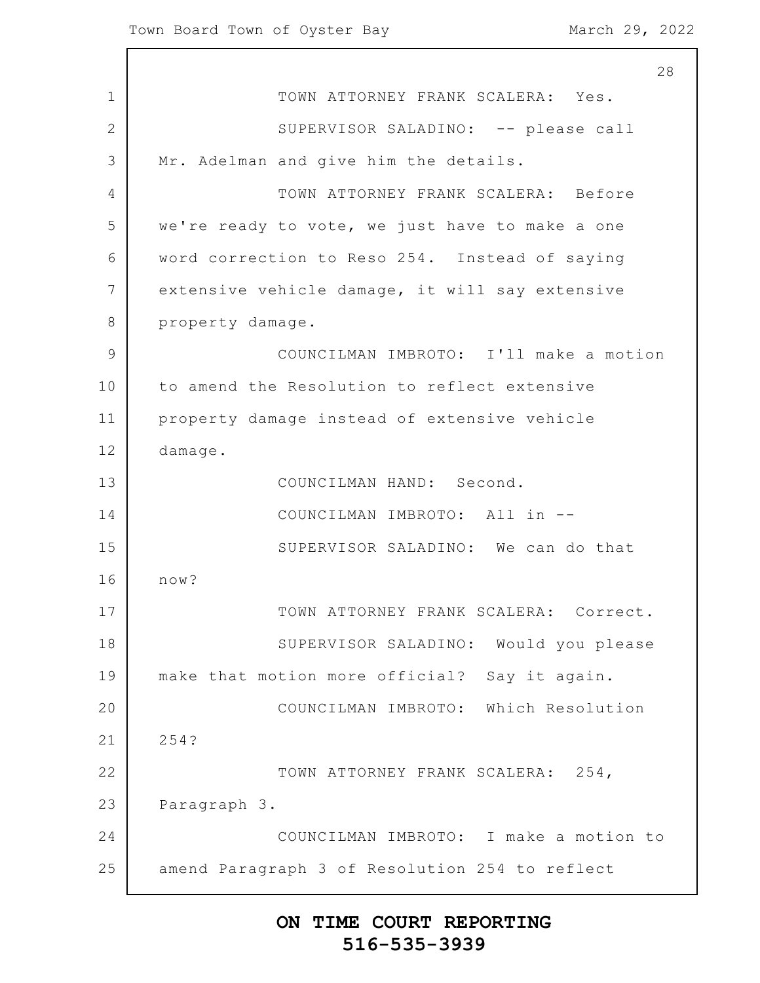1 2 3 4 5 6 7 8 9 10 11 12 13 14 15 16 17 18 19 20 21 22 23 24 25 28 TOWN ATTORNEY FRANK SCALERA: Yes. SUPERVISOR SALADINO: -- please call Mr. Adelman and give him the details. TOWN ATTORNEY FRANK SCALERA: Before we're ready to vote, we just have to make a one word correction to Reso 254. Instead of saying extensive vehicle damage, it will say extensive property damage. COUNCILMAN IMBROTO: I'll make a motion to amend the Resolution to reflect extensive property damage instead of extensive vehicle damage. COUNCILMAN HAND: Second. COUNCILMAN IMBROTO: All in -- SUPERVISOR SALADINO: We can do that now? TOWN ATTORNEY FRANK SCALERA: Correct. SUPERVISOR SALADINO: Would you please make that motion more official? Say it again. COUNCILMAN IMBROTO: Which Resolution 254? TOWN ATTORNEY FRANK SCALERA: 254, Paragraph 3. COUNCILMAN IMBROTO: I make a motion to amend Paragraph 3 of Resolution 254 to reflect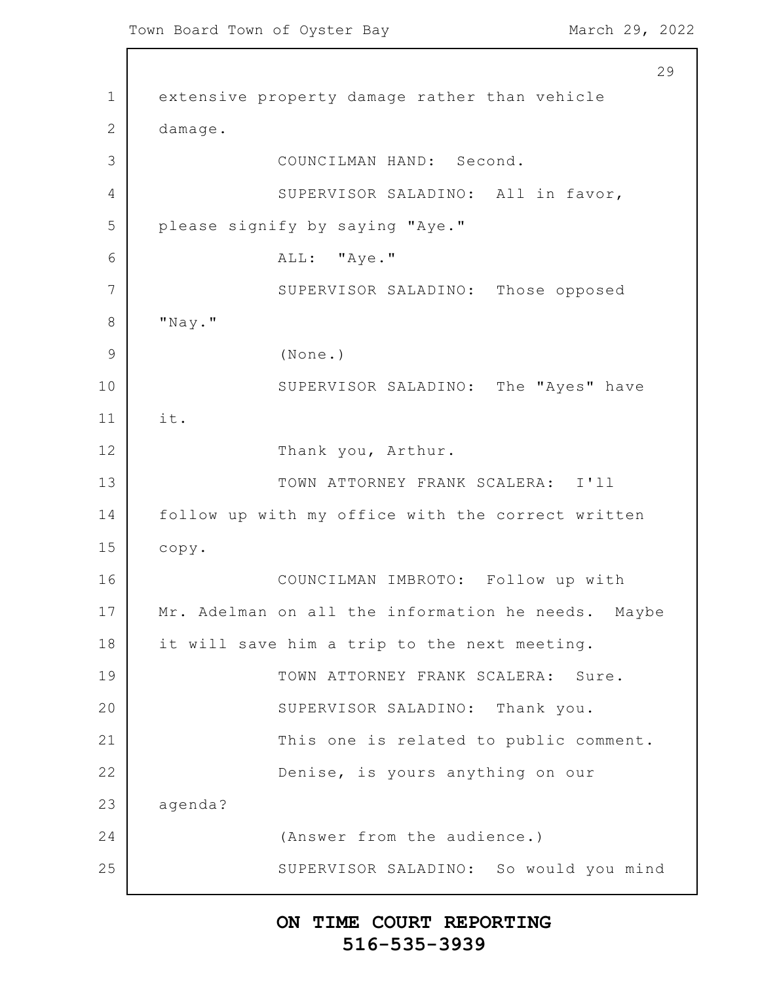Town Board Town of Oyster Bay March 29, 2022

1 2 3 4 5 6 7 8 9 10 11 12 13 14 15 16 17 18 19 20 21 22 23 24 25 29 extensive property damage rather than vehicle damage. COUNCILMAN HAND: Second. SUPERVISOR SALADINO: All in favor, please signify by saying "Aye." ALL: "Aye." SUPERVISOR SALADINO: Those opposed "Nay." (None.) SUPERVISOR SALADINO: The "Ayes" have it. Thank you, Arthur. TOWN ATTORNEY FRANK SCALERA: I'll follow up with my office with the correct written copy. COUNCILMAN IMBROTO: Follow up with Mr. Adelman on all the information he needs. Maybe it will save him a trip to the next meeting. TOWN ATTORNEY FRANK SCALERA: Sure. SUPERVISOR SALADINO: Thank you. This one is related to public comment. Denise, is yours anything on our agenda? (Answer from the audience.) SUPERVISOR SALADINO: So would you mind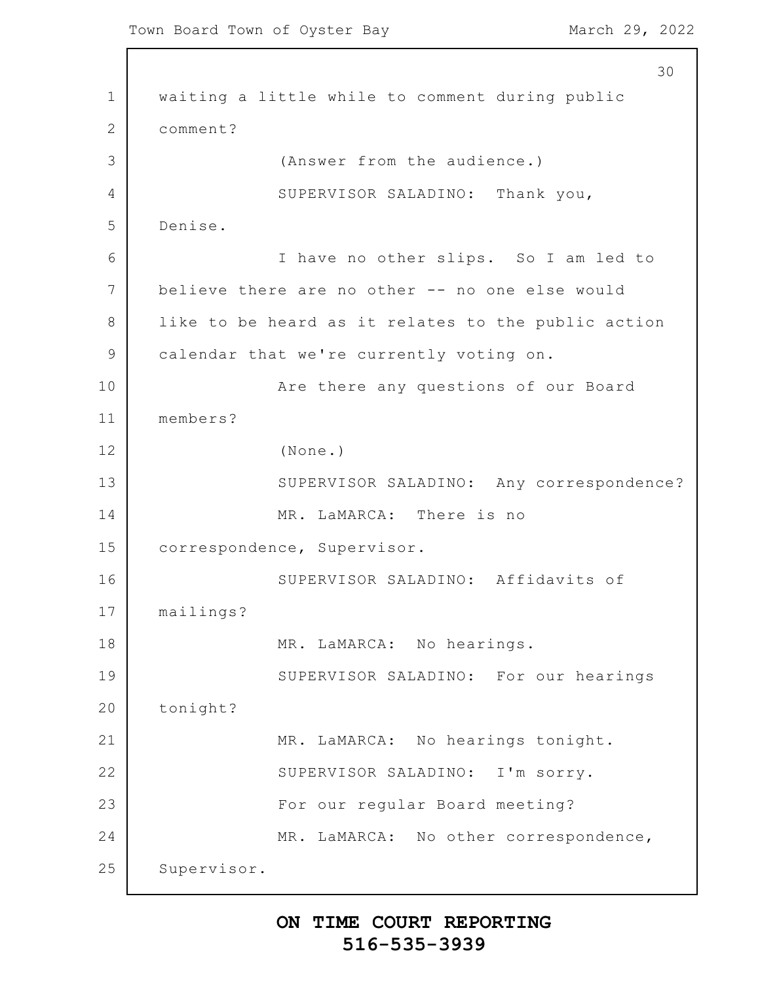```
1
2
3
4
5
6
7
8
9
10
11
12
13
14
15
16
17
18
19
20
21
22
23
24
25
                                                          30
      waiting a little while to comment during public
      comment?
                   (Answer from the audience.)
                  SUPERVISOR SALADINO: Thank you,
      Denise.
                  I have no other slips. So I am led to
      believe there are no other -- no one else would
      like to be heard as it relates to the public action
      calendar that we're currently voting on.
                  Are there any questions of our Board
      members?
                  (None.)
                  SUPERVISOR SALADINO: Any correspondence?
                  MR. LaMARCA: There is no
      correspondence, Supervisor.
                  SUPERVISOR SALADINO: Affidavits of
      mailings?
                  MR. LaMARCA: No hearings.
                  SUPERVISOR SALADINO: For our hearings
      tonight?
                  MR. LaMARCA: No hearings tonight.
                  SUPERVISOR SALADINO: I'm sorry.
                  For our regular Board meeting?
                  MR. LaMARCA: No other correspondence,
      Supervisor.
```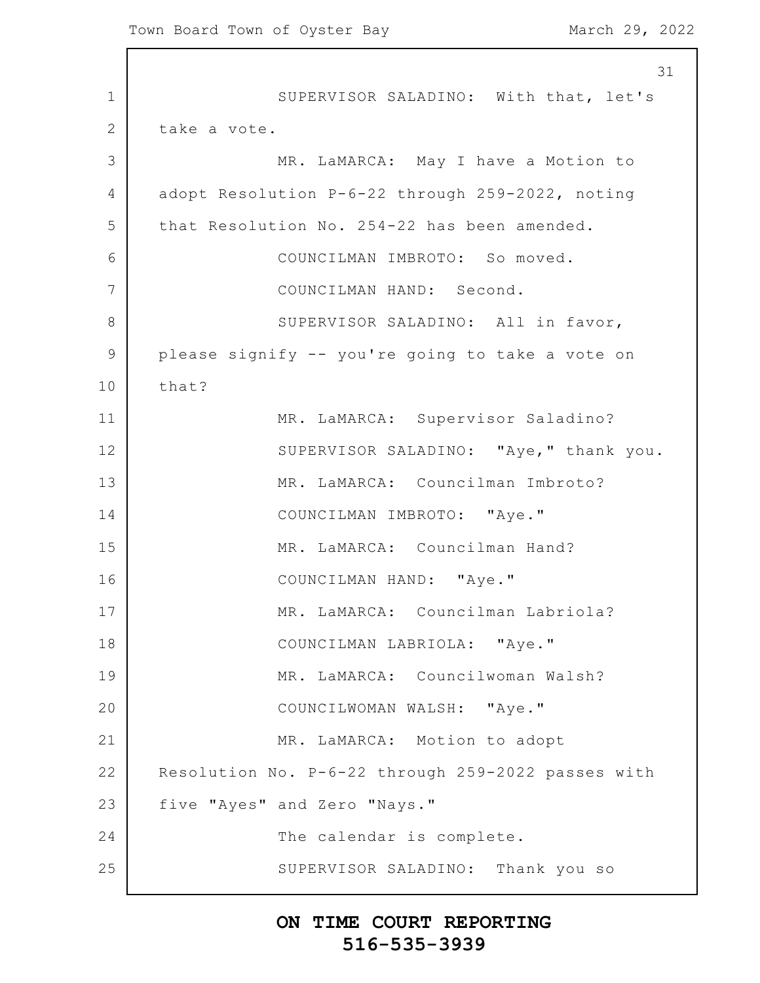1 2 3 4 5 6 7 8 9 10 11 12 13 14 15 16 17 18 19 20 21 22 23 24 25 31 SUPERVISOR SALADINO: With that, let's take a vote. MR. LaMARCA: May I have a Motion to adopt Resolution P-6-22 through 259-2022, noting that Resolution No. 254-22 has been amended. COUNCILMAN IMBROTO: So moved. COUNCILMAN HAND: Second. SUPERVISOR SALADINO: All in favor, please signify -- you're going to take a vote on that? MR. LaMARCA: Supervisor Saladino? SUPERVISOR SALADINO: "Aye," thank you. MR. LaMARCA: Councilman Imbroto? COUNCILMAN IMBROTO: "Aye." MR. LaMARCA: Councilman Hand? COUNCILMAN HAND: "Aye." MR. LaMARCA: Councilman Labriola? COUNCILMAN LABRIOLA: "Aye." MR. LaMARCA: Councilwoman Walsh? COUNCILWOMAN WALSH: "Aye." MR. LaMARCA: Motion to adopt Resolution No. P-6-22 through 259-2022 passes with five "Ayes" and Zero "Nays." The calendar is complete. SUPERVISOR SALADINO: Thank you so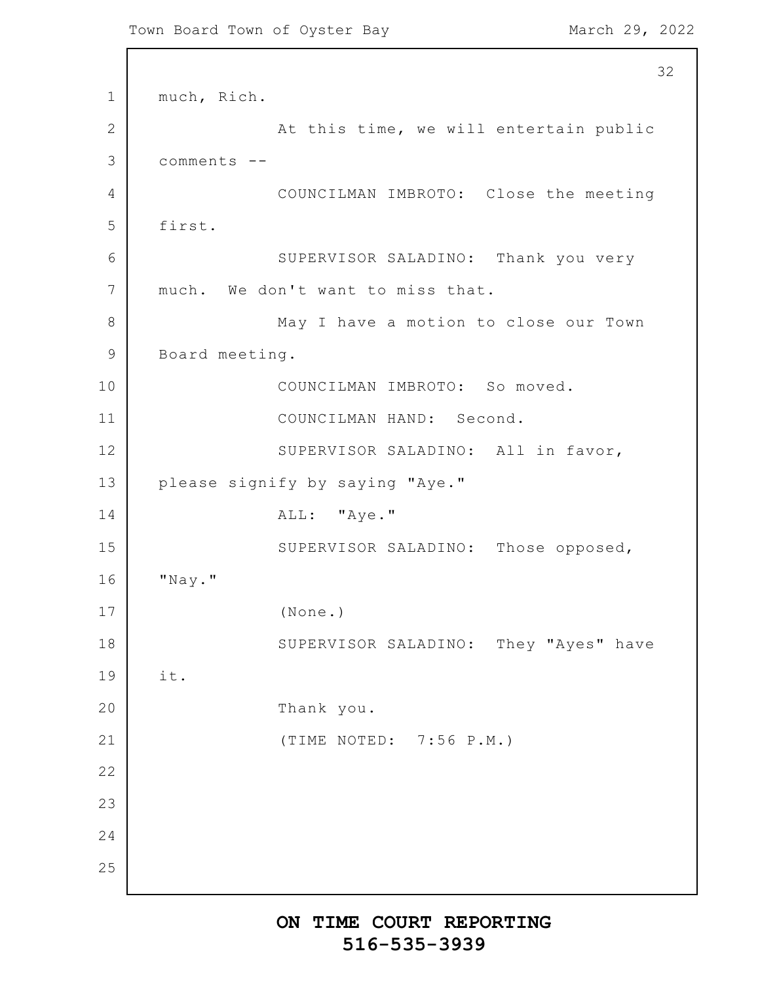1 2 3 4 5 6 7 8 9 10 11 12 13 14 15 16 17 18 19 20 21 22 23 24 25 32 much, Rich. At this time, we will entertain public comments -- COUNCILMAN IMBROTO: Close the meeting first. SUPERVISOR SALADINO: Thank you very much. We don't want to miss that. May I have a motion to close our Town Board meeting. COUNCILMAN IMBROTO: So moved. COUNCILMAN HAND: Second. SUPERVISOR SALADINO: All in favor, please signify by saying "Aye." ALL: "Aye." SUPERVISOR SALADINO: Those opposed, "Nay." (None.) SUPERVISOR SALADINO: They "Ayes" have it. Thank you. (TIME NOTED: 7:56 P.M.)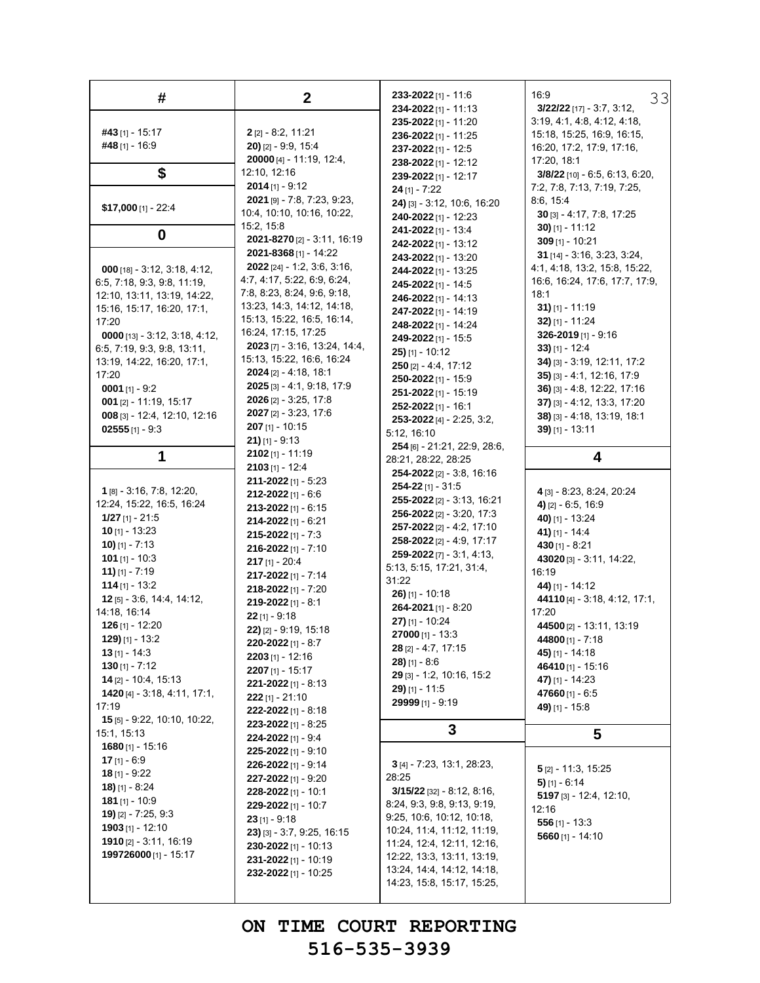| #                                   | $\boldsymbol{2}$                           | 233-2022 [1] - 11:6                          | 16:9<br>33                                                 |
|-------------------------------------|--------------------------------------------|----------------------------------------------|------------------------------------------------------------|
|                                     |                                            | 234-2022 [1] - 11:13<br>235-2022 [1] - 11:20 | $3/22/22$ [17] - 3:7, 3:12,<br>3.19, 4.1, 4.8, 4.12, 4.18, |
| #43 [1] - 15:17                     | $2$ [2] - 8:2, 11:21                       | <b>236-2022</b> [1] - 11:25                  | 15:18, 15:25, 16:9, 16:15,                                 |
| #48 [1] - 16:9                      | $20$ ) [2] - 9:9, 15:4                     | $237 - 2022$ [1] - 12:5                      | 16.20, 17:2, 17:9, 17:16,                                  |
|                                     | 20000 [4] - 11:19, 12:4,                   | 238-2022 [1] - 12:12                         | 17:20, 18:1                                                |
| \$                                  | 12:10, 12:16                               | 239-2022 [1] - 12:17                         | $3/8/22$ [10] - 6.5, 6.13, 6.20,                           |
|                                     | <b>2014</b> [1] - 9:12                     | $24$ [1] - 7:22                              | 7:2, 7:8, 7:13, 7:19, 7:25,                                |
|                                     | 2021 [9] - 7:8, 7:23, 9:23,                | 24) [3] - 3:12, 10:6, 16:20                  | 8.6, 15.4                                                  |
| $$17,000$ [1] - 22:4                | 10:4, 10:10, 10:16, 10:22,                 | 240-2022 [1] - 12:23                         | $30$ [3] - 4:17, 7:8, 17:25                                |
|                                     | 15:2, 15:8                                 | 241-2022 [1] - 13:4                          | 30) $[1] - 11:12$                                          |
| 0                                   | 2021-8270 [2] - 3:11, 16:19                | 242-2022 [1] - 13:12                         | 309 $[1]$ - 10:21                                          |
|                                     | 2021-8368 [1] - 14:22                      | <b>243-2022</b> [1] - 13:20                  | 31 [14] - 3:16, 3:23, 3:24,                                |
| $000$ [18] - 3:12, 3:18, 4:12,      | <b>2022</b> [24] - 1:2, 3:6, 3:16,         | 244-2022 [1] - 13:25                         | 4.1, 4.18, 13.2, 15.8, 15.22,                              |
| 6.5, 7:18, 9:3, 9:8, 11:19,         | 4.7, 4.17, 5.22, 6.9, 6.24,                | 245-2022 [1] - 14:5                          | 16.6, 16.24, 17:6, 17:7, 17:9,                             |
| 12:10, 13:11, 13:19, 14:22,         | 7.8, 8.23, 8.24, 9.6, 9.18,                | <b>246-2022</b> [1] - 14:13                  | 18:1                                                       |
| 15:16, 15:17, 16:20, 17:1,          | 13.23, 14.3, 14.12, 14.18,                 | <b>247-2022</b> [1] - 14:19                  | 31) $[1] - 11:19$                                          |
| 17:20                               | 15:13, 15:22, 16:5, 16:14,                 | 248-2022 [1] - 14:24                         | $32$ ) [1] - 11:24                                         |
| $0000$ [13] - 3:12, 3:18, 4:12,     | 16:24, 17:15, 17:25                        | 249-2022 [1] - 15:5                          | 326-2019 $[1]$ - 9:16                                      |
| 6.5, 7:19, 9.3, 9.8, 13:11,         | 2023 [7] - 3:16, 13:24, 14:4,              | $25$ ) [1] - 10:12                           | $33$ ) [1] - 12:4                                          |
| 13:19, 14:22, 16:20, 17:1,          | 15:13, 15:22, 16:6, 16:24                  | $250$ [2] - 4:4, 17:12                       | 34) [3] - 3:19, 12:11, 17:2                                |
| 17:20                               | <b>2024</b> [2] - 4:18, 18:1               | 250-2022 [1] - 15:9                          | $35$ ) [3] - 4:1, 12:16, 17:9                              |
| 0001 $[1]$ - 9:2                    | $2025$ [3] - 4:1, 9:18, 17:9               | <b>251-2022</b> [1] - 15:19                  | 36) [3] - 4:8, 12:22, 17:16                                |
| <b>001</b> [2] - 11:19, 15:17       | <b>2026</b> [2] $-3:25$ , 17:8             | $252 - 2022$ [1] - 16:1                      | $37$ ) [3] - 4:12, 13:3, 17:20                             |
| 008 [3] - 12:4, 12:10, 12:16        | 2027 [2] - 3:23, 17:6                      | 253-2022 [4] - 2:25, 3:2,                    | 38) [3] - 4:18, 13:19, 18:1                                |
| $02555$ [1] - 9:3                   | $207$ [1] - 10:15                          | 5:12, 16:10                                  | $39$ [1] - 13:11                                           |
|                                     | $21$ ) [1] - 9:13                          | 254 [6] - 21:21, 22:9, 28:6,                 |                                                            |
| 1                                   | $2102$ [1] - 11:19                         | 28:21, 28:22, 28:25                          | 4                                                          |
|                                     | $2103$ [1] - 12:4                          | 254-2022 [2] - 3:8, 16:16                    |                                                            |
| 1 [8] - 3:16, 7:8, 12:20,           | <b>211-2022</b> [1] - 5:23                 | $254 - 22$ [1] - 31:5                        |                                                            |
| 12:24, 15:22, 16:5, 16:24           | <b>212-2022</b> [1] - 6:6                  | 255-2022 [2] - 3:13, 16:21                   | 4 [3] - 8:23, 8:24, 20:24                                  |
| $1/27$ [1] - 21:5                   | $213 - 2022$ [1] - 6:15                    | 256-2022 [2] - 3:20, 17:3                    | 4) $[2] - 6.5, 16.9$<br>40) [1] - 13:24                    |
| <b>10</b> [1] - 13:23               | $214 - 2022$ [1] - 6:21                    | <b>257-2022</b> [2] - 4:2, 17:10             | 41) [1] - 14:4                                             |
| <b>10)</b> $[1] - 7:13$             | 215-2022 [1] - 7:3                         | 258-2022 [2] - 4:9, 17:17                    | 430 $[1] - 8:21$                                           |
| 101 $[1] - 10:3$                    | 216-2022 [1] - 7:10                        | 259-2022 [7] - 3:1, 4:13,                    | 43020 [3] - $3:11, 14.22,$                                 |
| <b>11)</b> $[1] - 7:19$             | $217$ [1] - 20:4                           | 5:13, 5:15, 17:21, 31:4,                     | 16:19                                                      |
| $114$ [1] - 13:2                    | 217-2022 [1] - 7:14                        | 31:22                                        | 44) [1] - 14:12                                            |
| 12 [5] - 3:6, 14:4, 14:12,          | <b>218-2022</b> [1] - 7:20                 | $26$ ) [1] - 10:18                           | 44110 [4] - 3:18, 4:12, 17:1,                              |
| 14:18, 16:14                        | 219-2022 [1] - 8:1                         | 264-2021 [1] - 8:20                          | 17:20                                                      |
| 126 $[1]$ - 12:20                   | $22$ [1] - 9:18                            | 27) [1] - 10:24                              | 44500 [2] - 13:11, 13:19                                   |
| $129$ [1] - 13:2                    | $22$ ) [2] - 9:19, 15:18                   | $27000$ [1] - 13:3                           | 44800 [1] - 7:18                                           |
| $13$ [1] - 14:3                     | 220-2022 [1] - 8:7                         | $28$ [2] - 4:7, 17:15                        | 45) [1] - 14:18                                            |
| $130$ [1] - 7:12                    | $2203$ [1] - 12:16                         | $28$ ) [1] - 8:6                             | 46410[1] - 15:16                                           |
| 14 [2] - 10:4, 15:13                | $2207$ [1] - 15:17                         | 29 [3] - 1:2, 10:16, 15:2                    | 47) [1] - 14:23                                            |
| 1420 [4] - 3:18, 4:11, 17:1,        | $221 - 2022$ [1] - 8:13                    | $29$ [1] - 11:5                              | 47660 $[1] - 6.5$                                          |
| 17:19                               | $222$ [1] - 21:10                          | 29999 [1] - 9:19                             | 49) $[1] - 15.8$                                           |
| <b>15</b> [5] - 9.22, 10:10, 10:22, | 222-2022 [1] - 8:18                        |                                              |                                                            |
| 15:1, 15:13                         | 223-2022 [1] - 8:25                        | 3                                            | 5                                                          |
| 1680 $[1]$ - 15:16                  | 224-2022 [1] - 9:4                         |                                              |                                                            |
| 17 $[1] - 6.9$                      | 225-2022 [1] - 9:10                        | $3$ [4] - 7:23, 13:1, 28:23,                 |                                                            |
| 18 $[1] - 9.22$                     | 226-2022 [1] - 9:14<br>227-2022 [1] - 9:20 | 28:25                                        | $5$ [2] - 11:3, 15:25                                      |
| <b>18)</b> [1] - 8:24               | 228-2022 [1] - 10:1                        | $3/15/22$ [32] - 8:12, 8:16,                 | $5)$ [1] - 6:14                                            |
| 181 $[1]$ - 10:9                    | 229-2022 [1] - 10:7                        | 8.24, 9.3, 9.8, 9.13, 9.19,                  | $5197$ [3] - 12:4, 12:10,                                  |
| $19$ [2] - 7:25, 9:3                | $23$ [1] - 9:18                            | 9:25, 10.6, 10.12, 10.18,                    | 12:16                                                      |
| $1903$ [1] - 12:10                  | $23$ ) [3] - 3:7, 9:25, 16:15              | 10.24, 11.4, 11.12, 11.19,                   | 556 $[1]$ - 13:3                                           |
| <b>1910</b> [2] $-3:11, 16:19$      | 230-2022 [1] - 10:13                       | 11:24, 12:4, 12:11, 12:16,                   | 5660 $[1] - 14:10$                                         |
| 199726000 [1] - 15:17               | 231-2022 [1] - 10:19                       | 12.22, 13.3, 13.11, 13.19,                   |                                                            |
|                                     | 232-2022 [1] - 10:25                       | 13.24, 14.4, 14.12, 14.18,                   |                                                            |
|                                     |                                            |                                              |                                                            |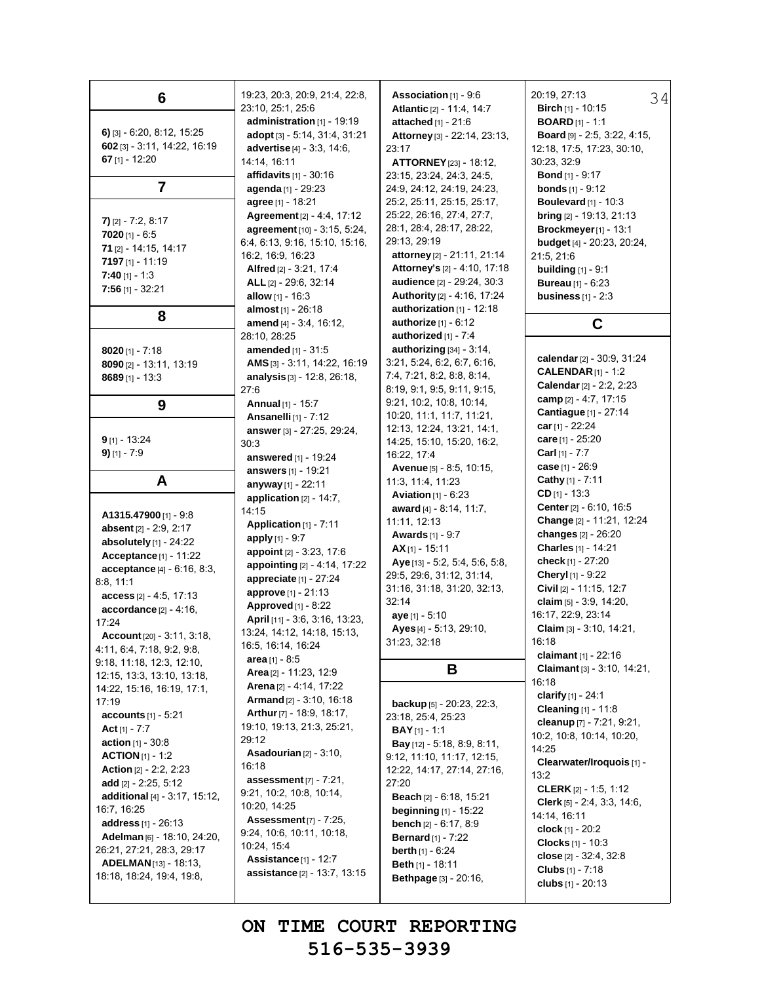| 6                                                                                                                                                                                                                                                                                                                                                                                     | 19:23, 20:3, 20:9, 21:4, 22:8,<br>23:10, 25:1, 25:6                                                                                                                                                                                                                                                                                                                   | <b>Association</b> $[1]$ - 9:6<br>Atlantic [2] - 11:4, 14:7                                                                                                                                                                                                                                                                                                                                                | 20:19, 27:13<br>34<br><b>Birch</b> $[1]$ - 10:15                                                                                                                                                                                                                                                                                                                                 |
|---------------------------------------------------------------------------------------------------------------------------------------------------------------------------------------------------------------------------------------------------------------------------------------------------------------------------------------------------------------------------------------|-----------------------------------------------------------------------------------------------------------------------------------------------------------------------------------------------------------------------------------------------------------------------------------------------------------------------------------------------------------------------|------------------------------------------------------------------------------------------------------------------------------------------------------------------------------------------------------------------------------------------------------------------------------------------------------------------------------------------------------------------------------------------------------------|----------------------------------------------------------------------------------------------------------------------------------------------------------------------------------------------------------------------------------------------------------------------------------------------------------------------------------------------------------------------------------|
| $6)$ [3] - 6:20, 8:12, 15:25<br>602 [3] - 3:11, 14:22, 16:19<br>67 $[1] - 12:20$                                                                                                                                                                                                                                                                                                      | administration [1] - 19:19<br>adopt [3] - 5:14, 31:4, 31:21<br>advertise [4] - 3:3, 14:6,<br>14:14, 16:11<br>affidavits $[1]$ - 30:16                                                                                                                                                                                                                                 | attached [1] - 21:6<br>Attorney [3] - 22:14, 23:13,<br>23:17<br><b>ATTORNEY</b> [23] - 18:12,<br>23:15, 23:24, 24:3, 24:5,                                                                                                                                                                                                                                                                                 | <b>BOARD</b> [1] - 1:1<br>Board [9] - 2.5, 3:22, 4:15,<br>12:18, 17:5, 17:23, 30:10,<br>30:23, 32:9<br><b>Bond</b> $[1]$ - 9:17                                                                                                                                                                                                                                                  |
| 7                                                                                                                                                                                                                                                                                                                                                                                     | agenda [1] - 29:23                                                                                                                                                                                                                                                                                                                                                    | 24:9, 24:12, 24:19, 24:23,                                                                                                                                                                                                                                                                                                                                                                                 | <b>bonds</b> $[1] - 9:12$                                                                                                                                                                                                                                                                                                                                                        |
| $7)$ [2] - 7:2, 8:17<br>$7020$ [1] - 6:5<br>71 [2] - 14:15, 14:17<br>7197 $[1] - 11:19$<br>$7:40$ [1] - 1:3<br>$7:56$ [1] - 32:21<br>8                                                                                                                                                                                                                                                | agree [1] - 18:21<br>Agreement [2] - 4:4, 17:12<br>agreement [10] - 3:15, 5:24,<br>6.4, 6.13, 9.16, 15.10, 15.16,<br>16.2, 16.9, 16.23<br>Alfred $[2] - 3.21, 17.4$<br>ALL [2] - 29:6, 32:14<br>allow $[1] - 16:3$<br>almost [1] - 26:18                                                                                                                              | 25:2, 25:11, 25:15, 25:17,<br>25.22, 26.16, 27.4, 27.7,<br>28:1, 28:4, 28:17, 28:22,<br>29:13, 29:19<br>attorney [2] - 21:11, 21:14<br>Attorney's [2] - 4:10, 17:18<br>audience [2] - 29:24, 30:3<br>Authority [2] - 4:16, 17:24<br>authorization [1] - 12:18                                                                                                                                              | Boulevard $[1]$ - 10:3<br><b>bring</b> $[2] - 19:13$ , $21:13$<br><b>Brockmeyer</b> [1] - 13:1<br><b>budget</b> [4] - 20:23, 20:24,<br>21:5, 21:6<br><b>building</b> $[1] - 9:1$<br><b>Bureau</b> $[1] - 6:23$<br>business $[1] - 2:3$                                                                                                                                           |
|                                                                                                                                                                                                                                                                                                                                                                                       | amend [4] - 3:4, 16:12,                                                                                                                                                                                                                                                                                                                                               | authorize $[1] - 6.12$                                                                                                                                                                                                                                                                                                                                                                                     | C                                                                                                                                                                                                                                                                                                                                                                                |
| <b>8020</b> [1] - 7:18<br>8090 [2] - 13:11, 13:19<br>$8689$ [1] - 13:3                                                                                                                                                                                                                                                                                                                | 28:10, 28:25<br><b>amended</b> [1] - 31:5<br>AMS [3] - 3:11, 14:22, 16:19<br>analysis $[3] - 12:8$ , 26:18,<br>27:6                                                                                                                                                                                                                                                   | authorized $[1]$ - $7:4$<br>authorizing [34] - 3:14,<br>3:21, 5:24, 6:2, 6:7, 6:16,<br>7.4, 7.21, 8.2, 8.8, 8.14,<br>8:19, 9:1, 9:5, 9:11, 9:15,                                                                                                                                                                                                                                                           | calendar [2] - 30:9, 31:24<br><b>CALENDAR</b> [1] - 1:2<br>Calendar [2] - 2:2, 2:23<br>camp [2] - 4:7, 17:15                                                                                                                                                                                                                                                                     |
| 9                                                                                                                                                                                                                                                                                                                                                                                     | Annual [1] - 15:7                                                                                                                                                                                                                                                                                                                                                     | 9:21, 10:2, 10:8, 10:14,<br>10:20, 11:1, 11:7, 11:21,                                                                                                                                                                                                                                                                                                                                                      | Cantiague [1] - 27:14                                                                                                                                                                                                                                                                                                                                                            |
| $9$ [1] - 13:24<br>$9)$ [1] - 7:9                                                                                                                                                                                                                                                                                                                                                     | Ansanelli [1] - 7:12<br>answer [3] - 27:25, 29:24,<br>30:3<br><b>answered</b> [1] - 19:24<br>answers [1] - 19:21                                                                                                                                                                                                                                                      | 12:13, 12:24, 13:21, 14:1,<br>14:25, 15:10, 15:20, 16:2,<br>16:22, 17:4<br>Avenue [5] - 8:5, 10:15,                                                                                                                                                                                                                                                                                                        | car $[1]$ - 22:24<br>care [1] - 25:20<br><b>Carl</b> [1] - $7:7$<br>case [1] - 26:9                                                                                                                                                                                                                                                                                              |
| A                                                                                                                                                                                                                                                                                                                                                                                     | anyway [1] - 22:11                                                                                                                                                                                                                                                                                                                                                    | 11:3, 11:4, 11:23                                                                                                                                                                                                                                                                                                                                                                                          | <b>Cathy</b> [1] - 7:11                                                                                                                                                                                                                                                                                                                                                          |
| A1315.47900 [1] - 9:8<br>absent [2] - 2:9, 2:17<br>absolutely [1] - 24:22<br>Acceptance <sup>[1]</sup> - 11:22<br>$acceptance[4] - 6:16, 8:3,$<br>8.8, 11:1<br>$access_{[2]} - 4.5, 17:13$<br>$accordance_{[2]} - 4:16$ ,<br>17:24<br>Account [20] - 3:11, 3:18,<br>4:11, 6:4, 7:18, 9:2, 9:8,<br>9.18, 11:18, 12:3, 12:10,                                                           | application [2] - 14:7,<br>14:15<br>Application [1] - 7:11<br>apply [1] - 9:7<br>appoint [2] - 3:23, 17:6<br>appointing [2] - 4:14, 17:22<br>appreciate [1] - 27:24<br>approve [1] - 21:13<br>Approved $[1]$ - 8:22<br>April [11] - 3.6, 3.16, 13.23,<br>13:24, 14:12, 14:18, 15:13,<br>16:5, 16:14, 16:24<br>area $[1] - 8.5$                                        | <b>Aviation</b> $[1] - 6.23$<br>award [4] - 8.14, 11:7,<br>11:11, 12:13<br><b>Awards</b> [1] - 9.7<br>$AX$ <sub>[1]</sub> - 15:11<br>Aye [13] - 5:2, 5:4, 5:6, 5:8,<br>29.5, 29:6, 31:12, 31:14,<br>31:16, 31:18, 31:20, 32:13,<br>32:14<br>$aye_{[1]} - 5:10$<br>Ayes $[4]$ - 5:13, 29:10,<br>31:23, 32:18                                                                                                | $CD$ [1] - 13:3<br>Center [2] - 6:10, 16:5<br>Change [2] - 11:21, 12:24<br>changes [2] - 26:20<br><b>Charles</b> $[1] - 14:21$<br>check [1] - 27:20<br>Cheryl [1] - 9:22<br>Civil $[2] - 11:15, 12:7$<br>claim $[5] - 3.9, 14.20,$<br>16:17, 22:9, 23:14<br>Claim $[3] - 3:10, 14:21,$<br>16:18<br>claimant $[1] - 22:16$<br>Claimant [3] - 3:10, 14:21,                         |
| 12:15, 13:3, 13:10, 13:18,                                                                                                                                                                                                                                                                                                                                                            | Area [2] - 11:23, 12:9<br><b>Arena</b> [2] - 4:14, 17:22                                                                                                                                                                                                                                                                                                              | В                                                                                                                                                                                                                                                                                                                                                                                                          | 16:18                                                                                                                                                                                                                                                                                                                                                                            |
| 14:22, 15:16, 16:19, 17:1,<br>17:19<br>accounts [1] - 5:21<br>Act $[1] - 7:7$<br><b>action</b> $[1] - 30.8$<br>$ACTION$ [1] - 1:2<br>Action [2] - 2:2, 2:23<br>add $[2] - 2:25, 5:12$<br>additional [4] - 3:17, 15:12,<br>16:7, 16:25<br>address [1] - 26:13<br>Adelman [6] - 18:10, 24:20,<br>26.21, 27:21, 28:3, 29:17<br><b>ADELMAN</b> [13] - 18:13,<br>18:18, 18:24, 19:4, 19:8, | <b>Armand</b> $[2] - 3.10, 16.18$<br>Arthur [7] - 18:9, 18:17,<br>19:10, 19:13, 21:3, 25:21,<br>29:12<br>Asadourian $[2] - 3.10$ ,<br>16:18<br>assessment $[7] - 7:21$ .<br>9:21, 10:2, 10:8, 10:14,<br>10:20, 14:25<br><b>Assessment</b> [7] - 7:25,<br>9.24, 10.6, 10.11, 10.18,<br>10:24, 15:4<br>Assistance $[1]$ - 12:7<br><b>assistance</b> $[2] - 13:7, 13:15$ | <b>backup</b> $[5]$ - 20:23, 22:3,<br>23:18, 25:4, 25:23<br><b>BAY</b> $[1]$ - 1:1<br>Bay [12] - 5:18, 8:9, 8:11,<br>9:12, 11:10, 11:17, 12:15,<br>12:22, 14:17, 27:14, 27:16,<br>27:20<br><b>Beach</b> $[2] - 6:18, 15:21$<br><b>beginning</b> $[1]$ - 15:22<br><b>bench</b> $[2] - 6.17, 8.9$<br><b>Bernard</b> [1] - $7:22$<br><b>berth</b> $[1] - 6:24$<br>Beth $[1]$ - 18:11<br>Bethpage [3] - 20:16, | clarify [1] - 24:1<br><b>Cleaning</b> $[1] - 11.8$<br>cleanup [7] - 7:21, 9:21,<br>10.2, 10.8, 10.14, 10.20,<br>14:25<br>Clearwater/Iroquois [1] -<br>13:2<br><b>CLERK</b> $[2] - 1:5, 1:12$<br><b>Clerk</b> [5] $- 2:4$ , 3:3, 14:6,<br>14:14, 16:11<br>clock $[1]$ - 20:2<br><b>Clocks</b> $[1] - 10.3$<br>close $[2] - 32.4, 32.8$<br>Clubs [1] - 7:18<br>clubs $[1] - 20.13$ |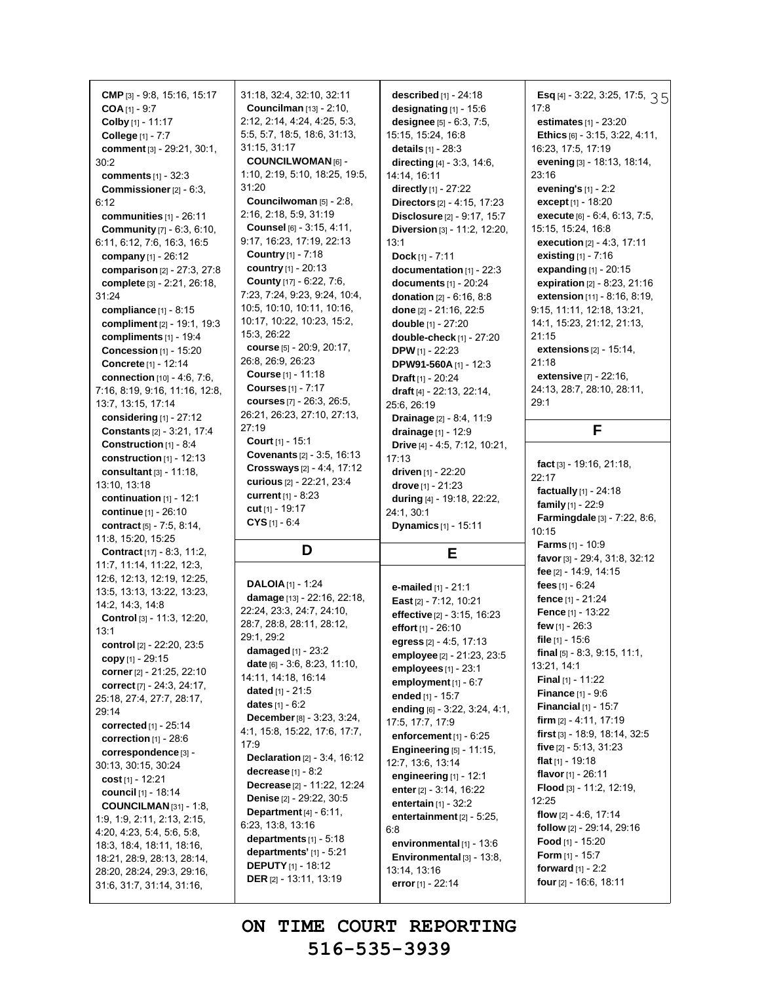**CMP** [3] - 9:8, 15:16, 15:17 **COA** [1] - 9:7 **Colby** [1] - 11:17 **College** [1] - 7:7 **comment** [3] - 29:21, 30:1, 30:2 **comments** [1] - 32:3 **Commissioner**[2] - 6:3, 6:12 **communities** [1] - 26:11 **Community** [7] - 6:3, 6:10, 6:11, 6:12, 7:6, 16:3, 16:5 **company** [1] - 26:12 **comparison** [2] - 27:3, 27:8 **complete** [3] - 2:21, 26:18, 31:24 **compliance** [1] - 8:15 **compliment** [2] - 19:1, 19:3 **compliments** [1] - 19:4 **Concession** [1] - 15:20 **Concrete** [1] - 12:14 **connection** [10] - 4:6, 7:6, 7:16, 8:19, 9:16, 11:16, 12:8, 13:7, 13:15, 17:14 **considering** [1] - 27:12 **Constants** [2] - 3:21, 17:4 **Construction** [1] - 8:4 **construction** [1] - 12:13 **consultant** [3] - 11:18, 13:10, 13:18 **continuation** [1] - 12:1 **continue** [1] - 26:10 **contract** [5] - 7:5, 8:14, 11:8, 15:20, 15:25 **Contract** [17] - 8:3, 11:2, 11:7, 11:14, 11:22, 12:3, 12:6, 12:13, 12:19, 12:25, 13:5, 13:13, 13:22, 13:23, 14:2, 14:3, 14:8 **Control** [3] - 11:3, 12:20, 13:1 **control** [2] - 22:20, 23:5 **copy** [1] - 29:15 **corner**[2] - 21:25, 22:10 **correct** [7] - 24:3, 24:17, 25:18, 27:4, 27:7, 28:17, 29:14 **corrected** [1] - 25:14 **correction** [1] - 28:6 **correspondence** [3] - 30:13, 30:15, 30:24 **cost** [1] - 12:21 **council** [1] - 18:14 **COUNCILMAN** [31] - 1:8, 1:9, 1:9, 2:11, 2:13, 2:15, 4:20, 4:23, 5:4, 5:6, 5:8, 18:3, 18:4, 18:11, 18:16, 18:21, 28:9, 28:13, 28:14, 28:20, 28:24, 29:3, 29:16, 31:6, 31:7, 31:14, 31:16,

31:18, 32:4, 32:10, 32:11 **Councilman** [13] - 2:10, 2:12, 2:14, 4:24, 4:25, 5:3, 5:5, 5:7, 18:5, 18:6, 31:13, 31:15, 31:17 **COUNCILWOMAN** [6] - 1:10, 2:19, 5:10, 18:25, 19:5, 31:20 **Councilwoman** [5] - 2:8, 2:16, 2:18, 5:9, 31:19 **Counsel** [6] - 3:15, 4:11, 9:17, 16:23, 17:19, 22:13 **Country** [1] - 7:18 **country** [1] - 20:13 **County** [17] - 6:22, 7:6, 7:23, 7:24, 9:23, 9:24, 10:4, 10:5, 10:10, 10:11, 10:16, 10:17, 10:22, 10:23, 15:2, 15:3, 26:22 **course** [5] - 20:9, 20:17, 26:8, 26:9, 26:23 **Course** [1] - 11:18 **Courses** [1] - 7:17 **courses** [7] - 26:3, 26:5, 26:21, 26:23, 27:10, 27:13, 27:19 **Court** [1] - 15:1 **Covenants** [2] - 3:5, 16:13 **Crossways** [2] - 4:4, 17:12 **curious** [2] - 22:21, 23:4 **current** [1] - 8:23 **cut** [1] - 19:17 **CYS** [1] - 6:4 **D DALOIA** [1] - 1:24 **damage** [13] - 22:16, 22:18, 22:24, 23:3, 24:7, 24:10, 28:7, 28:8, 28:11, 28:12, 29:1, 29:2 **damaged** [1] - 23:2 **date** [6] - 3:6, 8:23, 11:10, 14:11, 14:18, 16:14 **dated** [1] - 21:5 **dates** [1] - 6:2 **December**[8] - 3:23, 3:24, 4:1, 15:8, 15:22, 17:6, 17:7, 17:9 **Declaration** [2] - 3:4, 16:12 **decrease** [1] - 8:2 **Decrease** [2] - 11:22, 12:24 **Denise** [2] - 29:22, 30:5 **Department** [4] - 6:11, 6:23, 13:8, 13:16 **departments** [1] - 5:18 **departments'** [1] - 5:21 **described** [1] - 24:18 13:1 17:13 **employee** [2] - 21:23, 23:5 **employees** [1] - 23:1 **employment**[1] - 6:7 **ended** [1] - 15:7 **ending** [6] - 3:22, 3:24, 4:1, 17:5, 17:7, 17:9 **enforcement** [1] - 6:25 **Engineering** [5] - 11:15, 12:7, 13:6, 13:14 **engineering** [1] - 12:1 **enter**[2] - 3:14, 16:22 **entertain** [1] - 32:2 **entertainment** [2] - 5:25, 6:8 **environmental** [1] - 13:6 **Environmental** [3] - 13:8,

**designating** [1] - 15:6 **designee** [5] - 6:3, 7:5, 15:15, 15:24, 16:8 **details** [1] - 28:3 **directing** [4] - 3:3, 14:6, 14:14, 16:11 **directly** [1] - 27:22 **Directors** [2] - 4:15, 17:23 **Disclosure** [2] - 9:17, 15:7 **Diversion** [3] - 11:2, 12:20, **Dock** [1] - 7:11 **documentation** [1] - 22:3 **documents** [1] - 20:24 **donation** [2] - 6:16, 8:8 **done** [2] - 21:16, 22:5 **double** [1] - 27:20 **double-check** [1] - 27:20 **DPW** [1] - 22:23 **DPW91-560A** [1] - 12:3 **Draft** [1] - 20:24 **draft** [4] - 22:13, 22:14, 25:6, 26:19 **Drainage** [2] - 8:4, 11:9 **drainage** [1] - 12:9 **Drive** [4] - 4:5, 7:12, 10:21, **driven** [1] - 22:20 **drove** [1] - 21:23 **during** [4] - 19:18, 22:22, 24:1, 30:1 **Dynamics** [1] - 15:11 **E e-mailed** [1] - 21:1 **East** [2] - 7:12, 10:21 **effective** [2] - 3:15, 16:23 **effort** [1] - 26:10 **egress** [2] - 4:5, 17:13

21:18 **extensive** [7] - 22:16, 24:13, 28:7, 28:10, 28:11, 29:1 **F fact** [3] - 19:16, 21:18,  $22.17$ **factually** [1] - 24:18 **family** [1] - 22:9 **Farmingdale** [3] - 7:22, 8:6, 10:15 **Farms** [1] - 10:9 **favor**[3] - 29:4, 31:8, 32:12 **fee** [2] - 14:9, 14:15 **fees** [1] - 6:24 **fence** [1] - 21:24 **Fence** [1] - 13:22 **few** [1] - 26:3 **file** [1] - 15:6 **final** [5] - 8:3, 9:15, 11:1, 13:21, 14:1 **Final** [1] - 11:22 **Finance** [1] - 9:6 **Financial** [1] - 15:7 **firm** [2] - 4:11, 17:19 **first** [3] - 18:9, 18:14, 32:5 **five** [2] - 5:13, 31:23 **flat** [1] - 19:18 **flavor**[1] - 26:11 **Flood** [3] - 11:2, 12:19, 12:25 **flow** [2] - 4:6, 17:14 **follow** [2] - 29:14, 29:16 **Food** [1] - 15:20 **Form** [1] - 15:7 **forward** [1] - 2:2

**four** [2] - 16:6, 18:11

35 **Esq** [4] - 3:22, 3:25, 17:5,

**estimates** [1] - 23:20 **Ethics** [6] - 3:15, 3:22, 4:11,

**evening** [3] - 18:13, 18:14,

**execute** [6] - 6:4, 6:13, 7:5,

**extensions** [2] - 15:14,

16:23, 17:5, 17:19

**evening's** [1] - 2:2 **except** [1] - 18:20

15:15, 15:24, 16:8 **execution** [2] - 4:3, 17:11 **existing** [1] - 7:16 **expanding** [1] - 20:15 **expiration** [2] - 8:23, 21:16 **extension** [11] - 8:16, 8:19, 9:15, 11:11, 12:18, 13:21, 14:1, 15:23, 21:12, 21:13,

17:8

23:16

21:15

**ON TIME COURT REPORTING 516-535-3939**

13:14, 13:16 **error**[1] - 22:14

**DEPUTY**[1] - 18:12 **DER** [2] - 13:11, 13:19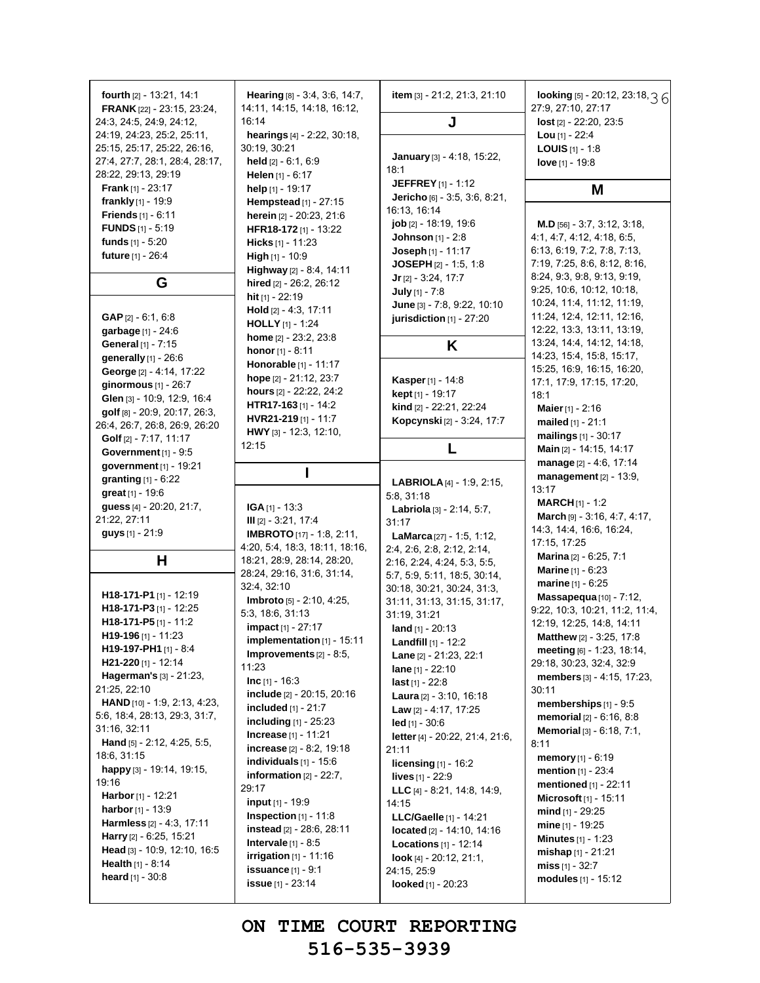| fourth $[2] - 13.21, 14.1$<br><b>FRANK</b> [22] - 23:15, 23:24, | <b>Hearing</b> $[8] - 3.4, 3.6, 14.7,$<br>14:11, 14:15, 14:18, 16:12, | item [3] - 21:2, 21:3, 21:10                              | looking [5] - 20:12, 23:18, 3 6<br>27:9, 27:10, 27:17    |
|-----------------------------------------------------------------|-----------------------------------------------------------------------|-----------------------------------------------------------|----------------------------------------------------------|
| 24:3, 24:5, 24:9, 24:12,                                        | 16:14                                                                 | J                                                         | lost [2] - 22:20, 23:5                                   |
| 24.19, 24:23, 25:2, 25:11,                                      | hearings [4] - 2:22, 30:18,                                           |                                                           | Lou $[1] - 22:4$                                         |
| 25:15, 25:17, 25:22, 26:16,                                     | 30:19, 30:21                                                          |                                                           | <b>LOUIS</b> $[1]$ - 1:8                                 |
| 27:4, 27:7, 28:1, 28:4, 28:17,                                  | <b>held</b> $[2] - 6:1, 6:9$                                          | January [3] - 4:18, 15:22,                                | love $[1] - 19.8$                                        |
| 28:22, 29:13, 29:19                                             | Helen $[1] - 6:17$                                                    | 18:1<br><b>JEFFREY</b> [1] - 1:12                         |                                                          |
| <b>Frank</b> $[1]$ - 23:17                                      | help $[1]$ - 19:17                                                    | Jericho [6] - 3:5, 3:6, 8:21,                             | M                                                        |
| frankly $[1]$ - 19:9                                            | <b>Hempstead</b> [1] - 27:15                                          | 16:13, 16:14                                              |                                                          |
| <b>Friends</b> $[1] - 6:11$                                     | herein [2] - 20:23, 21:6                                              | job [2] - 18:19, 19:6                                     | M.D [56] - 3:7, 3:12, 3:18,                              |
| <b>FUNDS</b> $[1] - 5:19$<br>funds $[1] - 5:20$                 | HFR18-172 [1] - 13:22                                                 | <b>Johnson</b> $[1]$ - 2:8                                | 4:1, 4:7, 4:12, 4:18, 6:5,                               |
| future [1] - 26:4                                               | <b>Hicks</b> $[1]$ - 11:23<br>High [1] - 10:9                         | <b>Joseph</b> $[1]$ - 11:17                               | 6:13, 6:19, 7:2, 7:8, 7:13,                              |
|                                                                 | Highway [2] - 8:4, 14:11                                              | JOSEPH [2] - 1:5, 1:8                                     | 7:19, 7:25, 8:6, 8:12, 8:16,                             |
| G                                                               | hired [2] - 26:2, 26:12                                               | $Jr$ [2] - 3:24, 17:7                                     | 8:24, 9:3, 9:8, 9:13, 9:19,                              |
|                                                                 | hit [1] - 22:19                                                       | July [1] - 7:8                                            | 9.25, 10:6, 10:12, 10:18,                                |
|                                                                 | <b>Hold</b> $[2] - 4:3, 17:11$                                        | June [3] - 7:8, 9:22, 10:10                               | 10:24, 11:4, 11:12, 11:19,                               |
| <b>GAP</b> $[2] - 6.1, 6.8$                                     | <b>HOLLY</b> [1] - 1:24                                               | jurisdiction [1] - 27:20                                  | 11:24, 12:4, 12:11, 12:16,                               |
| garbage [1] - 24:6                                              | home [2] - 23:2, 23:8                                                 |                                                           | 12:22, 13:3, 13:11, 13:19,<br>13:24, 14:4, 14:12, 14:18, |
| General [1] - 7:15                                              | <b>honor</b> $[1] - 8:11$                                             | Κ                                                         | 14:23, 15:4, 15:8, 15:17,                                |
| generally [1] - 26:6                                            | Honorable [1] - 11:17                                                 |                                                           | 15:25, 16:9, 16:15, 16:20,                               |
| George [2] - 4:14, 17:22<br>ginormous $[1]$ - 26:7              | hope $[2] - 21.12, 23.7$                                              | Kasper [1] - 14:8                                         | 17:1, 17:9, 17:15, 17:20,                                |
| Glen [3] - 10:9, 12:9, 16:4                                     | hours [2] - 22:22, 24:2                                               | kept [1] - 19:17                                          | 18:1                                                     |
| golf [8] - 20.9, 20:17, 26:3,                                   | HTR17-163 $[1]$ - 14:2                                                | kind [2] - 22:21, 22:24                                   | Maier [1] - 2:16                                         |
| 26.4, 26.7, 26.8, 26.9, 26.20                                   | HVR21-219 [1] - 11:7                                                  | Kopcynski [2] - 3:24, 17:7                                | mailed $[1] - 21:1$                                      |
| Golf [2] - 7:17, 11:17                                          | HWY [3] - 12:3, 12:10,                                                |                                                           | mailings [1] - 30:17                                     |
| Government $[1]$ - $9:5$                                        | 12:15                                                                 | L                                                         | Main [2] - 14:15, 14:17                                  |
| government $[1]$ - 19:21                                        | L                                                                     |                                                           | manage [2] - 4:6, 17:14                                  |
| <b>granting</b> $[1] - 6:22$                                    |                                                                       | <b>LABRIOLA</b> [4] - 1:9, 2:15,                          | management [2] - 13:9,                                   |
| great [1] - 19:6                                                |                                                                       | 5:8, 31:18                                                | 13:17                                                    |
| guess [4] - 20:20, 21:7,                                        | $IGA_{[1]} - 13:3$                                                    | Labriola [3] - 2:14, 5:7,                                 | <b>MARCH</b> $[1] - 1:2$                                 |
| 21:22, 27:11                                                    | $III$ [2] - 3:21, 17:4                                                | 31:17                                                     | March [9] - 3:16, 4:7, 4:17,<br>14:3, 14:4, 16:6, 16:24, |
| guys [1] - 21:9                                                 | <b>IMBROTO</b> [17] - 1:8, 2:11,                                      | LaMarca <sup>[27]</sup> - 1:5, 1:12,                      | 17:15, 17:25                                             |
|                                                                 | 4.20, 5.4, 18:3, 18:11, 18:16,                                        | 2.4, 2.6, 2.8, 2.12, 2.14,                                | <b>Marina</b> $[2] - 6:25, 7:1$                          |
| Н                                                               | 18:21, 28:9, 28:14, 28:20,<br>28:24, 29:16, 31:6, 31:14,              | 2:16, 2:24, 4:24, 5:3, 5:5,                               | <b>Marine</b> $[1] - 6:23$                               |
|                                                                 | 32:4, 32:10                                                           | 5:7, 5:9, 5:11, 18:5, 30:14,                              | <b>marine</b> $[1] - 6:25$                               |
| H18-171-P1 $[1]$ - 12:19                                        | Imbroto [5] - 2:10, 4:25,                                             | 30:18, 30:21, 30:24, 31:3,<br>31:11, 31:13, 31:15, 31:17, | Massapequa $[10]$ - $7:12$ ,                             |
| H18-171-P3 [1] - 12:25                                          | 5:3, 18:6, 31:13                                                      | 31:19, 31:21                                              | 9:22, 10:3, 10:21, 11:2, 11:4,                           |
| H18-171-P5 $[1]$ - 11:2                                         | <b>impact</b> $[1] - 27:17$                                           | land $[1]$ - 20:13                                        | 12:19, 12:25, 14:8, 14:11                                |
| H19-196 [1] - 11:23                                             | implementation [1] - 15:11                                            | <b>Landfill</b> [1] - 12:2                                | Matthew [2] - 3:25, 17:8                                 |
| H19-197-PH1 [1] - 8:4                                           | <b>Improvements</b> $[2] - 8:5$ ,                                     | Lane [2] - 21:23, 22:1                                    | meeting [6] - 1:23, 18:14,                               |
| H21-220 $[1] - 12:14$                                           | 11:23                                                                 | lane [1] - 22:10                                          | 29:18, 30:23, 32:4, 32:9                                 |
| <b>Hagerman's</b> $[3] - 21:23$ ,<br>21:25, 22:10               | <b>Inc</b> $[1] - 16:3$                                               | <b>last</b> [1] - 22:8                                    | members [3] - 4:15, 17:23,                               |
| HAND [10] - 1:9, 2:13, 4:23,                                    | include [2] - 20:15, 20:16                                            | <b>Laura</b> $[2] - 3:10, 16:18$                          | 30:11<br>memberships $[1]$ - 9:5                         |
| 5:6, 18:4, 28:13, 29:3, 31:7,                                   | included [1] - 21:7                                                   | Law [2] - 4:17, 17:25                                     | memorial [2] - 6:16, 8:8                                 |
| 31:16, 32:11                                                    | <b>including</b> $[1]$ - 25:23                                        | $led$ [1] - 30:6                                          | <b>Memorial</b> $[3] - 6:18$ , $7:1$ ,                   |
| Hand [5] - 2:12, 4:25, 5:5,                                     | <b>Increase</b> $[1]$ - 11:21                                         | letter [4] - 20:22, 21:4, 21:6,                           | 8:11                                                     |
| 18:6, 31:15                                                     | increase $[2] - 8:2, 19:18$                                           | 21:11                                                     | memory $[1] - 6:19$                                      |
| happy [3] - 19:14, 19:15,                                       | individuals $[1]$ - 15:6<br>information $[2] - 22:7$ ,                | licensing $[1]$ - 16:2                                    | mention [1] - 23:4                                       |
| 19:16                                                           | 29:17                                                                 | <b>lives</b> [1] - 22:9                                   | mentioned [1] - 22:11                                    |
| Harbor [1] - 12:21                                              | <b>input</b> $[1]$ - 19:9                                             | LLC $[4] - 8.21$ , 14:8, 14:9,<br>14:15                   | Microsoft [1] - 15:11                                    |
| harbor [1] - 13:9                                               | Inspection $[1]$ - 11:8                                               | LLC/Gaelle [1] - 14:21                                    | $mid_{[1]}$ - 29:25                                      |
| Harmless [2] - 4:3, 17:11                                       | instead [2] - 28:6, 28:11                                             | located [2] - 14:10, 14:16                                | <b>mine</b> $[1]$ - 19:25                                |
| Harry [2] - 6:25, 15:21                                         | Intervale $[1]$ - 8:5                                                 | <b>Locations</b> $[1] - 12:14$                            | <b>Minutes</b> $[1] - 1:23$                              |
| Head [3] - 10:9, 12:10, 16:5                                    | irrigation $[1]$ - 11:16                                              | look [4] - 20:12, 21:1,                                   | $mishap[1] - 21:21$                                      |
| <b>Health</b> $[1] - 8:14$                                      | issuance $[1]$ - 9:1                                                  | 24:15, 25:9                                               | miss $[1] - 32:7$                                        |
| heard $[1] - 30.8$                                              | <b>issue</b> $[1] - 23:14$                                            | looked [1] - 20:23                                        | modules $[1] - 15:12$                                    |
|                                                                 |                                                                       |                                                           |                                                          |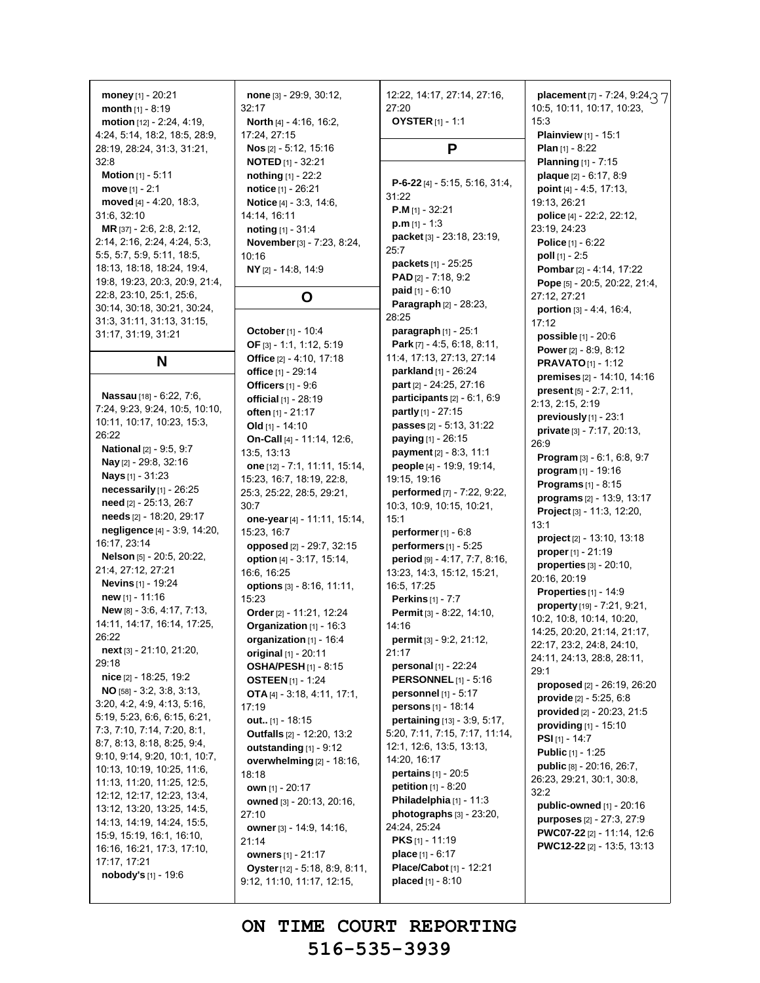**money** [1] - 20:21 **month** [1] - 8:19 **motion** [12] - 2:24, 4:19, 4:24, 5:14, 18:2, 18:5, 28:9, 28:19, 28:24, 31:3, 31:21, 32:8 **Motion** [1] - 5:11 **move** [1] - 2:1 **moved** [4] - 4:20, 18:3, 31:6, 32:10 **MR** [37] - 2:6, 2:8, 2:12, 2:14, 2:16, 2:24, 4:24, 5:3, 5:5, 5:7, 5:9, 5:11, 18:5, 18:13, 18:18, 18:24, 19:4,

19:8, 19:23, 20:3, 20:9, 21:4, 22:8, 23:10, 25:1, 25:6, 30:14, 30:18, 30:21, 30:24, 31:3, 31:11, 31:13, 31:15, 31:17, 31:19, 31:21

**N**

**Nassau** [18] - 6:22, 7:6, 7:24, 9:23, 9:24, 10:5, 10:10, 10:11, 10:17, 10:23, 15:3, 26:22 **National** [2] - 9:5, 9:7 **Nay** [2] - 29:8, 32:16 **Nays** [1] - 31:23 **necessarily** [1] - 26:25 **need** [2] - 25:13, 26:7 **needs** [2] - 18:20, 29:17 **negligence** [4] - 3:9, 14:20, 16:17, 23:14 **Nelson** [5] - 20:5, 20:22, 21:4, 27:12, 27:21 **Nevins** [1] - 19:24 **new** [1] - 11:16 **New** [8] - 3:6, 4:17, 7:13, 14:11, 14:17, 16:14, 17:25, 26:22 **next** [3] - 21:10, 21:20, 29:18 **nice** [2] - 18:25, 19:2 **NO** [58] - 3:2, 3:8, 3:13, 3:20, 4:2, 4:9, 4:13, 5:16, 5:19, 5:23, 6:6, 6:15, 6:21, 7:3, 7:10, 7:14, 7:20, 8:1, 8:7, 8:13, 8:18, 8:25, 9:4, 9:10, 9:14, 9:20, 10:1, 10:7, 10:13, 10:19, 10:25, 11:6, 11:13, 11:20, 11:25, 12:5, 12:12, 12:17, 12:23, 13:4, 13:12, 13:20, 13:25, 14:5, 14:13, 14:19, 14:24, 15:5, 15:9, 15:19, 16:1, 16:10, 16:16, 16:21, 17:3, 17:10, 17:17, 17:21 **nobody's** [1] - 19:6

**none** [3] - 29:9, 30:12, 32:17 **North** [4] - 4:16, 16:2, 17:24, 27:15 **Nos** [2] - 5:12, 15:16 **NOTED** [1] - 32:21 **nothing** [1] - 22:2 **notice** [1] - 26:21 **Notice** [4] - 3:3, 14:6, 14:14, 16:11 **noting** [1] - 31:4 **November**[3] - 7:23, 8:24, 10:16 **NY** [2] - 14:8, 14:9

#### **O**

**October**[1] - 10:4 **OF** [3] - 1:1, 1:12, 5:19 **Office** [2] - 4:10, 17:18 **office** [1] - 29:14 **Officers** [1] - 9:6 **official** [1] - 28:19 **often** [1] - 21:17 **Old** [1] - 14:10 **On-Call** [4] - 11:14, 12:6, 13:5, 13:13 **one** [12] - 7:1, 11:11, 15:14, 15:23, 16:7, 18:19, 22:8, 25:3, 25:22, 28:5, 29:21, 30:7 **one-year**[4] - 11:11, 15:14, 15:23, 16:7 **opposed** [2] - 29:7, 32:15 **option** [4] - 3:17, 15:14, 16:6, 16:25 **options** [3] - 8:16, 11:11, 15:23 **Order**[2] - 11:21, 12:24 **Organization** [1] - 16:3 **organization** [1] - 16:4 **original** [1] - 20:11 **OSHA/PESH** [1] - 8:15 **OSTEEN** [1] - 1:24 **OTA** [4] - 3:18, 4:11, 17:1, 17:19 **out..** [1] - 18:15 **Outfalls** [2] - 12:20, 13:2 **outstanding** [1] - 9:12 **overwhelming** [2] - 18:16, 18:18 **own** [1] - 20:17 **owned** [3] - 20:13, 20:16, 27:10 **owner** [3] - 14:9, 14:16, 21:14 **owners** [1] - 21:17 **Oyster**[12] - 5:18, 8:9, 8:11, 9:12, 11:10, 11:17, 12:15,

12:22, 14:17, 27:14, 27:16, 27:20 **OYSTER** [1] - 1:1 **P P-6-22** [4] - 5:15, 5:16, 31:4, 31:22 **P.M** [1] - 32:21 **p.m** [1] - 1:3 **packet** [3] - 23:18, 23:19, 25:7 **packets** [1] - 25:25 **PAD** [2] - 7:18, 9:2 **paid** [1] - 6:10 **Paragraph** [2] - 28:23, 28:25 **paragraph** [1] - 25:1 **Park** [7] - 4:5, 6:18, 8:11, 11:4, 17:13, 27:13, 27:14 **parkland** [1] - 26:24 **part** [2] - 24:25, 27:16 **participants** [2] - 6:1, 6:9 **partly** [1] - 27:15 **passes** [2] - 5:13, 31:22 **paying** [1] - 26:15 **payment**[2] - 8:3, 11:1 **people** [4] - 19:9, 19:14, 19:15, 19:16 **performed** [7] - 7:22, 9:22, 10:3, 10:9, 10:15, 10:21, 15:1 **performer**[1] - 6:8 **performers** [1] - 5:25 **period** [9] - 4:17, 7:7, 8:16, 13:23, 14:3, 15:12, 15:21, 16:5, 17:25 **Perkins** [1] - 7:7 **Permit** [3] - 8:22, 14:10, 14:16 **permit** [3] - 9:2, 21:12, 21:17 **personal** [1] - 22:24 **PERSONNEL** [1] - 5:16 **personnel** [1] - 5:17 **persons** [1] - 18:14 **pertaining** [13] - 3:9, 5:17, 5:20, 7:11, 7:15, 7:17, 11:14, 12:1, 12:6, 13:5, 13:13, 14:20, 16:17 **pertains** [1] - 20:5 **petition** [1] - 8:20 **Philadelphia** [1] - 11:3 **photographs** [3] - 23:20, 24:24, 25:24 **PKS** [1] - 11:19 **place** [1] - 6:17 **Place/Cabot** [1] - 12:21 **placed** [1] - 8:10

37 **placement** [7] - 7:24, 9:24, 10:5, 10:11, 10:17, 10:23, 15:3 **Plainview** [1] - 15:1 **Plan** [1] - 8:22 **Planning** [1] - 7:15 **plaque** [2] - 6:17, 8:9 **point** [4] - 4:5, 17:13, 19:13, 26:21 **police** [4] - 22:2, 22:12, 23:19, 24:23 **Police** [1] - 6:22 **poll** [1] - 2:5 **Pombar**[2] - 4:14, 17:22 **Pope** [5] - 20:5, 20:22, 21:4, 27:12, 27:21 **portion** [3] - 4:4, 16:4, 17:12 **possible** [1] - 20:6 **Power** [2] - 8:9, 8:12 **PRAVATO**[1] - 1:12 **premises** [2] - 14:10, 14:16 **present** [5] - 2:7, 2:11, 2:13, 2:15, 2:19 **previously** [1] - 23:1 **private** [3] - 7:17, 20:13, 26:9 **Program** [3] - 6:1, 6:8, 9:7 **program** [1] - 19:16 **Programs** [1] - 8:15 **programs** [2] - 13:9, 13:17 **Project** [3] - 11:3, 12:20, 13:1 **project** [2] - 13:10, 13:18 **proper**[1] - 21:19 **properties** [3] - 20:10, 20:16, 20:19 **Properties** [1] - 14:9 **property** [19] - 7:21, 9:21, 10:2, 10:8, 10:14, 10:20, 14:25, 20:20, 21:14, 21:17, 22:17, 23:2, 24:8, 24:10, 24:11, 24:13, 28:8, 28:11, 29:1 **proposed** [2] - 26:19, 26:20 **provide** [2] - 5:25, 6:8 **provided** [2] - 20:23, 21:5 **providing** [1] - 15:10 **PSI** [1] - 14:7 **Public** [1] - 1:25 **public** [8] - 20:16, 26:7, 26:23, 29:21, 30:1, 30:8, 32:2 **public-owned** [1] - 20:16 **purposes** [2] - 27:3, 27:9 **PWC07-22** [2] - 11:14, 12:6 **PWC12-22** [2] - 13:5, 13:13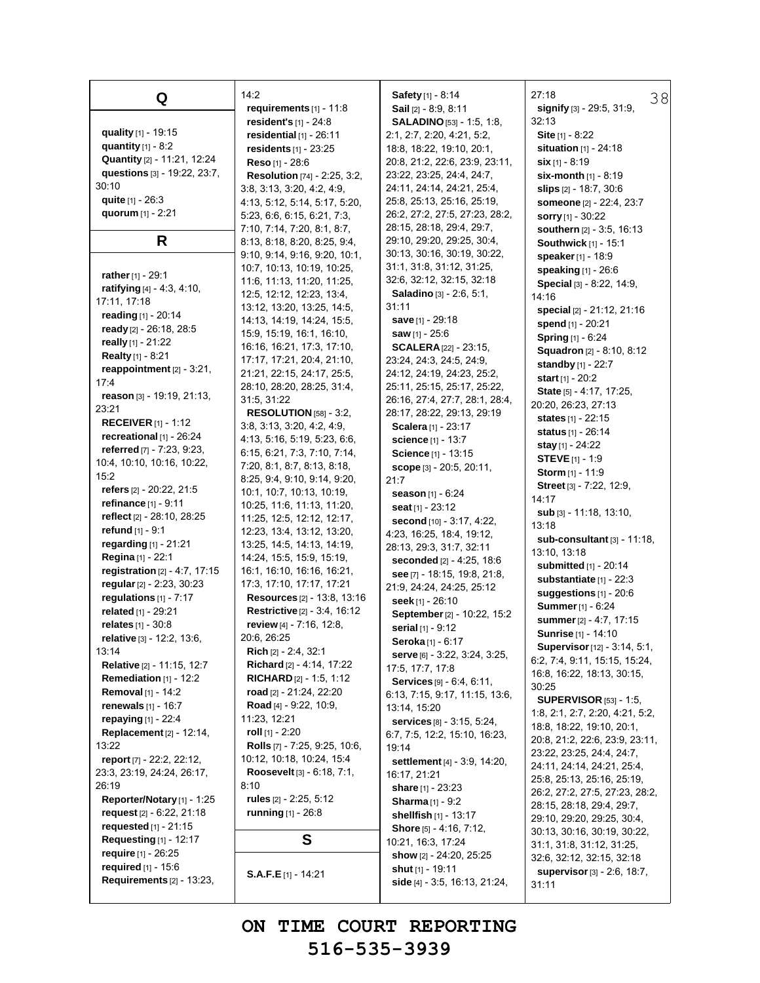**Q quality** [1] - 19:15 **quantity** [1] - 8:2 **Quantity** [2] - 11:21, 12:24 **questions** [3] - 19:22, 23:7, 30:10 **quite** [1] - 26:3 **quorum** [1] - 2:21 **R rather**[1] - 29:1 **ratifying** [4] - 4:3, 4:10, 17:11, 17:18 **reading** [1] - 20:14 **ready** [2] - 26:18, 28:5 **really** [1] - 21:22 **Realty** [1] - 8:21 **reappointment** [2] - 3:21, 17:4 **reason** [3] - 19:19, 21:13, 23:21 **RECEIVER** [1] - 1:12 **recreational** [1] - 26:24 **referred** [7] - 7:23, 9:23, 10:4, 10:10, 10:16, 10:22, 15:2 **refers** [2] - 20:22, 21:5 **refinance** [1] - 9:11 **reflect** [2] - 28:10, 28:25 **refund** [1] - 9:1 **regarding** [1] - 21:21 **Regina** [1] - 22:1 **registration** [2] - 4:7, 17:15 **regular**[2] - 2:23, 30:23 **regulations** [1] - 7:17 **related** [1] - 29:21 **relates** [1] - 30:8 **relative** [3] - 12:2, 13:6, 13:14 **Relative** [2] - 11:15, 12:7 **Remediation** [1] - 12:2 **Removal** [1] - 14:2 **renewals** [1] - 16:7 **repaying** [1] - 22:4 **Replacement** [2] - 12:14, 13:22 **report** [7] - 22:2, 22:12, 23:3, 23:19, 24:24, 26:17, 26:19 **Reporter/Notary** [1] - 1:25 **request** [2] - 6:22, 21:18 **requested** [1] - 21:15 **Requesting** [1] - 12:17 **require** [1] - 26:25 **required** [1] - 15:6 **Requirements** [2] - 13:23,

14:2 **requirements** [1] - 11:8 **resident's** [1] - 24:8 **residential** [1] - 26:11 **residents** [1] - 23:25 **Reso** [1] - 28:6 **Resolution** [74] - 2:25, 3:2, 3:8, 3:13, 3:20, 4:2, 4:9, 4:13, 5:12, 5:14, 5:17, 5:20, 5:23, 6:6, 6:15, 6:21, 7:3, 7:10, 7:14, 7:20, 8:1, 8:7, 8:13, 8:18, 8:20, 8:25, 9:4, 9:10, 9:14, 9:16, 9:20, 10:1, 10:7, 10:13, 10:19, 10:25, 11:6, 11:13, 11:20, 11:25, 12:5, 12:12, 12:23, 13:4, 13:12, 13:20, 13:25, 14:5, 14:13, 14:19, 14:24, 15:5, 15:9, 15:19, 16:1, 16:10, 16:16, 16:21, 17:3, 17:10, 17:17, 17:21, 20:4, 21:10, 21:21, 22:15, 24:17, 25:5, 28:10, 28:20, 28:25, 31:4, 31:5, 31:22 **RESOLUTION** [58] - 3:2, 3:8, 3:13, 3:20, 4:2, 4:9, 4:13, 5:16, 5:19, 5:23, 6:6, 6:15, 6:21, 7:3, 7:10, 7:14, 7:20, 8:1, 8:7, 8:13, 8:18, 8:25, 9:4, 9:10, 9:14, 9:20, 10:1, 10:7, 10:13, 10:19, 10:25, 11:6, 11:13, 11:20, 11:25, 12:5, 12:12, 12:17, 12:23, 13:4, 13:12, 13:20, 13:25, 14:5, 14:13, 14:19, 14:24, 15:5, 15:9, 15:19, 16:1, 16:10, 16:16, 16:21, 17:3, 17:10, 17:17, 17:21 **Resources** [2] - 13:8, 13:16 **Restrictive** [2] - 3:4, 16:12 **review** [4] - 7:16, 12:8, 20:6, 26:25 **Rich** [2] - 2:4, 32:1 **Richard** [2] - 4:14, 17:22 **RICHARD** [2] - 1:5, 1:12 **road** [2] - 21:24, 22:20 **Road** [4] - 9:22, 10:9, 11:23, 12:21 **roll** [1] - 2:20 **Rolls** [7] - 7:25, 9:25, 10:6, 10:12, 10:18, 10:24, 15:4 **Roosevelt** [3] - 6:18, 7:1, 8:10 **rules** [2] - 2:25, 5:12 **running** [1] - 26:8 **S**

**S.A.F.E** [1] - 14:21

**Safety** [1] - 8:14 **Sail** [2] - 8:9, 8:11 **SALADINO**[53] - 1:5, 1:8, 2:1, 2:7, 2:20, 4:21, 5:2, 18:8, 18:22, 19:10, 20:1, 20:8, 21:2, 22:6, 23:9, 23:11, 23:22, 23:25, 24:4, 24:7, 24:11, 24:14, 24:21, 25:4, 25:8, 25:13, 25:16, 25:19, 26:2, 27:2, 27:5, 27:23, 28:2, 28:15, 28:18, 29:4, 29:7, 29:10, 29:20, 29:25, 30:4, 30:13, 30:16, 30:19, 30:22, 31:1, 31:8, 31:12, 31:25, 32:6, 32:12, 32:15, 32:18 **Saladino** [3] - 2:6, 5:1, 31:11 **save** [1] - 29:18 **saw** [1] - 25:6 **SCALERA**[22] - 23:15, 23:24, 24:3, 24:5, 24:9, 24:12, 24:19, 24:23, 25:2, 25:11, 25:15, 25:17, 25:22, 26:16, 27:4, 27:7, 28:1, 28:4, 28:17, 28:22, 29:13, 29:19 **Scalera** [1] - 23:17 **science** [1] - 13:7 **Science** [1] - 13:15 **scope** [3] - 20:5, 20:11, 21:7 **season** [1] - 6:24 **seat** [1] - 23:12 **second** [10] - 3:17, 4:22, 4:23, 16:25, 18:4, 19:12, 28:13, 29:3, 31:7, 32:11 **seconded** [2] - 4:25, 18:6 **see** [7] - 18:15, 19:8, 21:8, 21:9, 24:24, 24:25, 25:12 **seek** [1] - 26:10 **September**[2] - 10:22, 15:2 **serial** [1] - 9:12 **Seroka** [1] - 6:17 **serve** [6] - 3:22, 3:24, 3:25, 17:5, 17:7, 17:8 **Services** [9] - 6:4, 6:11, 6:13, 7:15, 9:17, 11:15, 13:6, 13:14, 15:20 **services** [8] - 3:15, 5:24, 6:7, 7:5, 12:2, 15:10, 16:23, 19:14 **settlement** [4] - 3:9, 14:20, 16:17, 21:21 **share** [1] - 23:23 **Sharma** [1] - 9:2 **shellfish** [1] - 13:17 **Shore** [5] - 4:16, 7:12, 10:21, 16:3, 17:24 **show** [2] - 24:20, 25:25 **shut** [1] - 19:11

38 27:18 **signify** [3] - 29:5, 31:9, 32:13 **Site** [1] - 8:22 **situation** [1] - 24:18 **six** [1] - 8:19 **six-month** [1] - 8:19 **slips** [2] - 18:7, 30:6 **someone** [2] - 22:4, 23:7 **sorry** [1] - 30:22 **southern** [2] - 3:5, 16:13 **Southwick** [1] - 15:1 **speaker**[1] - 18:9 **speaking** [1] - 26:6 **Special** [3] - 8:22, 14:9, 14:16 **special** [2] - 21:12, 21:16 **spend** [1] - 20:21 **Spring** [1] - 6:24 **Squadron** [2] - 8:10, 8:12 **standby** [1] - 22:7 **start** [1] - 20:2 **State** [5] - 4:17, 17:25, 20:20, 26:23, 27:13 **states** [1] - 22:15 **status** [1] - 26:14 **stay** [1] - 24:22 **STEVE** [1] - 1:9 **Storm** [1] - 11:9 **Street** [3] - 7:22, 12:9, 14:17 **sub** [3] - 11:18, 13:10, 13:18 **sub-consultant** [3] - 11:18, 13:10, 13:18 **submitted** [1] - 20:14 **substantiate** [1] - 22:3 **suggestions** [1] - 20:6 **Summer**[1] - 6:24 **summer**[2] - 4:7, 17:15 **Sunrise** [1] - 14:10 **Supervisor**[12] - 3:14, 5:1, 6:2, 7:4, 9:11, 15:15, 15:24, 16:8, 16:22, 18:13, 30:15, 30:25 **SUPERVISOR** [53] - 1:5, 1:8, 2:1, 2:7, 2:20, 4:21, 5:2, 18:8, 18:22, 19:10, 20:1, 20:8, 21:2, 22:6, 23:9, 23:11, 23:22, 23:25, 24:4, 24:7, 24:11, 24:14, 24:21, 25:4, 25:8, 25:13, 25:16, 25:19, 26:2, 27:2, 27:5, 27:23, 28:2, 28:15, 28:18, 29:4, 29:7, 29:10, 29:20, 29:25, 30:4, 30:13, 30:16, 30:19, 30:22, 31:1, 31:8, 31:12, 31:25, 32:6, 32:12, 32:15, 32:18 **supervisor**[3] - 2:6, 18:7,

**ON TIME COURT REPORTING 516-535-3939**

**side** [4] - 3:5, 16:13, 21:24,

31:11